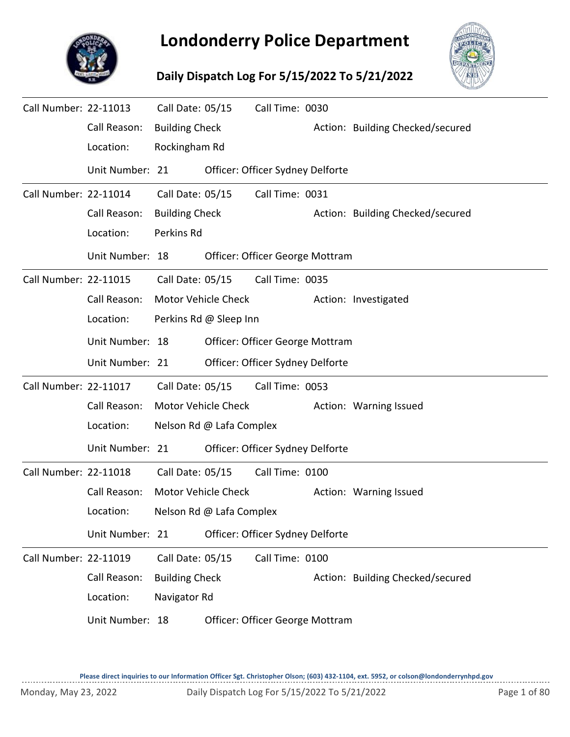

## **Londonderry Police Department**

## **Daily Dispatch Log For 5/15/2022 To 5/21/2022**



| Call Number: 22-11013 |                 | Call Date: 05/15      |                            | Call Time: 0030                  |  |                                  |  |  |  |  |
|-----------------------|-----------------|-----------------------|----------------------------|----------------------------------|--|----------------------------------|--|--|--|--|
|                       | Call Reason:    | <b>Building Check</b> |                            |                                  |  | Action: Building Checked/secured |  |  |  |  |
|                       | Location:       | Rockingham Rd         |                            |                                  |  |                                  |  |  |  |  |
|                       | Unit Number: 21 |                       |                            | Officer: Officer Sydney Delforte |  |                                  |  |  |  |  |
| Call Number: 22-11014 |                 | Call Date: 05/15      |                            | Call Time: 0031                  |  |                                  |  |  |  |  |
|                       | Call Reason:    | <b>Building Check</b> |                            |                                  |  | Action: Building Checked/secured |  |  |  |  |
|                       | Location:       | Perkins Rd            |                            |                                  |  |                                  |  |  |  |  |
|                       | Unit Number: 18 |                       |                            | Officer: Officer George Mottram  |  |                                  |  |  |  |  |
| Call Number: 22-11015 |                 | Call Date: 05/15      |                            | Call Time: 0035                  |  |                                  |  |  |  |  |
|                       | Call Reason:    |                       | Motor Vehicle Check        |                                  |  | Action: Investigated             |  |  |  |  |
|                       | Location:       |                       | Perkins Rd @ Sleep Inn     |                                  |  |                                  |  |  |  |  |
|                       | Unit Number: 18 |                       |                            | Officer: Officer George Mottram  |  |                                  |  |  |  |  |
|                       | Unit Number: 21 |                       |                            | Officer: Officer Sydney Delforte |  |                                  |  |  |  |  |
| Call Number: 22-11017 |                 | Call Date: 05/15      |                            | Call Time: 0053                  |  |                                  |  |  |  |  |
|                       | Call Reason:    |                       | <b>Motor Vehicle Check</b> |                                  |  | Action: Warning Issued           |  |  |  |  |
|                       | Location:       |                       | Nelson Rd @ Lafa Complex   |                                  |  |                                  |  |  |  |  |
|                       | Unit Number: 21 |                       |                            | Officer: Officer Sydney Delforte |  |                                  |  |  |  |  |
| Call Number: 22-11018 |                 | Call Date: 05/15      |                            | Call Time: 0100                  |  |                                  |  |  |  |  |
|                       | Call Reason:    |                       | Motor Vehicle Check        |                                  |  | Action: Warning Issued           |  |  |  |  |
|                       | Location:       |                       | Nelson Rd @ Lafa Complex   |                                  |  |                                  |  |  |  |  |
|                       | Unit Number: 21 |                       |                            | Officer: Officer Sydney Delforte |  |                                  |  |  |  |  |
| Call Number: 22-11019 |                 | Call Date: 05/15      |                            | Call Time: 0100                  |  |                                  |  |  |  |  |
|                       | Call Reason:    | <b>Building Check</b> |                            |                                  |  | Action: Building Checked/secured |  |  |  |  |
|                       | Location:       | Navigator Rd          |                            |                                  |  |                                  |  |  |  |  |
|                       | Unit Number: 18 |                       |                            | Officer: Officer George Mottram  |  |                                  |  |  |  |  |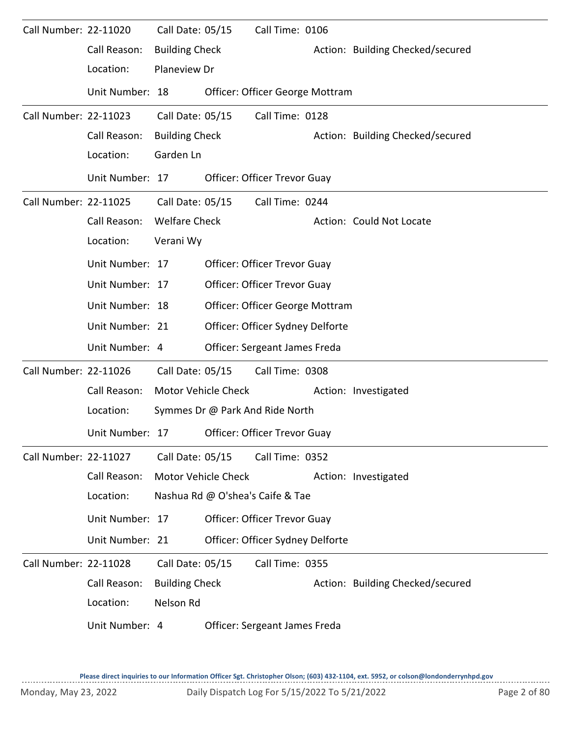| Call Number: 22-11020 |                 | Call Date: 05/15      |                            | Call Time: 0106                  |                                  |
|-----------------------|-----------------|-----------------------|----------------------------|----------------------------------|----------------------------------|
|                       | Call Reason:    | <b>Building Check</b> |                            |                                  | Action: Building Checked/secured |
|                       | Location:       | Planeview Dr          |                            |                                  |                                  |
|                       | Unit Number: 18 |                       |                            | Officer: Officer George Mottram  |                                  |
| Call Number: 22-11023 |                 | Call Date: 05/15      |                            | Call Time: 0128                  |                                  |
|                       | Call Reason:    | <b>Building Check</b> |                            |                                  | Action: Building Checked/secured |
|                       | Location:       | Garden Ln             |                            |                                  |                                  |
|                       | Unit Number: 17 |                       |                            | Officer: Officer Trevor Guay     |                                  |
| Call Number: 22-11025 |                 | Call Date: 05/15      |                            | Call Time: 0244                  |                                  |
|                       | Call Reason:    | <b>Welfare Check</b>  |                            |                                  | Action: Could Not Locate         |
|                       | Location:       | Verani Wy             |                            |                                  |                                  |
|                       | Unit Number: 17 |                       |                            | Officer: Officer Trevor Guay     |                                  |
|                       | Unit Number: 17 |                       |                            | Officer: Officer Trevor Guay     |                                  |
|                       | Unit Number: 18 |                       |                            | Officer: Officer George Mottram  |                                  |
|                       | Unit Number: 21 |                       |                            | Officer: Officer Sydney Delforte |                                  |
|                       | Unit Number: 4  |                       |                            | Officer: Sergeant James Freda    |                                  |
| Call Number: 22-11026 |                 | Call Date: 05/15      |                            | Call Time: 0308                  |                                  |
|                       | Call Reason:    |                       | <b>Motor Vehicle Check</b> |                                  | Action: Investigated             |
|                       | Location:       |                       |                            | Symmes Dr @ Park And Ride North  |                                  |
|                       | Unit Number: 17 |                       |                            | Officer: Officer Trevor Guay     |                                  |
| Call Number: 22-11027 |                 | Call Date: 05/15      |                            | Call Time: 0352                  |                                  |
|                       | Call Reason:    | Motor Vehicle Check   |                            |                                  | Action: Investigated             |
|                       | Location:       |                       |                            | Nashua Rd @ O'shea's Caife & Tae |                                  |
|                       | Unit Number: 17 |                       |                            | Officer: Officer Trevor Guay     |                                  |
|                       | Unit Number: 21 |                       |                            | Officer: Officer Sydney Delforte |                                  |
| Call Number: 22-11028 |                 | Call Date: 05/15      |                            | Call Time: 0355                  |                                  |
|                       | Call Reason:    | <b>Building Check</b> |                            |                                  | Action: Building Checked/secured |
|                       | Location:       | Nelson Rd             |                            |                                  |                                  |
|                       | Unit Number: 4  |                       |                            | Officer: Sergeant James Freda    |                                  |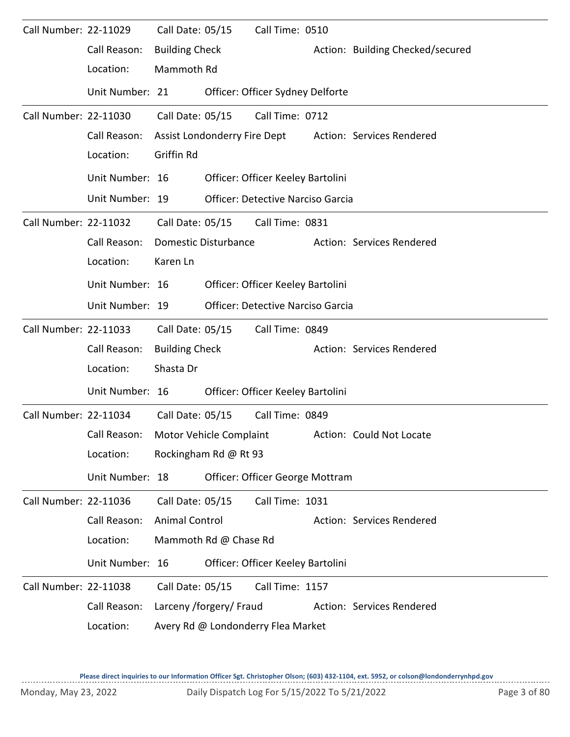| Call Number: 22-11029 |                 | Call Date: 05/15      |                         | Call Time: 0510                          |                                                        |
|-----------------------|-----------------|-----------------------|-------------------------|------------------------------------------|--------------------------------------------------------|
|                       | Call Reason:    | <b>Building Check</b> |                         |                                          | Action: Building Checked/secured                       |
|                       | Location:       | Mammoth Rd            |                         |                                          |                                                        |
|                       | Unit Number: 21 |                       |                         | Officer: Officer Sydney Delforte         |                                                        |
| Call Number: 22-11030 |                 | Call Date: 05/15      |                         | Call Time: 0712                          |                                                        |
|                       | Call Reason:    |                       |                         |                                          | Assist Londonderry Fire Dept Action: Services Rendered |
|                       | Location:       | Griffin Rd            |                         |                                          |                                                        |
|                       | Unit Number: 16 |                       |                         | Officer: Officer Keeley Bartolini        |                                                        |
|                       | Unit Number: 19 |                       |                         | <b>Officer: Detective Narciso Garcia</b> |                                                        |
| Call Number: 22-11032 |                 |                       |                         | Call Date: 05/15 Call Time: 0831         |                                                        |
|                       | Call Reason:    |                       | Domestic Disturbance    |                                          | Action: Services Rendered                              |
|                       | Location:       | Karen Ln              |                         |                                          |                                                        |
|                       | Unit Number: 16 |                       |                         | Officer: Officer Keeley Bartolini        |                                                        |
|                       | Unit Number: 19 |                       |                         | <b>Officer: Detective Narciso Garcia</b> |                                                        |
| Call Number: 22-11033 |                 | Call Date: 05/15      |                         | Call Time: 0849                          |                                                        |
|                       | Call Reason:    | <b>Building Check</b> |                         |                                          | Action: Services Rendered                              |
|                       | Location:       | Shasta Dr             |                         |                                          |                                                        |
|                       | Unit Number: 16 |                       |                         | Officer: Officer Keeley Bartolini        |                                                        |
| Call Number: 22-11034 |                 | Call Date: 05/15      |                         | Call Time: 0849                          |                                                        |
|                       | Call Reason:    |                       | Motor Vehicle Complaint |                                          | Action: Could Not Locate                               |
|                       | Location:       |                       | Rockingham Rd @ Rt 93   |                                          |                                                        |
|                       | Unit Number: 18 |                       |                         | Officer: Officer George Mottram          |                                                        |
| Call Number: 22-11036 |                 | Call Date: 05/15      |                         | Call Time: 1031                          |                                                        |
|                       | Call Reason:    | <b>Animal Control</b> |                         |                                          | Action: Services Rendered                              |
|                       | Location:       |                       | Mammoth Rd @ Chase Rd   |                                          |                                                        |
|                       | Unit Number: 16 |                       |                         | Officer: Officer Keeley Bartolini        |                                                        |
| Call Number: 22-11038 |                 | Call Date: 05/15      |                         | Call Time: 1157                          |                                                        |
|                       | Call Reason:    |                       | Larceny /forgery/ Fraud |                                          | Action: Services Rendered                              |
|                       | Location:       |                       |                         | Avery Rd @ Londonderry Flea Market       |                                                        |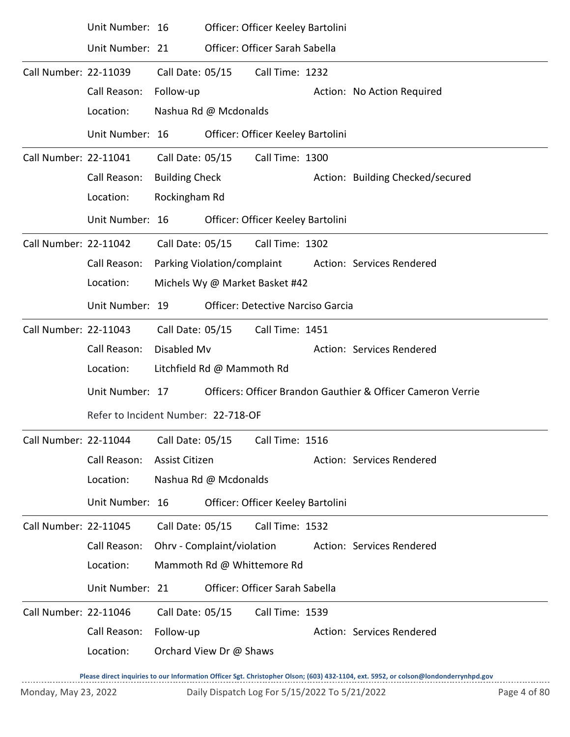|                       | Unit Number: 16 |                                     |                                | Officer: Officer Keeley Bartolini        |  |                                                             |  |  |  |  |
|-----------------------|-----------------|-------------------------------------|--------------------------------|------------------------------------------|--|-------------------------------------------------------------|--|--|--|--|
|                       | Unit Number: 21 |                                     |                                | Officer: Officer Sarah Sabella           |  |                                                             |  |  |  |  |
| Call Number: 22-11039 |                 | Call Date: 05/15                    |                                | Call Time: 1232                          |  |                                                             |  |  |  |  |
|                       | Call Reason:    | Follow-up                           |                                |                                          |  | Action: No Action Required                                  |  |  |  |  |
|                       | Location:       |                                     | Nashua Rd @ Mcdonalds          |                                          |  |                                                             |  |  |  |  |
|                       | Unit Number: 16 |                                     |                                | Officer: Officer Keeley Bartolini        |  |                                                             |  |  |  |  |
| Call Number: 22-11041 |                 | Call Date: 05/15                    |                                | Call Time: 1300                          |  |                                                             |  |  |  |  |
|                       | Call Reason:    | <b>Building Check</b>               |                                |                                          |  | Action: Building Checked/secured                            |  |  |  |  |
|                       | Location:       | Rockingham Rd                       |                                |                                          |  |                                                             |  |  |  |  |
|                       | Unit Number: 16 |                                     |                                | Officer: Officer Keeley Bartolini        |  |                                                             |  |  |  |  |
| Call Number: 22-11042 |                 | Call Date: 05/15                    |                                | Call Time: 1302                          |  |                                                             |  |  |  |  |
|                       | Call Reason:    | Parking Violation/complaint         |                                |                                          |  | Action: Services Rendered                                   |  |  |  |  |
|                       | Location:       |                                     | Michels Wy @ Market Basket #42 |                                          |  |                                                             |  |  |  |  |
|                       | Unit Number: 19 |                                     |                                | <b>Officer: Detective Narciso Garcia</b> |  |                                                             |  |  |  |  |
| Call Number: 22-11043 |                 | Call Date: 05/15                    |                                | Call Time: 1451                          |  |                                                             |  |  |  |  |
|                       | Call Reason:    | Disabled Mv                         |                                |                                          |  | Action: Services Rendered                                   |  |  |  |  |
|                       | Location:       |                                     | Litchfield Rd @ Mammoth Rd     |                                          |  |                                                             |  |  |  |  |
|                       | Unit Number: 17 |                                     |                                |                                          |  | Officers: Officer Brandon Gauthier & Officer Cameron Verrie |  |  |  |  |
|                       |                 | Refer to Incident Number: 22-718-OF |                                |                                          |  |                                                             |  |  |  |  |
| Call Number: 22-11044 |                 | Call Date: 05/15                    |                                | Call Time: 1516                          |  |                                                             |  |  |  |  |
|                       | Call Reason:    | Assist Citizen                      |                                |                                          |  | Action: Services Rendered                                   |  |  |  |  |
|                       | Location:       |                                     | Nashua Rd @ Mcdonalds          |                                          |  |                                                             |  |  |  |  |
|                       | Unit Number: 16 |                                     |                                | Officer: Officer Keeley Bartolini        |  |                                                             |  |  |  |  |
| Call Number: 22-11045 |                 | Call Date: 05/15                    |                                | Call Time: 1532                          |  |                                                             |  |  |  |  |
|                       | Call Reason:    | Ohrv - Complaint/violation          |                                |                                          |  | Action: Services Rendered                                   |  |  |  |  |
|                       | Location:       |                                     |                                | Mammoth Rd @ Whittemore Rd               |  |                                                             |  |  |  |  |
|                       | Unit Number: 21 |                                     |                                | Officer: Officer Sarah Sabella           |  |                                                             |  |  |  |  |
| Call Number: 22-11046 |                 | Call Date: 05/15                    |                                | Call Time: 1539                          |  |                                                             |  |  |  |  |
|                       | Call Reason:    | Follow-up                           |                                |                                          |  | Action: Services Rendered                                   |  |  |  |  |
|                       | Location:       | Orchard View Dr @ Shaws             |                                |                                          |  |                                                             |  |  |  |  |
|                       |                 |                                     |                                |                                          |  |                                                             |  |  |  |  |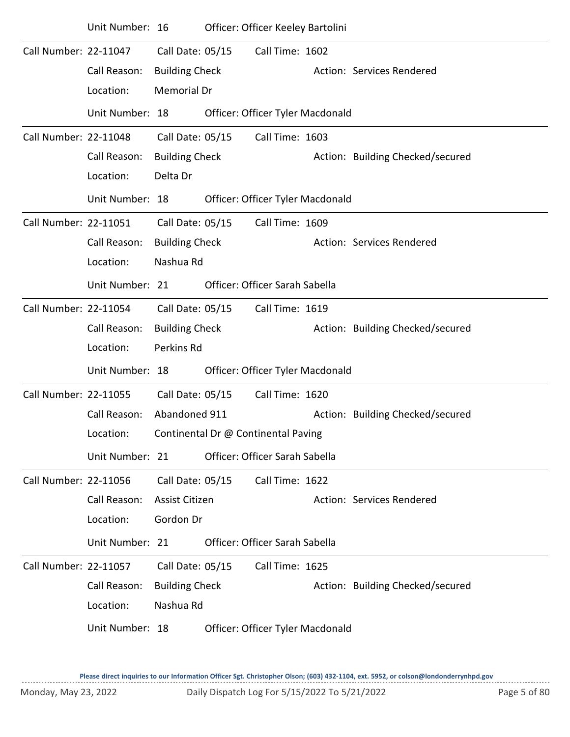|                       | Unit Number: 16 |                       | Officer: Officer Keeley Bartolini   |                                  |
|-----------------------|-----------------|-----------------------|-------------------------------------|----------------------------------|
| Call Number: 22-11047 |                 | Call Date: 05/15      | Call Time: 1602                     |                                  |
|                       | Call Reason:    | <b>Building Check</b> |                                     | Action: Services Rendered        |
|                       | Location:       | <b>Memorial Dr</b>    |                                     |                                  |
|                       | Unit Number: 18 |                       | Officer: Officer Tyler Macdonald    |                                  |
| Call Number: 22-11048 |                 | Call Date: 05/15      | Call Time: 1603                     |                                  |
|                       | Call Reason:    | <b>Building Check</b> |                                     | Action: Building Checked/secured |
|                       | Location:       | Delta Dr              |                                     |                                  |
|                       | Unit Number: 18 |                       | Officer: Officer Tyler Macdonald    |                                  |
| Call Number: 22-11051 |                 | Call Date: 05/15      | Call Time: 1609                     |                                  |
|                       | Call Reason:    | <b>Building Check</b> |                                     | Action: Services Rendered        |
|                       | Location:       | Nashua Rd             |                                     |                                  |
|                       | Unit Number: 21 |                       | Officer: Officer Sarah Sabella      |                                  |
| Call Number: 22-11054 |                 | Call Date: 05/15      | Call Time: 1619                     |                                  |
|                       | Call Reason:    | <b>Building Check</b> |                                     | Action: Building Checked/secured |
|                       | Location:       | Perkins Rd            |                                     |                                  |
|                       | Unit Number: 18 |                       | Officer: Officer Tyler Macdonald    |                                  |
| Call Number: 22-11055 |                 | Call Date: 05/15      | Call Time: 1620                     |                                  |
|                       | Call Reason:    | Abandoned 911         |                                     | Action: Building Checked/secured |
|                       | Location:       |                       | Continental Dr @ Continental Paving |                                  |
|                       | Unit Number: 21 |                       | Officer: Officer Sarah Sabella      |                                  |
| Call Number: 22-11056 |                 | Call Date: 05/15      | Call Time: 1622                     |                                  |
|                       | Call Reason:    | Assist Citizen        |                                     | Action: Services Rendered        |
|                       | Location:       | Gordon Dr             |                                     |                                  |
|                       | Unit Number: 21 |                       | Officer: Officer Sarah Sabella      |                                  |
| Call Number: 22-11057 |                 | Call Date: 05/15      | Call Time: 1625                     |                                  |
|                       | Call Reason:    | <b>Building Check</b> |                                     | Action: Building Checked/secured |
|                       | Location:       | Nashua Rd             |                                     |                                  |
|                       | Unit Number: 18 |                       | Officer: Officer Tyler Macdonald    |                                  |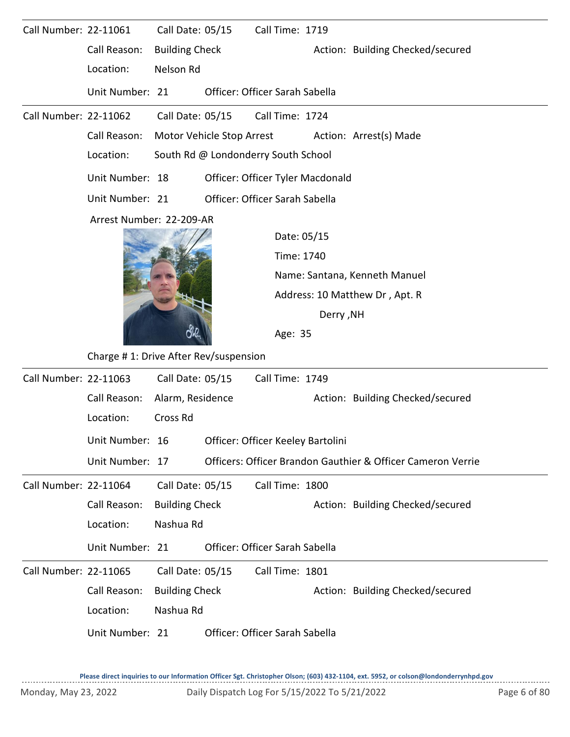| Call Number: 22-11061 |                                       | Call Date: 05/15      |                                | Call Time: 1719                     |                                             |                                                             |  |  |  |  |  |
|-----------------------|---------------------------------------|-----------------------|--------------------------------|-------------------------------------|---------------------------------------------|-------------------------------------------------------------|--|--|--|--|--|
|                       | Call Reason:                          | <b>Building Check</b> |                                |                                     |                                             | Action: Building Checked/secured                            |  |  |  |  |  |
|                       | Location:                             | Nelson Rd             |                                |                                     |                                             |                                                             |  |  |  |  |  |
|                       | Unit Number: 21                       |                       |                                | Officer: Officer Sarah Sabella      |                                             |                                                             |  |  |  |  |  |
| Call Number: 22-11062 |                                       | Call Date: 05/15      |                                | Call Time: 1724                     |                                             |                                                             |  |  |  |  |  |
|                       | Call Reason:                          |                       | Motor Vehicle Stop Arrest      |                                     |                                             | Action: Arrest(s) Made                                      |  |  |  |  |  |
|                       | Location:                             |                       |                                | South Rd @ Londonderry South School |                                             |                                                             |  |  |  |  |  |
|                       | Unit Number: 18                       |                       |                                | Officer: Officer Tyler Macdonald    |                                             |                                                             |  |  |  |  |  |
|                       | Unit Number: 21                       |                       | Officer: Officer Sarah Sabella |                                     |                                             |                                                             |  |  |  |  |  |
|                       | Arrest Number: 22-209-AR              |                       |                                |                                     |                                             |                                                             |  |  |  |  |  |
|                       |                                       |                       |                                | Date: 05/15                         |                                             |                                                             |  |  |  |  |  |
|                       |                                       |                       |                                |                                     | Time: 1740<br>Name: Santana, Kenneth Manuel |                                                             |  |  |  |  |  |
|                       |                                       |                       |                                |                                     |                                             |                                                             |  |  |  |  |  |
|                       |                                       |                       |                                |                                     |                                             | Address: 10 Matthew Dr, Apt. R                              |  |  |  |  |  |
|                       |                                       |                       |                                |                                     | <b>Derry, NH</b>                            |                                                             |  |  |  |  |  |
|                       |                                       |                       |                                | Age: 35                             |                                             |                                                             |  |  |  |  |  |
|                       | Charge #1: Drive After Rev/suspension |                       |                                |                                     |                                             |                                                             |  |  |  |  |  |
| Call Number: 22-11063 |                                       | Call Date: 05/15      |                                | Call Time: 1749                     |                                             |                                                             |  |  |  |  |  |
|                       | Call Reason:                          | Alarm, Residence      |                                |                                     |                                             | Action: Building Checked/secured                            |  |  |  |  |  |
|                       | Location:                             | Cross Rd              |                                |                                     |                                             |                                                             |  |  |  |  |  |
|                       | Unit Number: 16                       |                       |                                | Officer: Officer Keeley Bartolini   |                                             |                                                             |  |  |  |  |  |
|                       | Unit Number: 17                       |                       |                                |                                     |                                             | Officers: Officer Brandon Gauthier & Officer Cameron Verrie |  |  |  |  |  |
| Call Number: 22-11064 |                                       | Call Date: 05/15      |                                | Call Time: 1800                     |                                             |                                                             |  |  |  |  |  |
|                       | Call Reason:                          | <b>Building Check</b> |                                |                                     |                                             | Action: Building Checked/secured                            |  |  |  |  |  |
|                       | Location:                             | Nashua Rd             |                                |                                     |                                             |                                                             |  |  |  |  |  |
|                       | Unit Number: 21                       |                       |                                | Officer: Officer Sarah Sabella      |                                             |                                                             |  |  |  |  |  |
| Call Number: 22-11065 |                                       | Call Date: 05/15      |                                | Call Time: 1801                     |                                             |                                                             |  |  |  |  |  |
|                       | Call Reason:                          | <b>Building Check</b> |                                |                                     |                                             | Action: Building Checked/secured                            |  |  |  |  |  |
|                       | Location:                             | Nashua Rd             |                                |                                     |                                             |                                                             |  |  |  |  |  |
|                       | Unit Number: 21                       |                       |                                | Officer: Officer Sarah Sabella      |                                             |                                                             |  |  |  |  |  |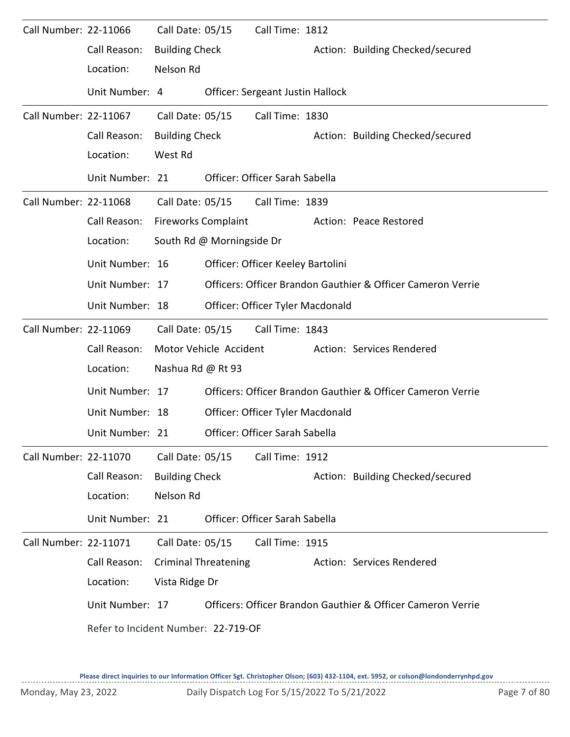| Call Number: 22-11066 |                                     | Call Date: 05/15           |                             | Call Time: 1812                   |                                                             |
|-----------------------|-------------------------------------|----------------------------|-----------------------------|-----------------------------------|-------------------------------------------------------------|
|                       | Call Reason:                        | <b>Building Check</b>      |                             |                                   | Action: Building Checked/secured                            |
|                       | Location:                           | Nelson Rd                  |                             |                                   |                                                             |
|                       | Unit Number: 4                      |                            |                             | Officer: Sergeant Justin Hallock  |                                                             |
| Call Number: 22-11067 |                                     | Call Date: 05/15           |                             | Call Time: 1830                   |                                                             |
|                       | Call Reason:                        | <b>Building Check</b>      |                             |                                   | Action: Building Checked/secured                            |
|                       | Location:                           | West Rd                    |                             |                                   |                                                             |
|                       | Unit Number: 21                     |                            |                             | Officer: Officer Sarah Sabella    |                                                             |
| Call Number: 22-11068 |                                     |                            | Call Date: 05/15            | Call Time: 1839                   |                                                             |
|                       | Call Reason:                        | <b>Fireworks Complaint</b> |                             |                                   | Action: Peace Restored                                      |
|                       | Location:                           |                            | South Rd @ Morningside Dr   |                                   |                                                             |
|                       | Unit Number: 16                     |                            |                             | Officer: Officer Keeley Bartolini |                                                             |
|                       | Unit Number: 17                     |                            |                             |                                   | Officers: Officer Brandon Gauthier & Officer Cameron Verrie |
|                       | Unit Number: 18                     |                            |                             | Officer: Officer Tyler Macdonald  |                                                             |
| Call Number: 22-11069 |                                     | Call Date: 05/15           |                             | Call Time: 1843                   |                                                             |
|                       | Call Reason:                        |                            | Motor Vehicle Accident      |                                   | Action: Services Rendered                                   |
|                       | Location:                           | Nashua Rd @ Rt 93          |                             |                                   |                                                             |
|                       | Unit Number: 17                     |                            |                             |                                   | Officers: Officer Brandon Gauthier & Officer Cameron Verrie |
|                       | Unit Number: 18                     |                            |                             | Officer: Officer Tyler Macdonald  |                                                             |
|                       | Unit Number: 21                     |                            |                             | Officer: Officer Sarah Sabella    |                                                             |
| Call Number: 22-11070 |                                     | Call Date: 05/15           |                             | Call Time: 1912                   |                                                             |
|                       | Call Reason:                        | <b>Building Check</b>      |                             |                                   | Action: Building Checked/secured                            |
|                       | Location:                           | Nelson Rd                  |                             |                                   |                                                             |
|                       | Unit Number: 21                     |                            |                             | Officer: Officer Sarah Sabella    |                                                             |
| Call Number: 22-11071 |                                     | Call Date: 05/15           |                             | Call Time: 1915                   |                                                             |
|                       | Call Reason:                        |                            | <b>Criminal Threatening</b> |                                   | Action: Services Rendered                                   |
|                       | Location:                           | Vista Ridge Dr             |                             |                                   |                                                             |
|                       | Unit Number: 17                     |                            |                             |                                   | Officers: Officer Brandon Gauthier & Officer Cameron Verrie |
|                       | Refer to Incident Number: 22-719-OF |                            |                             |                                   |                                                             |
|                       |                                     |                            |                             |                                   |                                                             |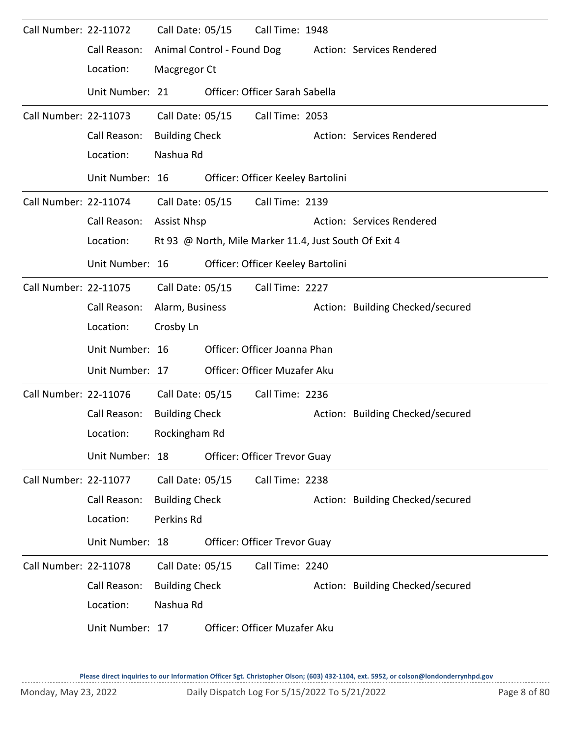| Call Number: 22-11072 |                 | Call Date: 05/15      |                                                       | Call Time: 1948                     |  |                                  |  |  |  |  |
|-----------------------|-----------------|-----------------------|-------------------------------------------------------|-------------------------------------|--|----------------------------------|--|--|--|--|
|                       | Call Reason:    |                       | Animal Control - Found Dog                            |                                     |  | Action: Services Rendered        |  |  |  |  |
|                       | Location:       | Macgregor Ct          |                                                       |                                     |  |                                  |  |  |  |  |
|                       | Unit Number: 21 |                       |                                                       | Officer: Officer Sarah Sabella      |  |                                  |  |  |  |  |
| Call Number: 22-11073 |                 | Call Date: 05/15      |                                                       | Call Time: 2053                     |  |                                  |  |  |  |  |
|                       | Call Reason:    | <b>Building Check</b> |                                                       |                                     |  | Action: Services Rendered        |  |  |  |  |
|                       | Location:       | Nashua Rd             |                                                       |                                     |  |                                  |  |  |  |  |
|                       | Unit Number: 16 |                       |                                                       | Officer: Officer Keeley Bartolini   |  |                                  |  |  |  |  |
| Call Number: 22-11074 |                 | Call Date: 05/15      |                                                       | Call Time: 2139                     |  |                                  |  |  |  |  |
|                       | Call Reason:    | <b>Assist Nhsp</b>    |                                                       |                                     |  | Action: Services Rendered        |  |  |  |  |
|                       | Location:       |                       | Rt 93 @ North, Mile Marker 11.4, Just South Of Exit 4 |                                     |  |                                  |  |  |  |  |
|                       | Unit Number: 16 |                       |                                                       | Officer: Officer Keeley Bartolini   |  |                                  |  |  |  |  |
| Call Number: 22-11075 |                 | Call Date: 05/15      |                                                       | Call Time: 2227                     |  |                                  |  |  |  |  |
|                       | Call Reason:    | Alarm, Business       |                                                       |                                     |  | Action: Building Checked/secured |  |  |  |  |
|                       | Location:       | Crosby Ln             |                                                       |                                     |  |                                  |  |  |  |  |
|                       | Unit Number: 16 |                       |                                                       | Officer: Officer Joanna Phan        |  |                                  |  |  |  |  |
|                       | Unit Number: 17 |                       |                                                       | Officer: Officer Muzafer Aku        |  |                                  |  |  |  |  |
| Call Number: 22-11076 |                 | Call Date: 05/15      |                                                       | Call Time: 2236                     |  |                                  |  |  |  |  |
|                       | Call Reason:    | <b>Building Check</b> |                                                       |                                     |  | Action: Building Checked/secured |  |  |  |  |
|                       | Location:       | Rockingham Rd         |                                                       |                                     |  |                                  |  |  |  |  |
|                       | Unit Number: 18 |                       |                                                       | <b>Officer: Officer Trevor Guay</b> |  |                                  |  |  |  |  |
| Call Number: 22-11077 |                 | Call Date: 05/15      |                                                       | Call Time: 2238                     |  |                                  |  |  |  |  |
|                       | Call Reason:    | <b>Building Check</b> |                                                       |                                     |  | Action: Building Checked/secured |  |  |  |  |
|                       | Location:       | Perkins Rd            |                                                       |                                     |  |                                  |  |  |  |  |
|                       | Unit Number: 18 |                       |                                                       | <b>Officer: Officer Trevor Guay</b> |  |                                  |  |  |  |  |
| Call Number: 22-11078 |                 | Call Date: 05/15      |                                                       | Call Time: 2240                     |  |                                  |  |  |  |  |
|                       | Call Reason:    | <b>Building Check</b> |                                                       |                                     |  | Action: Building Checked/secured |  |  |  |  |
|                       | Location:       | Nashua Rd             |                                                       |                                     |  |                                  |  |  |  |  |
|                       | Unit Number: 17 |                       |                                                       | Officer: Officer Muzafer Aku        |  |                                  |  |  |  |  |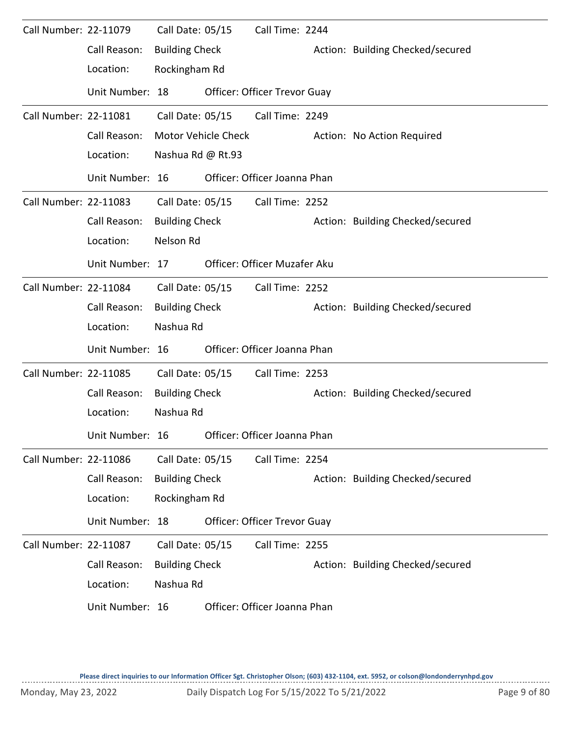| Call Number: 22-11079 |                 | Call Date: 05/15      |                     | Call Time: 2244                     |                                  |
|-----------------------|-----------------|-----------------------|---------------------|-------------------------------------|----------------------------------|
|                       | Call Reason:    | <b>Building Check</b> |                     |                                     | Action: Building Checked/secured |
|                       | Location:       | Rockingham Rd         |                     |                                     |                                  |
|                       | Unit Number: 18 |                       |                     | <b>Officer: Officer Trevor Guay</b> |                                  |
| Call Number: 22-11081 |                 | Call Date: 05/15      |                     | Call Time: 2249                     |                                  |
|                       | Call Reason:    |                       | Motor Vehicle Check |                                     | Action: No Action Required       |
|                       | Location:       | Nashua Rd @ Rt.93     |                     |                                     |                                  |
|                       | Unit Number: 16 |                       |                     | Officer: Officer Joanna Phan        |                                  |
| Call Number: 22-11083 |                 |                       | Call Date: 05/15    | Call Time: 2252                     |                                  |
|                       | Call Reason:    | <b>Building Check</b> |                     |                                     | Action: Building Checked/secured |
|                       | Location:       | Nelson Rd             |                     |                                     |                                  |
|                       | Unit Number: 17 |                       |                     | Officer: Officer Muzafer Aku        |                                  |
| Call Number: 22-11084 |                 | Call Date: 05/15      |                     | Call Time: 2252                     |                                  |
|                       | Call Reason:    | <b>Building Check</b> |                     |                                     | Action: Building Checked/secured |
|                       | Location:       | Nashua Rd             |                     |                                     |                                  |
|                       | Unit Number: 16 |                       |                     | Officer: Officer Joanna Phan        |                                  |
| Call Number: 22-11085 |                 | Call Date: 05/15      |                     | Call Time: 2253                     |                                  |
|                       | Call Reason:    | <b>Building Check</b> |                     |                                     | Action: Building Checked/secured |
|                       | Location:       | Nashua Rd             |                     |                                     |                                  |
|                       | Unit Number: 16 |                       |                     | Officer: Officer Joanna Phan        |                                  |
| Call Number: 22-11086 |                 | Call Date: 05/15      |                     | Call Time: 2254                     |                                  |
|                       | Call Reason:    | <b>Building Check</b> |                     |                                     | Action: Building Checked/secured |
|                       | Location:       | Rockingham Rd         |                     |                                     |                                  |
|                       | Unit Number: 18 |                       |                     | Officer: Officer Trevor Guay        |                                  |
| Call Number: 22-11087 |                 | Call Date: 05/15      |                     | Call Time: 2255                     |                                  |
|                       | Call Reason:    | <b>Building Check</b> |                     |                                     | Action: Building Checked/secured |
|                       | Location:       | Nashua Rd             |                     |                                     |                                  |
|                       | Unit Number: 16 |                       |                     | Officer: Officer Joanna Phan        |                                  |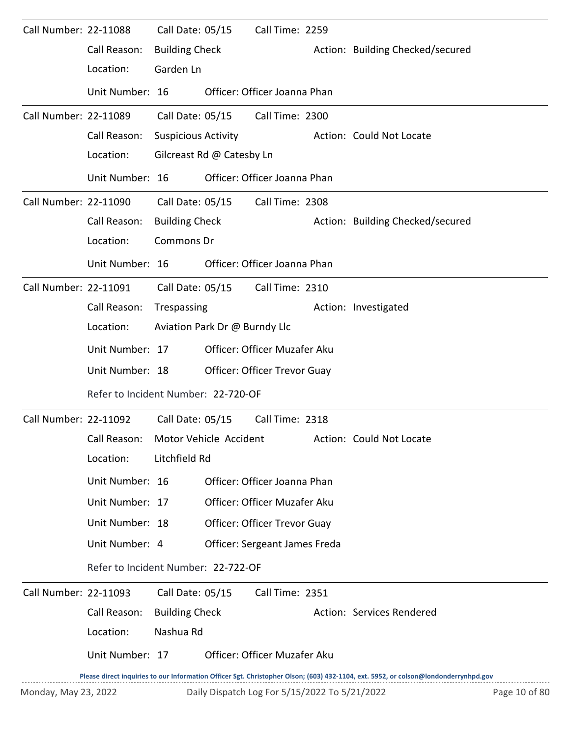| Call Number: 22-11088 |                                     | Call Date: 05/15           |                               | Call Time: 2259                               |  |                                                                                                                                     |               |  |  |
|-----------------------|-------------------------------------|----------------------------|-------------------------------|-----------------------------------------------|--|-------------------------------------------------------------------------------------------------------------------------------------|---------------|--|--|
|                       | Call Reason:                        | <b>Building Check</b>      |                               |                                               |  | Action: Building Checked/secured                                                                                                    |               |  |  |
|                       | Location:                           | Garden Ln                  |                               |                                               |  |                                                                                                                                     |               |  |  |
|                       | Unit Number: 16                     |                            |                               | Officer: Officer Joanna Phan                  |  |                                                                                                                                     |               |  |  |
| Call Number: 22-11089 |                                     |                            | Call Date: 05/15              | Call Time: 2300                               |  |                                                                                                                                     |               |  |  |
|                       | Call Reason:                        | <b>Suspicious Activity</b> |                               |                                               |  | Action: Could Not Locate                                                                                                            |               |  |  |
|                       | Location:                           |                            | Gilcreast Rd @ Catesby Ln     |                                               |  |                                                                                                                                     |               |  |  |
|                       | Unit Number: 16                     |                            |                               | Officer: Officer Joanna Phan                  |  |                                                                                                                                     |               |  |  |
| Call Number: 22-11090 |                                     | Call Date: 05/15           |                               | Call Time: 2308                               |  |                                                                                                                                     |               |  |  |
|                       | Call Reason:                        | <b>Building Check</b>      |                               |                                               |  | Action: Building Checked/secured                                                                                                    |               |  |  |
|                       | Location:                           | Commons Dr                 |                               |                                               |  |                                                                                                                                     |               |  |  |
|                       | Unit Number: 16                     |                            |                               | Officer: Officer Joanna Phan                  |  |                                                                                                                                     |               |  |  |
| Call Number: 22-11091 |                                     |                            |                               | Call Date: 05/15 Call Time: 2310              |  |                                                                                                                                     |               |  |  |
|                       | Call Reason:                        | Trespassing                |                               |                                               |  | Action: Investigated                                                                                                                |               |  |  |
|                       | Location:                           |                            | Aviation Park Dr @ Burndy Llc |                                               |  |                                                                                                                                     |               |  |  |
|                       | Unit Number: 17                     |                            |                               | Officer: Officer Muzafer Aku                  |  |                                                                                                                                     |               |  |  |
|                       | Unit Number: 18                     |                            |                               | Officer: Officer Trevor Guay                  |  |                                                                                                                                     |               |  |  |
|                       | Refer to Incident Number: 22-720-OF |                            |                               |                                               |  |                                                                                                                                     |               |  |  |
| Call Number: 22-11092 |                                     | Call Date: 05/15           |                               | Call Time: 2318                               |  |                                                                                                                                     |               |  |  |
|                       |                                     |                            |                               |                                               |  | Call Reason: Motor Vehicle Accident Action: Could Not Locate                                                                        |               |  |  |
|                       | Location:                           | Litchfield Rd              |                               |                                               |  |                                                                                                                                     |               |  |  |
|                       | Unit Number: 16                     |                            |                               | Officer: Officer Joanna Phan                  |  |                                                                                                                                     |               |  |  |
|                       | Unit Number: 17                     |                            |                               | Officer: Officer Muzafer Aku                  |  |                                                                                                                                     |               |  |  |
|                       | Unit Number: 18                     |                            |                               | Officer: Officer Trevor Guay                  |  |                                                                                                                                     |               |  |  |
|                       | Unit Number: 4                      |                            |                               | Officer: Sergeant James Freda                 |  |                                                                                                                                     |               |  |  |
|                       | Refer to Incident Number: 22-722-OF |                            |                               |                                               |  |                                                                                                                                     |               |  |  |
| Call Number: 22-11093 |                                     | Call Date: 05/15           |                               | Call Time: 2351                               |  |                                                                                                                                     |               |  |  |
|                       | Call Reason:                        | <b>Building Check</b>      |                               |                                               |  | Action: Services Rendered                                                                                                           |               |  |  |
|                       | Location:                           | Nashua Rd                  |                               |                                               |  |                                                                                                                                     |               |  |  |
|                       | Unit Number: 17                     |                            |                               | Officer: Officer Muzafer Aku                  |  |                                                                                                                                     |               |  |  |
|                       |                                     |                            |                               |                                               |  | Please direct inquiries to our Information Officer Sgt. Christopher Olson; (603) 432-1104, ext. 5952, or colson@londonderrynhpd.gov |               |  |  |
| Monday, May 23, 2022  |                                     |                            |                               | Daily Dispatch Log For 5/15/2022 To 5/21/2022 |  |                                                                                                                                     | Page 10 of 80 |  |  |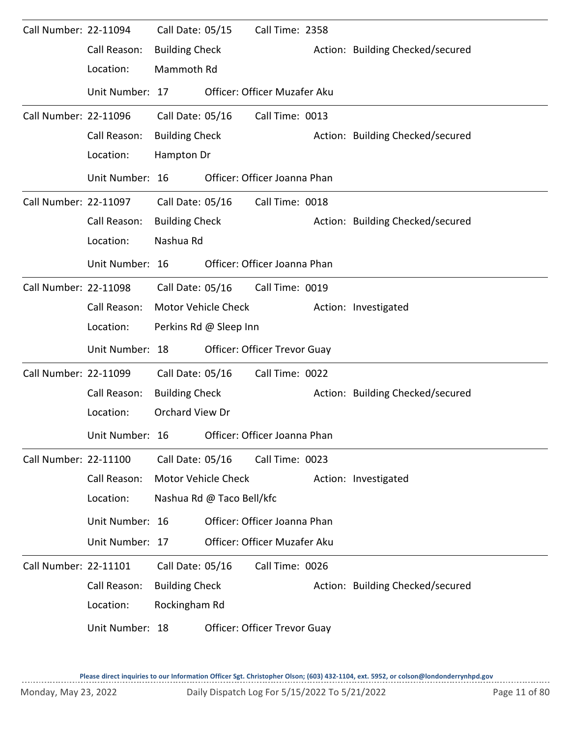| Call Number: 22-11094 |                 | Call Date: 05/15      |                           | Call Time: 2358              |  |                                  |  |  |  |  |
|-----------------------|-----------------|-----------------------|---------------------------|------------------------------|--|----------------------------------|--|--|--|--|
|                       | Call Reason:    | <b>Building Check</b> |                           |                              |  | Action: Building Checked/secured |  |  |  |  |
|                       | Location:       | Mammoth Rd            |                           |                              |  |                                  |  |  |  |  |
|                       | Unit Number: 17 |                       |                           | Officer: Officer Muzafer Aku |  |                                  |  |  |  |  |
| Call Number: 22-11096 |                 | Call Date: 05/16      |                           | Call Time: 0013              |  |                                  |  |  |  |  |
|                       | Call Reason:    | <b>Building Check</b> |                           |                              |  | Action: Building Checked/secured |  |  |  |  |
|                       | Location:       | Hampton Dr            |                           |                              |  |                                  |  |  |  |  |
|                       | Unit Number: 16 |                       |                           | Officer: Officer Joanna Phan |  |                                  |  |  |  |  |
| Call Number: 22-11097 |                 | Call Date: 05/16      |                           | Call Time: 0018              |  |                                  |  |  |  |  |
|                       | Call Reason:    | <b>Building Check</b> |                           |                              |  | Action: Building Checked/secured |  |  |  |  |
|                       | Location:       | Nashua Rd             |                           |                              |  |                                  |  |  |  |  |
|                       | Unit Number: 16 |                       |                           | Officer: Officer Joanna Phan |  |                                  |  |  |  |  |
| Call Number: 22-11098 |                 | Call Date: 05/16      |                           | Call Time: 0019              |  |                                  |  |  |  |  |
|                       | Call Reason:    |                       | Motor Vehicle Check       |                              |  | Action: Investigated             |  |  |  |  |
|                       | Location:       |                       | Perkins Rd @ Sleep Inn    |                              |  |                                  |  |  |  |  |
|                       | Unit Number: 18 |                       |                           | Officer: Officer Trevor Guay |  |                                  |  |  |  |  |
| Call Number: 22-11099 |                 | Call Date: 05/16      |                           | Call Time: 0022              |  |                                  |  |  |  |  |
|                       | Call Reason:    | <b>Building Check</b> |                           |                              |  | Action: Building Checked/secured |  |  |  |  |
|                       | Location:       | Orchard View Dr       |                           |                              |  |                                  |  |  |  |  |
|                       | Unit Number: 16 |                       |                           | Officer: Officer Joanna Phan |  |                                  |  |  |  |  |
| Call Number: 22-11100 |                 | Call Date: 05/16      |                           | Call Time: 0023              |  |                                  |  |  |  |  |
|                       | Call Reason:    |                       | Motor Vehicle Check       |                              |  | Action: Investigated             |  |  |  |  |
|                       | Location:       |                       | Nashua Rd @ Taco Bell/kfc |                              |  |                                  |  |  |  |  |
|                       | Unit Number: 16 |                       |                           | Officer: Officer Joanna Phan |  |                                  |  |  |  |  |
|                       | Unit Number: 17 |                       |                           | Officer: Officer Muzafer Aku |  |                                  |  |  |  |  |
| Call Number: 22-11101 |                 | Call Date: 05/16      |                           | Call Time: 0026              |  |                                  |  |  |  |  |
|                       | Call Reason:    | <b>Building Check</b> |                           |                              |  | Action: Building Checked/secured |  |  |  |  |
|                       | Location:       | Rockingham Rd         |                           |                              |  |                                  |  |  |  |  |
|                       | Unit Number: 18 |                       |                           | Officer: Officer Trevor Guay |  |                                  |  |  |  |  |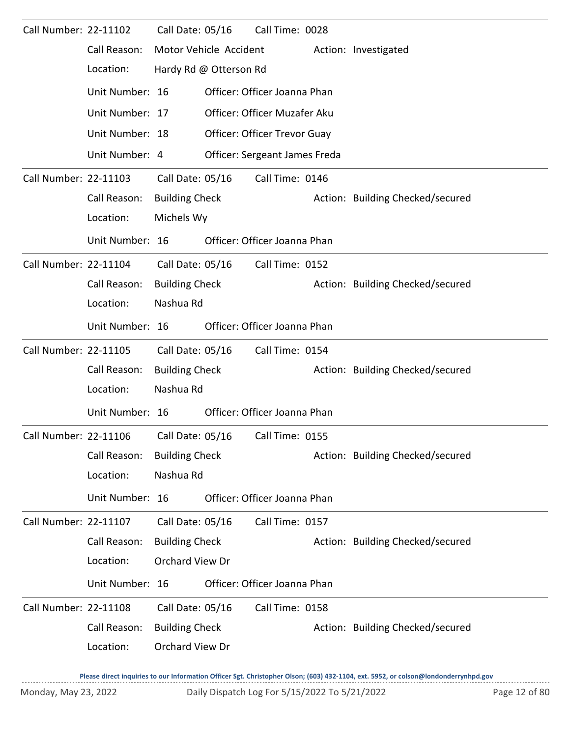| Call Number: 22-11102                           |                                           | Call Date: 05/16      |                        | Call Time: 0028               |  |                                  |
|-------------------------------------------------|-------------------------------------------|-----------------------|------------------------|-------------------------------|--|----------------------------------|
|                                                 | Call Reason:                              |                       | Motor Vehicle Accident |                               |  | Action: Investigated             |
|                                                 | Location:                                 |                       | Hardy Rd @ Otterson Rd |                               |  |                                  |
|                                                 | Unit Number: 16                           |                       |                        | Officer: Officer Joanna Phan  |  |                                  |
| Unit Number: 17<br>Officer: Officer Muzafer Aku |                                           |                       |                        |                               |  |                                  |
|                                                 | Unit Number: 18                           |                       |                        | Officer: Officer Trevor Guay  |  |                                  |
|                                                 | Unit Number: 4                            |                       |                        | Officer: Sergeant James Freda |  |                                  |
| Call Number: 22-11103                           |                                           | Call Date: 05/16      |                        | Call Time: 0146               |  |                                  |
|                                                 | Call Reason:                              | <b>Building Check</b> |                        |                               |  | Action: Building Checked/secured |
|                                                 | Location:                                 | Michels Wy            |                        |                               |  |                                  |
|                                                 | Unit Number: 16                           |                       |                        | Officer: Officer Joanna Phan  |  |                                  |
| Call Number: 22-11104                           |                                           | Call Date: 05/16      |                        | Call Time: 0152               |  |                                  |
|                                                 | Call Reason:                              | <b>Building Check</b> |                        |                               |  | Action: Building Checked/secured |
|                                                 | Location:                                 | Nashua Rd             |                        |                               |  |                                  |
|                                                 | Unit Number: 16                           |                       |                        | Officer: Officer Joanna Phan  |  |                                  |
| Call Number: 22-11105                           |                                           | Call Date: 05/16      |                        | Call Time: 0154               |  |                                  |
|                                                 | Call Reason:                              | <b>Building Check</b> |                        |                               |  | Action: Building Checked/secured |
|                                                 | Location:                                 | Nashua Rd             |                        |                               |  |                                  |
|                                                 | Unit Number: 16                           |                       |                        | Officer: Officer Joanna Phan  |  |                                  |
|                                                 | Call Number: 22-11106    Call Date: 05/16 |                       |                        | Call Time: 0155               |  |                                  |
|                                                 | Call Reason:                              | <b>Building Check</b> |                        |                               |  | Action: Building Checked/secured |
|                                                 | Location:                                 | Nashua Rd             |                        |                               |  |                                  |
|                                                 | Unit Number: 16                           |                       |                        | Officer: Officer Joanna Phan  |  |                                  |
| Call Number: 22-11107                           |                                           | Call Date: 05/16      |                        | Call Time: 0157               |  |                                  |
|                                                 | Call Reason:                              | <b>Building Check</b> |                        |                               |  | Action: Building Checked/secured |
|                                                 | Location:                                 | Orchard View Dr       |                        |                               |  |                                  |
|                                                 | Unit Number: 16                           |                       |                        | Officer: Officer Joanna Phan  |  |                                  |
| Call Number: 22-11108                           |                                           | Call Date: 05/16      |                        | Call Time: 0158               |  |                                  |
|                                                 |                                           |                       |                        |                               |  |                                  |
|                                                 | Call Reason:                              | <b>Building Check</b> |                        |                               |  | Action: Building Checked/secured |
|                                                 | Location:                                 | Orchard View Dr       |                        |                               |  |                                  |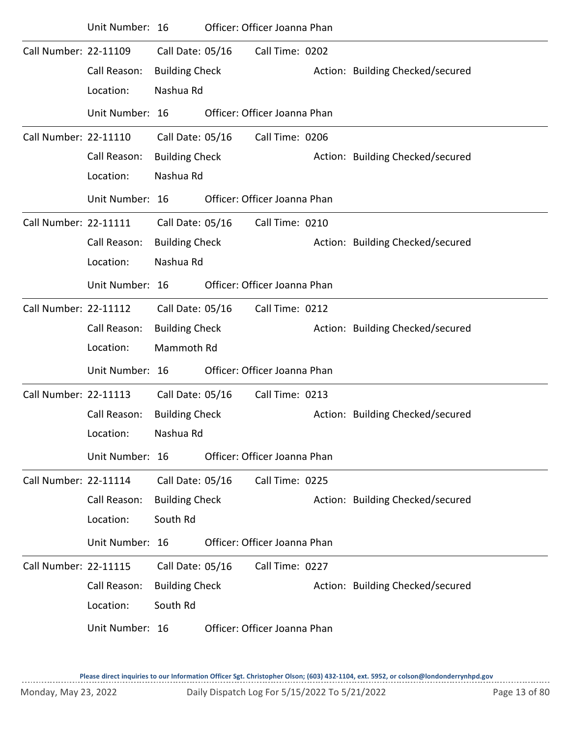|                              | Unit Number: 16 |                       | Officer: Officer Joanna Phan |                                  |
|------------------------------|-----------------|-----------------------|------------------------------|----------------------------------|
| Call Number: 22-11109        |                 | Call Date: 05/16      | Call Time: 0202              |                                  |
|                              | Call Reason:    | <b>Building Check</b> |                              | Action: Building Checked/secured |
|                              | Location:       | Nashua Rd             |                              |                                  |
|                              | Unit Number: 16 |                       | Officer: Officer Joanna Phan |                                  |
| Call Number: 22-11110        |                 | Call Date: 05/16      | Call Time: 0206              |                                  |
|                              | Call Reason:    | <b>Building Check</b> |                              | Action: Building Checked/secured |
|                              | Location:       | Nashua Rd             |                              |                                  |
|                              | Unit Number: 16 |                       | Officer: Officer Joanna Phan |                                  |
| Call Number: 22-11111        |                 | Call Date: 05/16      | Call Time: 0210              |                                  |
|                              | Call Reason:    | <b>Building Check</b> |                              | Action: Building Checked/secured |
|                              | Location:       | Nashua Rd             |                              |                                  |
|                              | Unit Number: 16 |                       | Officer: Officer Joanna Phan |                                  |
| <b>Call Number: 22-11112</b> |                 | Call Date: 05/16      | Call Time: 0212              |                                  |
|                              | Call Reason:    | <b>Building Check</b> |                              | Action: Building Checked/secured |
|                              | Location:       | Mammoth Rd            |                              |                                  |
|                              | Unit Number: 16 |                       | Officer: Officer Joanna Phan |                                  |
| <b>Call Number: 22-11113</b> |                 | Call Date: 05/16      | Call Time: 0213              |                                  |
|                              | Call Reason:    | <b>Building Check</b> |                              | Action: Building Checked/secured |
|                              | Location:       | Nashua Rd             |                              |                                  |
|                              | Unit Number: 16 |                       | Officer: Officer Joanna Phan |                                  |
| Call Number: 22-11114        |                 | Call Date: 05/16      | Call Time: 0225              |                                  |
|                              | Call Reason:    | <b>Building Check</b> |                              | Action: Building Checked/secured |
|                              | Location:       | South Rd              |                              |                                  |
|                              | Unit Number: 16 |                       | Officer: Officer Joanna Phan |                                  |
| <b>Call Number: 22-11115</b> |                 | Call Date: 05/16      | Call Time: 0227              |                                  |
|                              | Call Reason:    | <b>Building Check</b> |                              | Action: Building Checked/secured |
|                              | Location:       | South Rd              |                              |                                  |
|                              | Unit Number: 16 |                       | Officer: Officer Joanna Phan |                                  |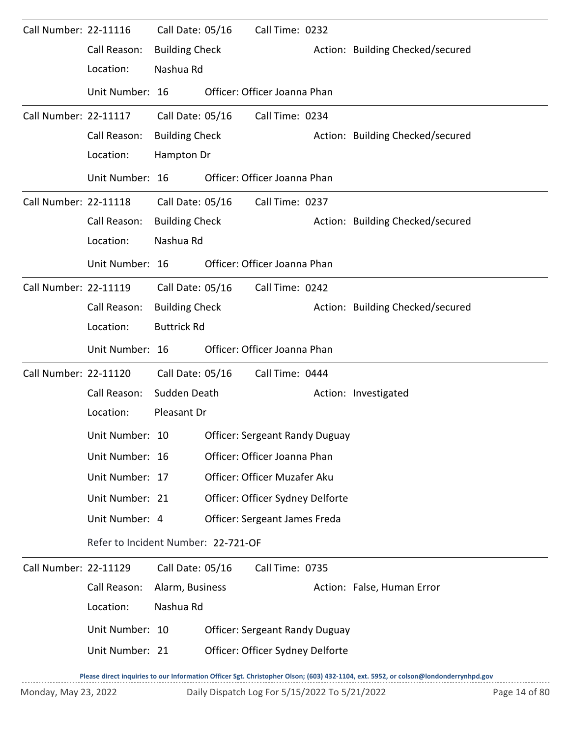| Call Number: 22-11116 |                                     | Call Date: 05/16      | Call Time: 0232                       |                                                                                                                                      |
|-----------------------|-------------------------------------|-----------------------|---------------------------------------|--------------------------------------------------------------------------------------------------------------------------------------|
|                       | Call Reason:                        | <b>Building Check</b> |                                       | Action: Building Checked/secured                                                                                                     |
|                       | Location:                           | Nashua Rd             |                                       |                                                                                                                                      |
|                       | Unit Number: 16                     |                       | Officer: Officer Joanna Phan          |                                                                                                                                      |
| Call Number: 22-11117 |                                     | Call Date: 05/16      | Call Time: 0234                       |                                                                                                                                      |
|                       | Call Reason:                        | <b>Building Check</b> |                                       | Action: Building Checked/secured                                                                                                     |
|                       | Location:                           | Hampton Dr            |                                       |                                                                                                                                      |
|                       | Unit Number: 16                     |                       | Officer: Officer Joanna Phan          |                                                                                                                                      |
| Call Number: 22-11118 |                                     | Call Date: 05/16      | Call Time: 0237                       |                                                                                                                                      |
|                       | Call Reason:                        | <b>Building Check</b> |                                       | Action: Building Checked/secured                                                                                                     |
|                       | Location:                           | Nashua Rd             |                                       |                                                                                                                                      |
|                       | Unit Number: 16                     |                       | Officer: Officer Joanna Phan          |                                                                                                                                      |
| Call Number: 22-11119 |                                     | Call Date: 05/16      | Call Time: 0242                       |                                                                                                                                      |
|                       | Call Reason:                        | <b>Building Check</b> |                                       | Action: Building Checked/secured                                                                                                     |
|                       | Location:                           | <b>Buttrick Rd</b>    |                                       |                                                                                                                                      |
|                       | Unit Number: 16                     |                       | Officer: Officer Joanna Phan          |                                                                                                                                      |
| Call Number: 22-11120 |                                     | Call Date: 05/16      | Call Time: 0444                       |                                                                                                                                      |
|                       | Call Reason:                        | Sudden Death          |                                       | Action: Investigated                                                                                                                 |
|                       | Location:                           | Pleasant Dr           |                                       |                                                                                                                                      |
|                       | Unit Number: 10                     |                       | <b>Officer: Sergeant Randy Duguay</b> |                                                                                                                                      |
|                       | Unit Number: 16                     |                       | Officer: Officer Joanna Phan          |                                                                                                                                      |
|                       | Unit Number: 17                     |                       | Officer: Officer Muzafer Aku          |                                                                                                                                      |
|                       | Unit Number: 21                     |                       | Officer: Officer Sydney Delforte      |                                                                                                                                      |
|                       | Unit Number: 4                      |                       | Officer: Sergeant James Freda         |                                                                                                                                      |
|                       | Refer to Incident Number: 22-721-OF |                       |                                       |                                                                                                                                      |
| Call Number: 22-11129 |                                     | Call Date: 05/16      | Call Time: 0735                       |                                                                                                                                      |
|                       | Call Reason:                        | Alarm, Business       |                                       | Action: False, Human Error                                                                                                           |
|                       | Location:                           | Nashua Rd             |                                       |                                                                                                                                      |
|                       | Unit Number: 10                     |                       | <b>Officer: Sergeant Randy Duguay</b> |                                                                                                                                      |
|                       | Unit Number: 21                     |                       | Officer: Officer Sydney Delforte      |                                                                                                                                      |
|                       |                                     |                       |                                       | Researching the University of the University Officer Sat Christopher Olson: (603) 432-1104 ext 5952 or colson@londonderrynhad govern |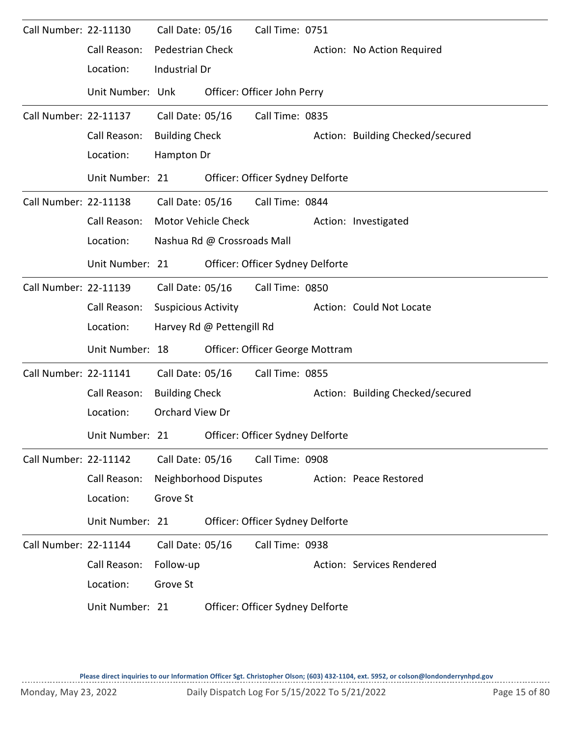| Call Number: 22-11130 |                  | Call Date: 05/16           |                             | Call Time: 0751                  |                                  |
|-----------------------|------------------|----------------------------|-----------------------------|----------------------------------|----------------------------------|
|                       | Call Reason:     | <b>Pedestrian Check</b>    |                             |                                  | Action: No Action Required       |
|                       | Location:        | Industrial Dr              |                             |                                  |                                  |
|                       | Unit Number: Unk |                            |                             | Officer: Officer John Perry      |                                  |
| Call Number: 22-11137 |                  | Call Date: 05/16           |                             | Call Time: 0835                  |                                  |
|                       | Call Reason:     | <b>Building Check</b>      |                             |                                  | Action: Building Checked/secured |
|                       | Location:        | Hampton Dr                 |                             |                                  |                                  |
|                       | Unit Number: 21  |                            |                             | Officer: Officer Sydney Delforte |                                  |
| Call Number: 22-11138 |                  |                            |                             | Call Date: 05/16 Call Time: 0844 |                                  |
|                       | Call Reason:     |                            | Motor Vehicle Check         |                                  | Action: Investigated             |
|                       | Location:        |                            | Nashua Rd @ Crossroads Mall |                                  |                                  |
|                       | Unit Number: 21  |                            |                             | Officer: Officer Sydney Delforte |                                  |
| Call Number: 22-11139 |                  | Call Date: 05/16           |                             | Call Time: 0850                  |                                  |
|                       | Call Reason:     | <b>Suspicious Activity</b> |                             |                                  | Action: Could Not Locate         |
|                       | Location:        |                            | Harvey Rd @ Pettengill Rd   |                                  |                                  |
|                       | Unit Number: 18  |                            |                             | Officer: Officer George Mottram  |                                  |
| Call Number: 22-11141 |                  | Call Date: 05/16           |                             | Call Time: 0855                  |                                  |
|                       | Call Reason:     | <b>Building Check</b>      |                             |                                  | Action: Building Checked/secured |
|                       | Location:        | Orchard View Dr            |                             |                                  |                                  |
|                       | Unit Number: 21  |                            |                             | Officer: Officer Sydney Delforte |                                  |
| Call Number: 22-11142 |                  | Call Date: 05/16           |                             | Call Time: 0908                  |                                  |
|                       | Call Reason:     |                            | Neighborhood Disputes       |                                  | Action: Peace Restored           |
|                       | Location:        | Grove St                   |                             |                                  |                                  |
|                       | Unit Number: 21  |                            |                             | Officer: Officer Sydney Delforte |                                  |
| Call Number: 22-11144 |                  | Call Date: 05/16           |                             | Call Time: 0938                  |                                  |
|                       | Call Reason:     | Follow-up                  |                             |                                  | Action: Services Rendered        |
|                       | Location:        | Grove St                   |                             |                                  |                                  |
|                       | Unit Number: 21  |                            |                             | Officer: Officer Sydney Delforte |                                  |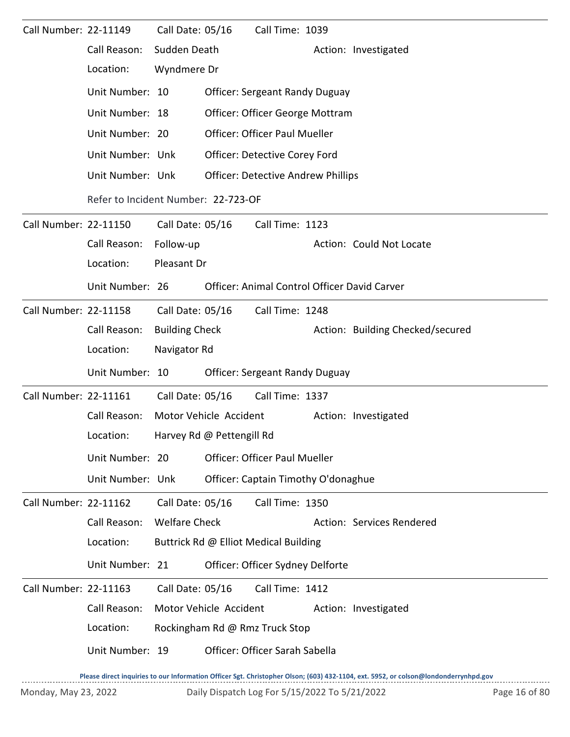| Call Number: 22-11149 |                                     | Call Date: 05/16      |                           | Call Time: 1039                           |  |                                              |  |  |  |
|-----------------------|-------------------------------------|-----------------------|---------------------------|-------------------------------------------|--|----------------------------------------------|--|--|--|
|                       | Call Reason:                        | Sudden Death          |                           |                                           |  | Action: Investigated                         |  |  |  |
|                       | Location:                           | Wyndmere Dr           |                           |                                           |  |                                              |  |  |  |
|                       | Unit Number: 10                     |                       |                           | <b>Officer: Sergeant Randy Duguay</b>     |  |                                              |  |  |  |
|                       | Unit Number: 18                     |                       |                           | Officer: Officer George Mottram           |  |                                              |  |  |  |
|                       | Unit Number: 20                     |                       |                           | <b>Officer: Officer Paul Mueller</b>      |  |                                              |  |  |  |
|                       | Unit Number: Unk                    |                       |                           | Officer: Detective Corey Ford             |  |                                              |  |  |  |
|                       | Unit Number: Unk                    |                       |                           | <b>Officer: Detective Andrew Phillips</b> |  |                                              |  |  |  |
|                       | Refer to Incident Number: 22-723-OF |                       |                           |                                           |  |                                              |  |  |  |
| Call Number: 22-11150 |                                     | Call Date: 05/16      |                           | Call Time: 1123                           |  |                                              |  |  |  |
|                       | Call Reason:                        | Follow-up             |                           |                                           |  | Action: Could Not Locate                     |  |  |  |
|                       | Location:                           | Pleasant Dr           |                           |                                           |  |                                              |  |  |  |
|                       | Unit Number: 26                     |                       |                           |                                           |  | Officer: Animal Control Officer David Carver |  |  |  |
| Call Number: 22-11158 |                                     | Call Date: 05/16      |                           | Call Time: 1248                           |  |                                              |  |  |  |
|                       | Call Reason:                        | <b>Building Check</b> |                           |                                           |  | Action: Building Checked/secured             |  |  |  |
|                       | Location:                           | Navigator Rd          |                           |                                           |  |                                              |  |  |  |
|                       | Unit Number: 10                     |                       |                           | <b>Officer: Sergeant Randy Duguay</b>     |  |                                              |  |  |  |
| Call Number: 22-11161 |                                     | Call Date: 05/16      |                           | Call Time: 1337                           |  |                                              |  |  |  |
|                       | Call Reason:                        |                       | Motor Vehicle Accident    |                                           |  | Action: Investigated                         |  |  |  |
|                       | Location:                           |                       | Harvey Rd @ Pettengill Rd |                                           |  |                                              |  |  |  |
|                       | Unit Number: 20                     |                       |                           | <b>Officer: Officer Paul Mueller</b>      |  |                                              |  |  |  |
|                       | Unit Number: Unk                    |                       |                           | Officer: Captain Timothy O'donaghue       |  |                                              |  |  |  |
| Call Number: 22-11162 |                                     | Call Date: 05/16      |                           | Call Time: 1350                           |  |                                              |  |  |  |
|                       | Call Reason:                        | <b>Welfare Check</b>  |                           |                                           |  | Action: Services Rendered                    |  |  |  |
|                       | Location:                           |                       |                           | Buttrick Rd @ Elliot Medical Building     |  |                                              |  |  |  |
|                       | Unit Number: 21                     |                       |                           | Officer: Officer Sydney Delforte          |  |                                              |  |  |  |
| Call Number: 22-11163 |                                     | Call Date: 05/16      |                           | Call Time: 1412                           |  |                                              |  |  |  |
|                       | Call Reason:                        |                       | Motor Vehicle Accident    |                                           |  | Action: Investigated                         |  |  |  |
|                       | Location:                           |                       |                           | Rockingham Rd @ Rmz Truck Stop            |  |                                              |  |  |  |
|                       | Unit Number: 19                     |                       |                           | Officer: Officer Sarah Sabella            |  |                                              |  |  |  |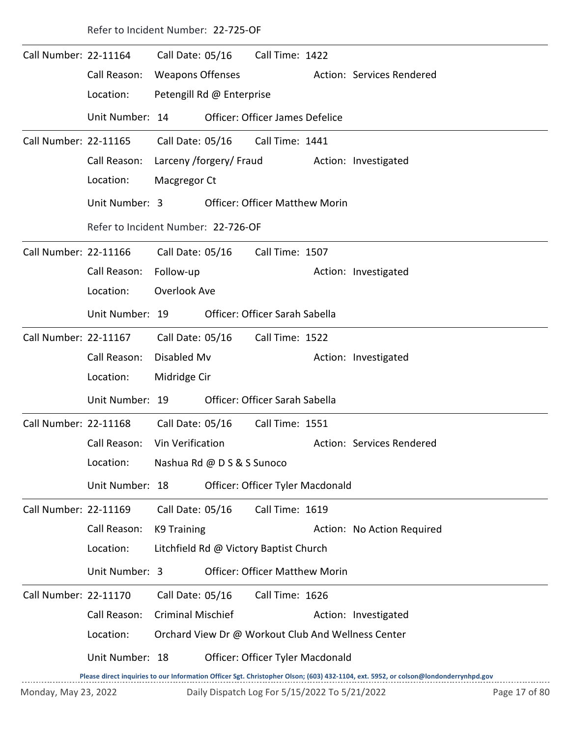|                       |                 | Refer to Incident Number: 22-725-OF |                                     |                                        |  |                                                                                                                                     |  |  |  |  |  |
|-----------------------|-----------------|-------------------------------------|-------------------------------------|----------------------------------------|--|-------------------------------------------------------------------------------------------------------------------------------------|--|--|--|--|--|
| Call Number: 22-11164 |                 | Call Date: 05/16                    |                                     | Call Time: 1422                        |  |                                                                                                                                     |  |  |  |  |  |
|                       | Call Reason:    | <b>Weapons Offenses</b>             |                                     |                                        |  | Action: Services Rendered                                                                                                           |  |  |  |  |  |
|                       | Location:       | Petengill Rd @ Enterprise           |                                     |                                        |  |                                                                                                                                     |  |  |  |  |  |
|                       | Unit Number: 14 |                                     |                                     | <b>Officer: Officer James Defelice</b> |  |                                                                                                                                     |  |  |  |  |  |
| Call Number: 22-11165 |                 | Call Date: 05/16                    |                                     | Call Time: 1441                        |  |                                                                                                                                     |  |  |  |  |  |
|                       | Call Reason:    | Larceny /forgery/ Fraud             |                                     |                                        |  | Action: Investigated                                                                                                                |  |  |  |  |  |
|                       | Location:       | Macgregor Ct                        |                                     |                                        |  |                                                                                                                                     |  |  |  |  |  |
|                       | Unit Number: 3  |                                     |                                     | <b>Officer: Officer Matthew Morin</b>  |  |                                                                                                                                     |  |  |  |  |  |
|                       |                 |                                     | Refer to Incident Number: 22-726-OF |                                        |  |                                                                                                                                     |  |  |  |  |  |
| Call Number: 22-11166 |                 | Call Date: 05/16                    |                                     | Call Time: 1507                        |  |                                                                                                                                     |  |  |  |  |  |
|                       | Call Reason:    | Follow-up                           |                                     |                                        |  | Action: Investigated                                                                                                                |  |  |  |  |  |
|                       | Location:       | Overlook Ave                        |                                     |                                        |  |                                                                                                                                     |  |  |  |  |  |
|                       | Unit Number: 19 |                                     |                                     | Officer: Officer Sarah Sabella         |  |                                                                                                                                     |  |  |  |  |  |
| Call Number: 22-11167 |                 | Call Date: 05/16                    |                                     | Call Time: 1522                        |  |                                                                                                                                     |  |  |  |  |  |
|                       | Call Reason:    | Disabled Mv                         |                                     |                                        |  | Action: Investigated                                                                                                                |  |  |  |  |  |
|                       | Location:       | Midridge Cir                        |                                     |                                        |  |                                                                                                                                     |  |  |  |  |  |
|                       | Unit Number: 19 |                                     |                                     | Officer: Officer Sarah Sabella         |  |                                                                                                                                     |  |  |  |  |  |
| Call Number: 22-11168 |                 | Call Date: 05/16                    |                                     | Call Time: 1551                        |  |                                                                                                                                     |  |  |  |  |  |
|                       | Call Reason:    | Vin Verification                    |                                     |                                        |  | Action: Services Rendered                                                                                                           |  |  |  |  |  |
|                       | Location:       | Nashua Rd @ D S & S Sunoco          |                                     |                                        |  |                                                                                                                                     |  |  |  |  |  |
|                       | Unit Number: 18 |                                     |                                     | Officer: Officer Tyler Macdonald       |  |                                                                                                                                     |  |  |  |  |  |
| Call Number: 22-11169 |                 | Call Date: 05/16                    |                                     | Call Time: 1619                        |  |                                                                                                                                     |  |  |  |  |  |
|                       | Call Reason:    | K9 Training                         |                                     |                                        |  | Action: No Action Required                                                                                                          |  |  |  |  |  |
|                       | Location:       |                                     |                                     | Litchfield Rd @ Victory Baptist Church |  |                                                                                                                                     |  |  |  |  |  |
|                       | Unit Number: 3  |                                     |                                     | <b>Officer: Officer Matthew Morin</b>  |  |                                                                                                                                     |  |  |  |  |  |
| Call Number: 22-11170 |                 | Call Date: 05/16                    |                                     | Call Time: 1626                        |  |                                                                                                                                     |  |  |  |  |  |
|                       | Call Reason:    | <b>Criminal Mischief</b>            |                                     |                                        |  | Action: Investigated                                                                                                                |  |  |  |  |  |
|                       | Location:       |                                     |                                     |                                        |  | Orchard View Dr @ Workout Club And Wellness Center                                                                                  |  |  |  |  |  |
|                       | Unit Number: 18 |                                     |                                     | Officer: Officer Tyler Macdonald       |  |                                                                                                                                     |  |  |  |  |  |
|                       |                 |                                     |                                     |                                        |  | Please direct inquiries to our Information Officer Sgt. Christopher Olson; (603) 432-1104, ext. 5952, or colson@londonderrynhpd.gov |  |  |  |  |  |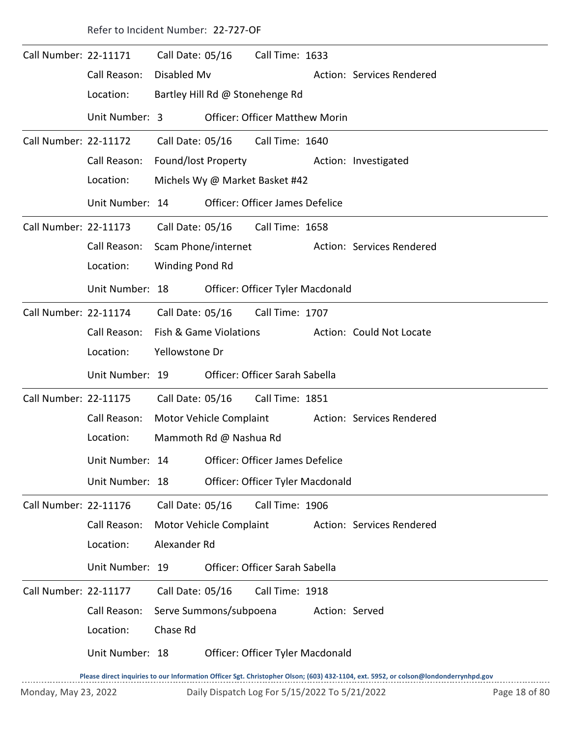|                              | Refer to Incident Number: 22-727-OF |                         |                                |                                       |                |                           |  |  |  |  |  |
|------------------------------|-------------------------------------|-------------------------|--------------------------------|---------------------------------------|----------------|---------------------------|--|--|--|--|--|
| Call Number: 22-11171        |                                     | Call Date: 05/16        |                                | Call Time: 1633                       |                |                           |  |  |  |  |  |
|                              | Call Reason:                        | Disabled Mv             |                                |                                       |                | Action: Services Rendered |  |  |  |  |  |
|                              | Location:                           |                         |                                | Bartley Hill Rd @ Stonehenge Rd       |                |                           |  |  |  |  |  |
|                              | Unit Number: 3                      |                         |                                | <b>Officer: Officer Matthew Morin</b> |                |                           |  |  |  |  |  |
| <b>Call Number: 22-11172</b> |                                     |                         |                                | Call Date: 05/16 Call Time: 1640      |                |                           |  |  |  |  |  |
|                              | Call Reason:                        | Found/lost Property     |                                |                                       |                | Action: Investigated      |  |  |  |  |  |
|                              | Location:                           |                         | Michels Wy @ Market Basket #42 |                                       |                |                           |  |  |  |  |  |
|                              | Unit Number: 14                     |                         |                                | Officer: Officer James Defelice       |                |                           |  |  |  |  |  |
| Call Number: 22-11173        |                                     | Call Date: 05/16        |                                | Call Time: 1658                       |                |                           |  |  |  |  |  |
|                              | Call Reason:                        | Scam Phone/internet     |                                |                                       |                | Action: Services Rendered |  |  |  |  |  |
|                              | Location:                           | Winding Pond Rd         |                                |                                       |                |                           |  |  |  |  |  |
|                              | Unit Number: 18                     |                         |                                | Officer: Officer Tyler Macdonald      |                |                           |  |  |  |  |  |
| Call Number: 22-11174        |                                     | Call Date: 05/16        |                                | Call Time: 1707                       |                |                           |  |  |  |  |  |
|                              | Call Reason:                        | Fish & Game Violations  |                                |                                       |                | Action: Could Not Locate  |  |  |  |  |  |
|                              | Location:                           | Yellowstone Dr          |                                |                                       |                |                           |  |  |  |  |  |
|                              | Unit Number: 19                     |                         |                                | Officer: Officer Sarah Sabella        |                |                           |  |  |  |  |  |
| Call Number: 22-11175        |                                     | Call Date: 05/16        |                                | Call Time: 1851                       |                |                           |  |  |  |  |  |
|                              | Call Reason:                        |                         | Motor Vehicle Complaint        |                                       |                | Action: Services Rendered |  |  |  |  |  |
|                              | Location:                           |                         | Mammoth Rd @ Nashua Rd         |                                       |                |                           |  |  |  |  |  |
|                              | Unit Number: 14                     |                         |                                | Officer: Officer James Defelice       |                |                           |  |  |  |  |  |
|                              | Unit Number: 18                     |                         |                                | Officer: Officer Tyler Macdonald      |                |                           |  |  |  |  |  |
| Call Number: 22-11176        |                                     | Call Date: 05/16        |                                | Call Time: 1906                       |                |                           |  |  |  |  |  |
|                              | Call Reason:                        | Motor Vehicle Complaint |                                |                                       |                | Action: Services Rendered |  |  |  |  |  |
|                              | Location:                           | Alexander Rd            |                                |                                       |                |                           |  |  |  |  |  |
|                              | Unit Number: 19                     |                         |                                | Officer: Officer Sarah Sabella        |                |                           |  |  |  |  |  |
| <b>Call Number: 22-11177</b> |                                     | Call Date: 05/16        |                                | Call Time: 1918                       |                |                           |  |  |  |  |  |
|                              | Call Reason:                        | Serve Summons/subpoena  |                                |                                       | Action: Served |                           |  |  |  |  |  |
|                              | Location:                           | Chase Rd                |                                |                                       |                |                           |  |  |  |  |  |
|                              | Unit Number: 18                     |                         |                                | Officer: Officer Tyler Macdonald      |                |                           |  |  |  |  |  |
|                              |                                     |                         |                                |                                       |                |                           |  |  |  |  |  |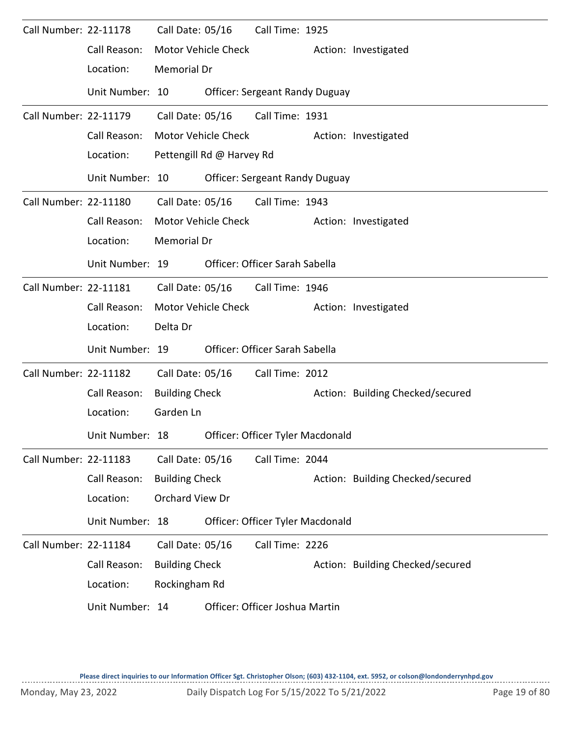| Call Number: 22-11178 |                 | Call Date: 05/16      |                           | Call Time: 1925                       |  |                                  |  |  |  |  |
|-----------------------|-----------------|-----------------------|---------------------------|---------------------------------------|--|----------------------------------|--|--|--|--|
|                       | Call Reason:    |                       | Motor Vehicle Check       |                                       |  | Action: Investigated             |  |  |  |  |
|                       | Location:       | Memorial Dr           |                           |                                       |  |                                  |  |  |  |  |
|                       | Unit Number: 10 |                       |                           | <b>Officer: Sergeant Randy Duguay</b> |  |                                  |  |  |  |  |
| Call Number: 22-11179 |                 | Call Date: 05/16      |                           | Call Time: 1931                       |  |                                  |  |  |  |  |
|                       | Call Reason:    |                       | Motor Vehicle Check       |                                       |  | Action: Investigated             |  |  |  |  |
|                       | Location:       |                       | Pettengill Rd @ Harvey Rd |                                       |  |                                  |  |  |  |  |
|                       | Unit Number: 10 |                       |                           | <b>Officer: Sergeant Randy Duguay</b> |  |                                  |  |  |  |  |
| Call Number: 22-11180 |                 |                       | Call Date: 05/16          | Call Time: 1943                       |  |                                  |  |  |  |  |
|                       | Call Reason:    |                       | Motor Vehicle Check       |                                       |  | Action: Investigated             |  |  |  |  |
|                       | Location:       | <b>Memorial Dr</b>    |                           |                                       |  |                                  |  |  |  |  |
|                       | Unit Number: 19 |                       |                           | Officer: Officer Sarah Sabella        |  |                                  |  |  |  |  |
| Call Number: 22-11181 |                 | Call Date: 05/16      |                           | Call Time: 1946                       |  |                                  |  |  |  |  |
|                       | Call Reason:    |                       | Motor Vehicle Check       |                                       |  | Action: Investigated             |  |  |  |  |
|                       | Location:       | Delta Dr              |                           |                                       |  |                                  |  |  |  |  |
|                       | Unit Number: 19 |                       |                           | Officer: Officer Sarah Sabella        |  |                                  |  |  |  |  |
| Call Number: 22-11182 |                 | Call Date: 05/16      |                           | Call Time: 2012                       |  |                                  |  |  |  |  |
|                       | Call Reason:    | <b>Building Check</b> |                           |                                       |  | Action: Building Checked/secured |  |  |  |  |
|                       | Location:       | Garden Ln             |                           |                                       |  |                                  |  |  |  |  |
|                       | Unit Number: 18 |                       |                           | Officer: Officer Tyler Macdonald      |  |                                  |  |  |  |  |
| Call Number: 22-11183 |                 | Call Date: 05/16      |                           | Call Time: 2044                       |  |                                  |  |  |  |  |
|                       | Call Reason:    | <b>Building Check</b> |                           |                                       |  | Action: Building Checked/secured |  |  |  |  |
|                       | Location:       | Orchard View Dr       |                           |                                       |  |                                  |  |  |  |  |
|                       | Unit Number: 18 |                       |                           | Officer: Officer Tyler Macdonald      |  |                                  |  |  |  |  |
| Call Number: 22-11184 |                 | Call Date: 05/16      |                           | Call Time: 2226                       |  |                                  |  |  |  |  |
|                       | Call Reason:    | <b>Building Check</b> |                           |                                       |  | Action: Building Checked/secured |  |  |  |  |
|                       | Location:       | Rockingham Rd         |                           |                                       |  |                                  |  |  |  |  |
|                       | Unit Number: 14 |                       |                           | Officer: Officer Joshua Martin        |  |                                  |  |  |  |  |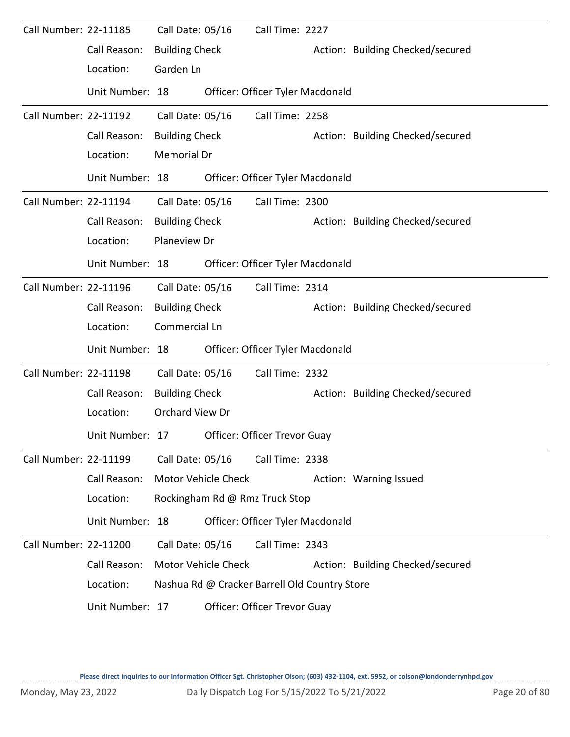| Call Number: 22-11185 | Call Reason:<br>Location:<br>Unit Number: 18 | Call Date: 05/16<br><b>Building Check</b><br>Garden Ln       |                     | Call Time: 2227<br>Officer: Officer Tyler Macdonald                                              | Action: Building Checked/secured |
|-----------------------|----------------------------------------------|--------------------------------------------------------------|---------------------|--------------------------------------------------------------------------------------------------|----------------------------------|
| Call Number: 22-11192 |                                              | Call Date: 05/16                                             |                     | Call Time: 2258                                                                                  |                                  |
|                       | Call Reason:<br>Location:                    | <b>Building Check</b><br><b>Memorial Dr</b>                  |                     |                                                                                                  | Action: Building Checked/secured |
| Call Number: 22-11194 | Unit Number: 18                              | Call Date: 05/16                                             |                     | Officer: Officer Tyler Macdonald<br>Call Time: 2300                                              |                                  |
|                       | Call Reason:<br>Location:                    | <b>Building Check</b><br>Planeview Dr                        |                     |                                                                                                  | Action: Building Checked/secured |
|                       | Unit Number: 18                              |                                                              |                     | Officer: Officer Tyler Macdonald                                                                 |                                  |
| Call Number: 22-11196 | Call Reason:<br>Location:                    | Call Date: 05/16<br><b>Building Check</b><br>Commercial Ln   |                     | Call Time: 2314                                                                                  | Action: Building Checked/secured |
|                       | Unit Number: 18                              |                                                              |                     | Officer: Officer Tyler Macdonald                                                                 |                                  |
| Call Number: 22-11198 | Call Reason:<br>Location:                    | Call Date: 05/16<br><b>Building Check</b><br>Orchard View Dr |                     | Call Time: 2332                                                                                  | Action: Building Checked/secured |
|                       | Unit Number: 17                              |                                                              |                     | Officer: Officer Trevor Guay                                                                     |                                  |
| Call Number: 22-11199 | Call Reason:<br>Location:                    | Call Date: 05/16                                             | Motor Vehicle Check | Call Time: 2338<br>Rockingham Rd @ Rmz Truck Stop                                                | Action: Warning Issued           |
|                       | Unit Number: 18                              |                                                              |                     | Officer: Officer Tyler Macdonald                                                                 |                                  |
| Call Number: 22-11200 | Call Reason:<br>Location:<br>Unit Number: 17 | Call Date: 05/16                                             | Motor Vehicle Check | Call Time: 2343<br>Nashua Rd @ Cracker Barrell Old Country Store<br>Officer: Officer Trevor Guay | Action: Building Checked/secured |
|                       |                                              |                                                              |                     |                                                                                                  |                                  |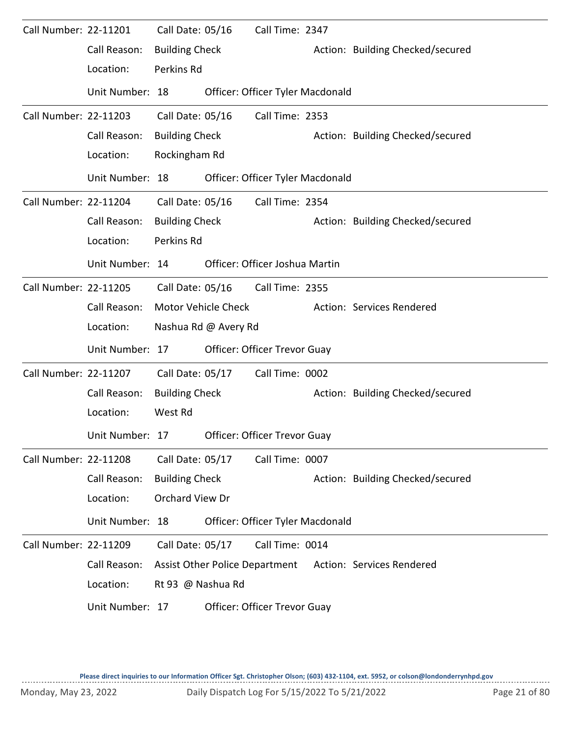| Call Number: 22-11201 |                 | Call Date: 05/16      |                      | Call Time: 2347                     |  |                                                          |  |  |  |  |  |
|-----------------------|-----------------|-----------------------|----------------------|-------------------------------------|--|----------------------------------------------------------|--|--|--|--|--|
|                       | Call Reason:    | <b>Building Check</b> |                      |                                     |  | Action: Building Checked/secured                         |  |  |  |  |  |
|                       | Location:       | Perkins Rd            |                      |                                     |  |                                                          |  |  |  |  |  |
|                       | Unit Number: 18 |                       |                      | Officer: Officer Tyler Macdonald    |  |                                                          |  |  |  |  |  |
| Call Number: 22-11203 |                 | Call Date: 05/16      |                      | Call Time: 2353                     |  |                                                          |  |  |  |  |  |
|                       | Call Reason:    | <b>Building Check</b> |                      |                                     |  | Action: Building Checked/secured                         |  |  |  |  |  |
|                       | Location:       |                       | Rockingham Rd        |                                     |  |                                                          |  |  |  |  |  |
|                       | Unit Number: 18 |                       |                      | Officer: Officer Tyler Macdonald    |  |                                                          |  |  |  |  |  |
| Call Number: 22-11204 |                 | Call Date: 05/16      |                      | Call Time: 2354                     |  |                                                          |  |  |  |  |  |
|                       | Call Reason:    | <b>Building Check</b> |                      |                                     |  | Action: Building Checked/secured                         |  |  |  |  |  |
|                       | Location:       | Perkins Rd            |                      |                                     |  |                                                          |  |  |  |  |  |
|                       | Unit Number: 14 |                       |                      | Officer: Officer Joshua Martin      |  |                                                          |  |  |  |  |  |
| Call Number: 22-11205 |                 | Call Date: 05/16      |                      | Call Time: 2355                     |  |                                                          |  |  |  |  |  |
|                       | Call Reason:    |                       | Motor Vehicle Check  |                                     |  | Action: Services Rendered                                |  |  |  |  |  |
|                       | Location:       |                       | Nashua Rd @ Avery Rd |                                     |  |                                                          |  |  |  |  |  |
|                       | Unit Number: 17 |                       |                      | <b>Officer: Officer Trevor Guay</b> |  |                                                          |  |  |  |  |  |
| Call Number: 22-11207 |                 | Call Date: 05/17      |                      | Call Time: 0002                     |  |                                                          |  |  |  |  |  |
|                       | Call Reason:    | <b>Building Check</b> |                      |                                     |  | Action: Building Checked/secured                         |  |  |  |  |  |
|                       | Location:       | West Rd               |                      |                                     |  |                                                          |  |  |  |  |  |
|                       | Unit Number: 17 |                       |                      | Officer: Officer Trevor Guay        |  |                                                          |  |  |  |  |  |
| Call Number: 22-11208 |                 | Call Date: 05/17      |                      | Call Time: 0007                     |  |                                                          |  |  |  |  |  |
|                       | Call Reason:    | <b>Building Check</b> |                      |                                     |  | Action: Building Checked/secured                         |  |  |  |  |  |
|                       | Location:       | Orchard View Dr       |                      |                                     |  |                                                          |  |  |  |  |  |
|                       | Unit Number: 18 |                       |                      | Officer: Officer Tyler Macdonald    |  |                                                          |  |  |  |  |  |
| Call Number: 22-11209 |                 | Call Date: 05/17      |                      | Call Time: 0014                     |  |                                                          |  |  |  |  |  |
|                       | Call Reason:    |                       |                      |                                     |  | Assist Other Police Department Action: Services Rendered |  |  |  |  |  |
|                       | Location:       | Rt 93 @ Nashua Rd     |                      |                                     |  |                                                          |  |  |  |  |  |
|                       | Unit Number: 17 |                       |                      | Officer: Officer Trevor Guay        |  |                                                          |  |  |  |  |  |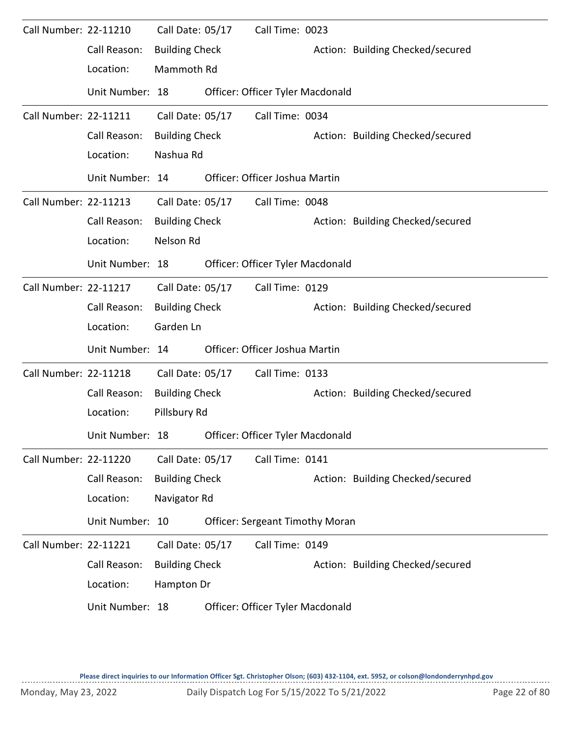| Call Number: 22-11210        |                 | Call Date: 05/17      |  | Call Time: 0023                        |                                  |                                  |  |
|------------------------------|-----------------|-----------------------|--|----------------------------------------|----------------------------------|----------------------------------|--|
|                              | Call Reason:    | <b>Building Check</b> |  |                                        |                                  | Action: Building Checked/secured |  |
|                              | Location:       | Mammoth Rd            |  |                                        |                                  |                                  |  |
|                              | Unit Number: 18 |                       |  | Officer: Officer Tyler Macdonald       |                                  |                                  |  |
| Call Number: 22-11211        |                 | Call Date: 05/17      |  | Call Time: 0034                        |                                  |                                  |  |
|                              | Call Reason:    | <b>Building Check</b> |  |                                        |                                  | Action: Building Checked/secured |  |
|                              | Location:       | Nashua Rd             |  |                                        |                                  |                                  |  |
|                              | Unit Number: 14 |                       |  | Officer: Officer Joshua Martin         |                                  |                                  |  |
| Call Number: 22-11213        |                 | Call Date: 05/17      |  | Call Time: 0048                        |                                  |                                  |  |
|                              | Call Reason:    | <b>Building Check</b> |  |                                        |                                  | Action: Building Checked/secured |  |
|                              | Location:       | Nelson Rd             |  |                                        |                                  |                                  |  |
| Unit Number: 18              |                 |                       |  |                                        | Officer: Officer Tyler Macdonald |                                  |  |
| <b>Call Number: 22-11217</b> |                 | Call Date: 05/17      |  | Call Time: 0129                        |                                  |                                  |  |
|                              | Call Reason:    | <b>Building Check</b> |  |                                        |                                  | Action: Building Checked/secured |  |
|                              | Location:       | Garden Ln             |  |                                        |                                  |                                  |  |
|                              | Unit Number: 14 |                       |  | Officer: Officer Joshua Martin         |                                  |                                  |  |
| Call Number: 22-11218        |                 | Call Date: 05/17      |  | Call Time: 0133                        |                                  |                                  |  |
|                              | Call Reason:    | <b>Building Check</b> |  |                                        |                                  | Action: Building Checked/secured |  |
|                              | Location:       | Pillsbury Rd          |  |                                        |                                  |                                  |  |
|                              | Unit Number: 18 |                       |  | Officer: Officer Tyler Macdonald       |                                  |                                  |  |
| <b>Call Number: 22-11220</b> |                 | Call Date: 05/17      |  | Call Time: 0141                        |                                  |                                  |  |
|                              | Call Reason:    | <b>Building Check</b> |  |                                        |                                  | Action: Building Checked/secured |  |
|                              | Location:       | Navigator Rd          |  |                                        |                                  |                                  |  |
|                              | Unit Number: 10 |                       |  | <b>Officer: Sergeant Timothy Moran</b> |                                  |                                  |  |
| Call Number: 22-11221        |                 | Call Date: 05/17      |  | Call Time: 0149                        |                                  |                                  |  |
|                              | Call Reason:    | <b>Building Check</b> |  |                                        |                                  | Action: Building Checked/secured |  |
|                              | Location:       | Hampton Dr            |  |                                        |                                  |                                  |  |
|                              | Unit Number: 18 |                       |  | Officer: Officer Tyler Macdonald       |                                  |                                  |  |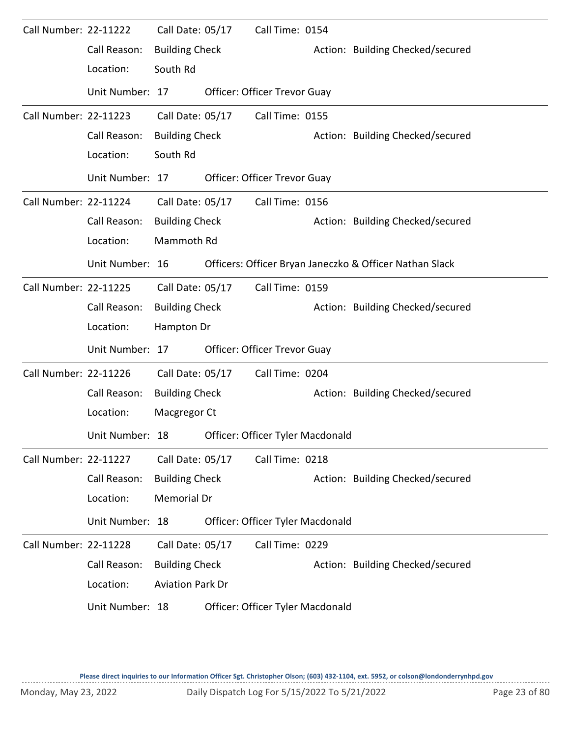| <b>Call Number: 22-11222</b> |                 | Call Date: 05/17        | Call Time: 0154                                         |                                  |
|------------------------------|-----------------|-------------------------|---------------------------------------------------------|----------------------------------|
|                              | Call Reason:    | <b>Building Check</b>   |                                                         | Action: Building Checked/secured |
|                              | Location:       | South Rd                |                                                         |                                  |
|                              | Unit Number: 17 |                         | <b>Officer: Officer Trevor Guay</b>                     |                                  |
| Call Number: 22-11223        |                 | Call Date: 05/17        | Call Time: 0155                                         |                                  |
|                              | Call Reason:    | <b>Building Check</b>   |                                                         | Action: Building Checked/secured |
|                              | Location:       | South Rd                |                                                         |                                  |
|                              | Unit Number: 17 |                         | <b>Officer: Officer Trevor Guay</b>                     |                                  |
| Call Number: 22-11224        |                 | Call Date: 05/17        | Call Time: 0156                                         |                                  |
|                              | Call Reason:    | <b>Building Check</b>   |                                                         | Action: Building Checked/secured |
|                              | Location:       | Mammoth Rd              |                                                         |                                  |
|                              | Unit Number: 16 |                         | Officers: Officer Bryan Janeczko & Officer Nathan Slack |                                  |
| Call Number: 22-11225        |                 | Call Date: 05/17        | Call Time: 0159                                         |                                  |
|                              | Call Reason:    | <b>Building Check</b>   |                                                         | Action: Building Checked/secured |
|                              | Location:       | Hampton Dr              |                                                         |                                  |
|                              | Unit Number: 17 |                         | Officer: Officer Trevor Guay                            |                                  |
| <b>Call Number: 22-11226</b> |                 | Call Date: 05/17        | Call Time: 0204                                         |                                  |
|                              | Call Reason:    | <b>Building Check</b>   |                                                         | Action: Building Checked/secured |
|                              | Location:       | Macgregor Ct            |                                                         |                                  |
|                              | Unit Number: 18 |                         | Officer: Officer Tyler Macdonald                        |                                  |
| Call Number: 22-11227        |                 | Call Date: 05/17        | Call Time: 0218                                         |                                  |
|                              | Call Reason:    | <b>Building Check</b>   |                                                         | Action: Building Checked/secured |
|                              | Location:       | Memorial Dr             |                                                         |                                  |
|                              | Unit Number: 18 |                         | Officer: Officer Tyler Macdonald                        |                                  |
| Call Number: 22-11228        |                 | Call Date: 05/17        | Call Time: 0229                                         |                                  |
|                              | Call Reason:    | <b>Building Check</b>   |                                                         | Action: Building Checked/secured |
|                              | Location:       | <b>Aviation Park Dr</b> |                                                         |                                  |
|                              | Unit Number: 18 |                         | Officer: Officer Tyler Macdonald                        |                                  |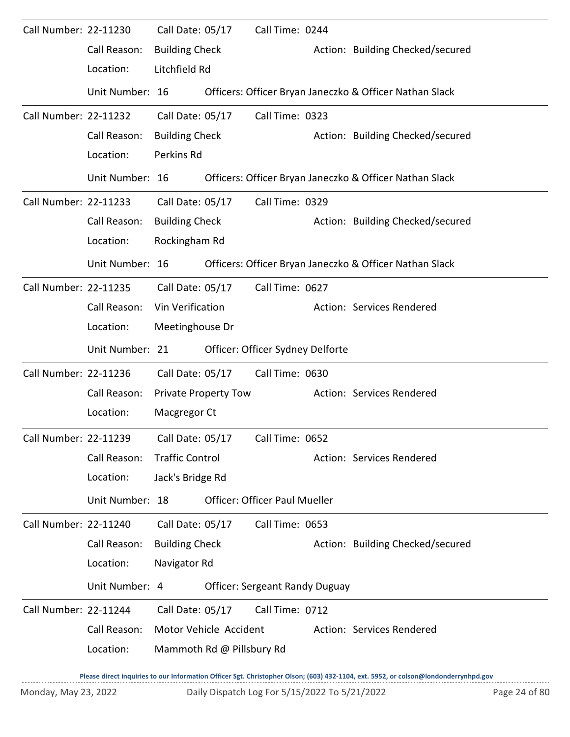| Call Number: 22-11230        |                 | Call Date: 05/17       |                             | Call Time: 0244                       |                                                         |
|------------------------------|-----------------|------------------------|-----------------------------|---------------------------------------|---------------------------------------------------------|
|                              | Call Reason:    | <b>Building Check</b>  |                             |                                       | Action: Building Checked/secured                        |
|                              | Location:       | Litchfield Rd          |                             |                                       |                                                         |
|                              | Unit Number: 16 |                        |                             |                                       | Officers: Officer Bryan Janeczko & Officer Nathan Slack |
| <b>Call Number: 22-11232</b> |                 | Call Date: 05/17       |                             | Call Time: 0323                       |                                                         |
|                              | Call Reason:    | <b>Building Check</b>  |                             |                                       | Action: Building Checked/secured                        |
|                              | Location:       | Perkins Rd             |                             |                                       |                                                         |
|                              | Unit Number: 16 |                        |                             |                                       | Officers: Officer Bryan Janeczko & Officer Nathan Slack |
| Call Number: 22-11233        |                 | Call Date: 05/17       |                             | Call Time: 0329                       |                                                         |
|                              | Call Reason:    | <b>Building Check</b>  |                             |                                       | Action: Building Checked/secured                        |
|                              | Location:       | Rockingham Rd          |                             |                                       |                                                         |
|                              | Unit Number: 16 |                        |                             |                                       | Officers: Officer Bryan Janeczko & Officer Nathan Slack |
| Call Number: 22-11235        |                 | Call Date: 05/17       |                             | Call Time: 0627                       |                                                         |
|                              | Call Reason:    | Vin Verification       |                             |                                       | Action: Services Rendered                               |
|                              | Location:       | Meetinghouse Dr        |                             |                                       |                                                         |
|                              | Unit Number: 21 |                        |                             | Officer: Officer Sydney Delforte      |                                                         |
| Call Number: 22-11236        |                 | Call Date: 05/17       |                             | Call Time: 0630                       |                                                         |
|                              | Call Reason:    |                        | <b>Private Property Tow</b> |                                       | Action: Services Rendered                               |
|                              | Location:       | Macgregor Ct           |                             |                                       |                                                         |
| Call Number: 22-11239        |                 | Call Date: 05/17       |                             | Call Time: 0652                       |                                                         |
|                              | Call Reason:    | <b>Traffic Control</b> |                             |                                       | Action: Services Rendered                               |
|                              | Location:       | Jack's Bridge Rd       |                             |                                       |                                                         |
|                              | Unit Number: 18 |                        |                             | <b>Officer: Officer Paul Mueller</b>  |                                                         |
| Call Number: 22-11240        |                 | Call Date: 05/17       |                             | Call Time: 0653                       |                                                         |
|                              | Call Reason:    | <b>Building Check</b>  |                             |                                       | Action: Building Checked/secured                        |
|                              | Location:       | Navigator Rd           |                             |                                       |                                                         |
|                              | Unit Number: 4  |                        |                             | <b>Officer: Sergeant Randy Duguay</b> |                                                         |
| Call Number: 22-11244        |                 | Call Date: 05/17       |                             | Call Time: 0712                       |                                                         |
|                              | Call Reason:    |                        | Motor Vehicle Accident      |                                       | Action: Services Rendered                               |
|                              | Location:       |                        | Mammoth Rd @ Pillsbury Rd   |                                       |                                                         |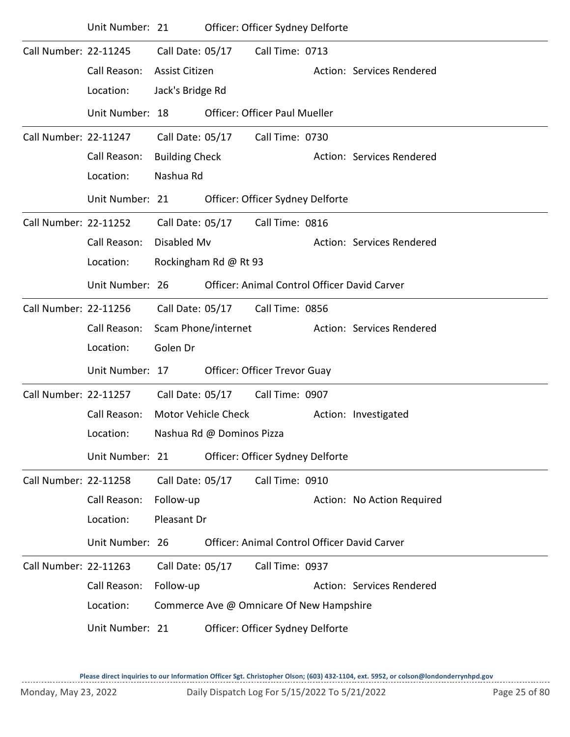|                              | Unit Number: 21 |                       |                            | Officer: Officer Sydney Delforte         |                                                     |
|------------------------------|-----------------|-----------------------|----------------------------|------------------------------------------|-----------------------------------------------------|
| Call Number: 22-11245        |                 | Call Date: 05/17      |                            | Call Time: 0713                          |                                                     |
|                              | Call Reason:    | Assist Citizen        |                            |                                          | Action: Services Rendered                           |
|                              | Location:       | Jack's Bridge Rd      |                            |                                          |                                                     |
|                              | Unit Number: 18 |                       |                            | <b>Officer: Officer Paul Mueller</b>     |                                                     |
| Call Number: 22-11247        |                 | Call Date: 05/17      |                            | Call Time: 0730                          |                                                     |
|                              | Call Reason:    | <b>Building Check</b> |                            |                                          | Action: Services Rendered                           |
|                              | Location:       | Nashua Rd             |                            |                                          |                                                     |
|                              | Unit Number: 21 |                       |                            | Officer: Officer Sydney Delforte         |                                                     |
| <b>Call Number: 22-11252</b> |                 | Call Date: 05/17      |                            | Call Time: 0816                          |                                                     |
|                              | Call Reason:    | Disabled Mv           |                            |                                          | Action: Services Rendered                           |
|                              | Location:       |                       | Rockingham Rd @ Rt 93      |                                          |                                                     |
|                              | Unit Number: 26 |                       |                            |                                          | Officer: Animal Control Officer David Carver        |
| Call Number: 22-11256        |                 | Call Date: 05/17      |                            | Call Time: 0856                          |                                                     |
|                              | Call Reason:    |                       | Scam Phone/internet        |                                          | Action: Services Rendered                           |
|                              | Location:       | Golen Dr              |                            |                                          |                                                     |
|                              | Unit Number: 17 |                       |                            | Officer: Officer Trevor Guay             |                                                     |
| Call Number: 22-11257        |                 | Call Date: 05/17      |                            | Call Time: 0907                          |                                                     |
|                              | Call Reason:    |                       | <b>Motor Vehicle Check</b> |                                          | Action: Investigated                                |
|                              | Location:       |                       | Nashua Rd @ Dominos Pizza  |                                          |                                                     |
|                              | Unit Number: 21 |                       |                            | Officer: Officer Sydney Delforte         |                                                     |
| Call Number: 22-11258        |                 | Call Date: 05/17      |                            | Call Time: 0910                          |                                                     |
|                              | Call Reason:    | Follow-up             |                            |                                          | Action: No Action Required                          |
|                              | Location:       | Pleasant Dr           |                            |                                          |                                                     |
|                              | Unit Number: 26 |                       |                            |                                          | <b>Officer: Animal Control Officer David Carver</b> |
| Call Number: 22-11263        |                 | Call Date: 05/17      |                            | Call Time: 0937                          |                                                     |
|                              | Call Reason:    | Follow-up             |                            |                                          | Action: Services Rendered                           |
|                              | Location:       |                       |                            | Commerce Ave @ Omnicare Of New Hampshire |                                                     |
|                              | Unit Number: 21 |                       |                            | Officer: Officer Sydney Delforte         |                                                     |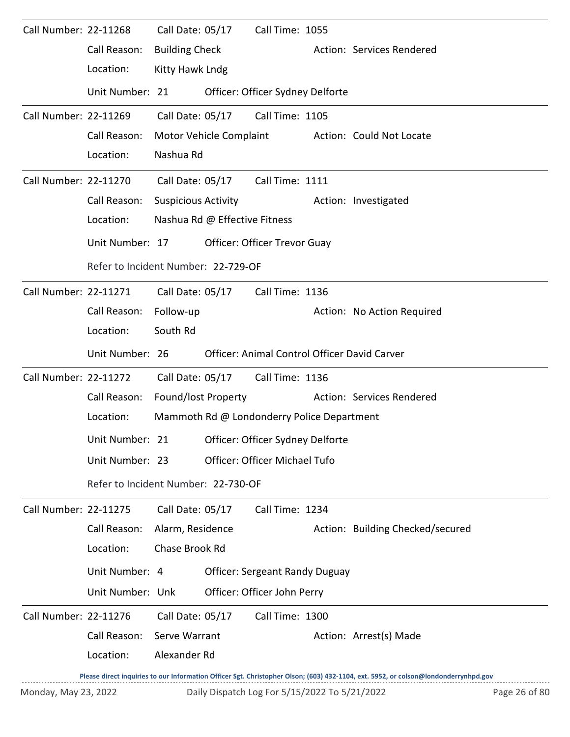| Call Number: 22-11268 |                                                  |                            | Call Date: 05/17              | Call Time: 1055                            |                                                                                                                                     |
|-----------------------|--------------------------------------------------|----------------------------|-------------------------------|--------------------------------------------|-------------------------------------------------------------------------------------------------------------------------------------|
|                       | Call Reason:                                     | <b>Building Check</b>      |                               |                                            | Action: Services Rendered                                                                                                           |
|                       | Location:                                        | Kitty Hawk Lndg            |                               |                                            |                                                                                                                                     |
|                       | Unit Number: 21                                  |                            |                               | Officer: Officer Sydney Delforte           |                                                                                                                                     |
| Call Number: 22-11269 |                                                  | Call Date: 05/17           |                               | Call Time: 1105                            |                                                                                                                                     |
|                       | Call Reason:                                     |                            |                               | Motor Vehicle Complaint                    | Action: Could Not Locate                                                                                                            |
|                       | Location:                                        | Nashua Rd                  |                               |                                            |                                                                                                                                     |
| Call Number: 22-11270 |                                                  |                            | Call Date: 05/17              | Call Time: 1111                            |                                                                                                                                     |
|                       | Call Reason:                                     | <b>Suspicious Activity</b> |                               |                                            | Action: Investigated                                                                                                                |
|                       | Location:                                        |                            | Nashua Rd @ Effective Fitness |                                            |                                                                                                                                     |
|                       | Unit Number: 17                                  |                            |                               | <b>Officer: Officer Trevor Guay</b>        |                                                                                                                                     |
|                       | Refer to Incident Number: 22-729-OF              |                            |                               |                                            |                                                                                                                                     |
| Call Number: 22-11271 |                                                  |                            | Call Date: 05/17              | Call Time: 1136                            |                                                                                                                                     |
|                       | Call Reason:                                     | Follow-up                  |                               |                                            | Action: No Action Required                                                                                                          |
|                       | Location:                                        | South Rd                   |                               |                                            |                                                                                                                                     |
|                       | Unit Number: 26                                  |                            |                               |                                            | Officer: Animal Control Officer David Carver                                                                                        |
| Call Number: 22-11272 |                                                  |                            |                               | Call Date: 05/17 Call Time: 1136           |                                                                                                                                     |
|                       | Call Reason:                                     |                            | Found/lost Property           |                                            | Action: Services Rendered                                                                                                           |
|                       | Location:                                        |                            |                               | Mammoth Rd @ Londonderry Police Department |                                                                                                                                     |
|                       | Unit Number: 21 Officer: Officer Sydney Delforte |                            |                               |                                            |                                                                                                                                     |
|                       | Unit Number: 23                                  |                            |                               | Officer: Officer Michael Tufo              |                                                                                                                                     |
|                       | Refer to Incident Number: 22-730-OF              |                            |                               |                                            |                                                                                                                                     |
| Call Number: 22-11275 |                                                  | Call Date: 05/17           |                               | Call Time: 1234                            |                                                                                                                                     |
|                       | Call Reason:                                     | Alarm, Residence           |                               |                                            | Action: Building Checked/secured                                                                                                    |
|                       | Location:                                        | Chase Brook Rd             |                               |                                            |                                                                                                                                     |
|                       | Unit Number: 4                                   |                            |                               | <b>Officer: Sergeant Randy Duguay</b>      |                                                                                                                                     |
|                       | Unit Number: Unk                                 |                            |                               | Officer: Officer John Perry                |                                                                                                                                     |
| Call Number: 22-11276 |                                                  | Call Date: 05/17           |                               | Call Time: 1300                            |                                                                                                                                     |
|                       | Call Reason:                                     | Serve Warrant              |                               |                                            | Action: Arrest(s) Made                                                                                                              |
|                       | Location:                                        | Alexander Rd               |                               |                                            |                                                                                                                                     |
|                       |                                                  |                            |                               |                                            | Please direct inquiries to our Information Officer Sgt. Christopher Olson; (603) 432-1104, ext. 5952, or colson@londonderrynhpd.gov |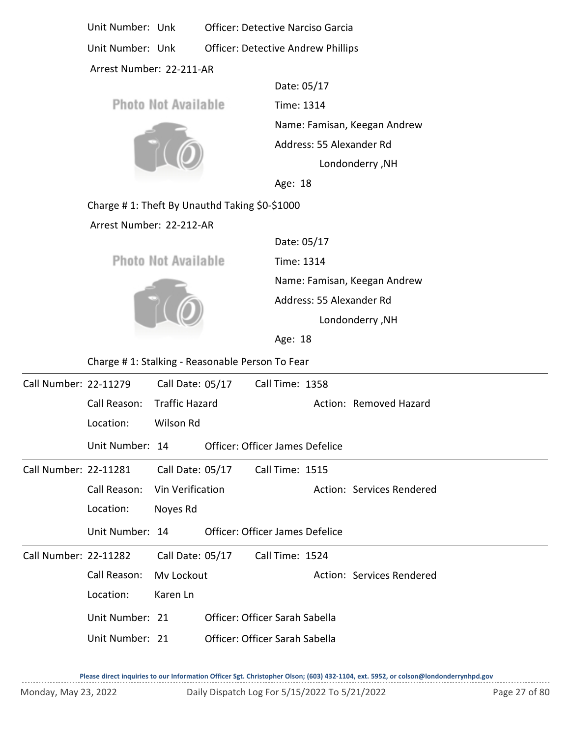Unit Number: Unk Officer: Detective Narciso Garcia Unit Number: Unk Officer: Detective Andrew Phillips

Arrest Number: 22-211-AR

Date: 05/17 Photo Not Available Time: 1314 Name: Famisan, Keegan Andrew Address: 55 Alexander Rd Londonderry ,NH Age: 18

Charge # 1: Theft By Unauthd Taking \$0-\$1000

Arrest Number: 22-212-AR

**Photo Not Available** 



Time: 1314 Name: Famisan, Keegan Andrew Date: 05/17 Londonderry ,NH Address: 55 Alexander Rd

Age: 18

Charge # 1: Stalking - Reasonable Person To Fear

| Call Number: 22-11279 |                 | Call Date: 05/17      | Call Time: 1358                 |                           |
|-----------------------|-----------------|-----------------------|---------------------------------|---------------------------|
|                       | Call Reason:    | <b>Traffic Hazard</b> |                                 | Action: Removed Hazard    |
|                       | Location:       | Wilson Rd             |                                 |                           |
|                       | Unit Number: 14 |                       | Officer: Officer James Defelice |                           |
| Call Number: 22-11281 |                 | Call Date: 05/17      | Call Time: 1515                 |                           |
|                       | Call Reason:    | Vin Verification      |                                 | Action: Services Rendered |
|                       | Location:       | Noyes Rd              |                                 |                           |
|                       | Unit Number: 14 |                       | Officer: Officer James Defelice |                           |
| Call Number: 22-11282 |                 | Call Date: 05/17      | Call Time: 1524                 |                           |
|                       | Call Reason:    | My Lockout            |                                 | Action: Services Rendered |
|                       | Location:       | Karen Ln              |                                 |                           |
|                       | Unit Number: 21 |                       | Officer: Officer Sarah Sabella  |                           |
|                       | Unit Number: 21 |                       | Officer: Officer Sarah Sabella  |                           |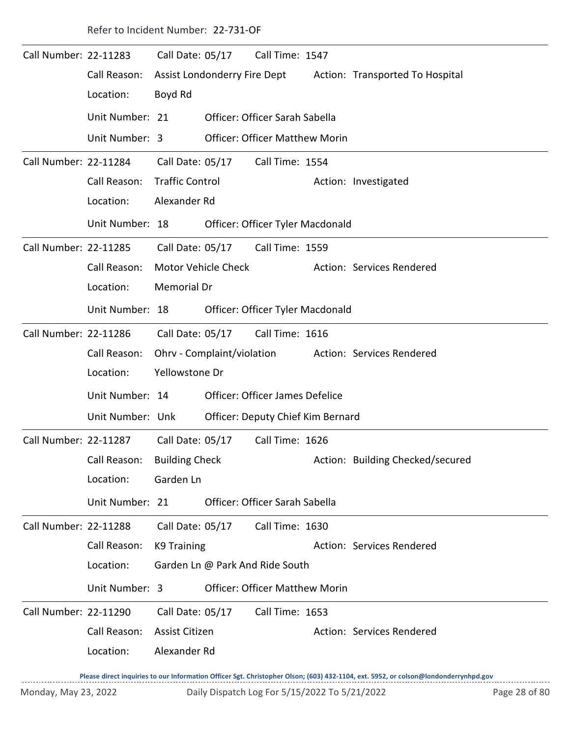Refer to Incident Number: 22-731-OF Call Number: 22-11283 Call Date: 05/17 Call Time: 1547 Call Reason: Assist Londonderry Fire Dept Action: Transported To Hospital Location: Boyd Rd Call Date: 05/17 Unit Number: 21 Officer: Officer Sarah Sabella Unit Number: 3 Officer: Officer Matthew Morin Call Number: 22-11284 Call Date: 05/17 Call Time: 1554 Call Reason: Traffic Control **Action: Investigated** Location: Alexander Rd Call Date: 05/17 Unit Number: 18 Officer: Officer Tyler Macdonald Call Number: 22-11285 Call Date: 05/17 Call Time: 1559 Call Reason: Motor Vehicle Check Action: Services Rendered Location: Memorial Dr Call Date: 05/17 Unit Number: 18 Officer: Officer Tyler Macdonald Call Number: 22-11286 Call Date: 05/17 Call Time: 1616 Call Reason: Ohrv - Complaint/violation Action: Services Rendered Location: Yellowstone Dr Call Date: 05/17 Unit Number: 14 Officer: Officer James Defelice Unit Number: Unk Officer: Deputy Chief Kim Bernard Call Number: 22-11287 Call Date: 05/17 Call Time: 1626 Call Reason: Building Check Action: Building Checked/secured Location: Garden Ln Call Date: 05/17 Unit Number: 21 Officer: Officer Sarah Sabella Call Number: 22-11288 Call Date: 05/17 Call Time: 1630 Call Reason: K9 Training Call Reason: K9 Training Location: Garden Ln @ Park And Ride South Call Date: 05/17 Unit Number: 3 Officer: Officer Matthew Morin Call Number: 22-11290 Call Date: 05/17 Call Time: 1653 Call Reason: Assist Citizen Action: Services Rendered Location: Alexander Rd Call Date: 05/17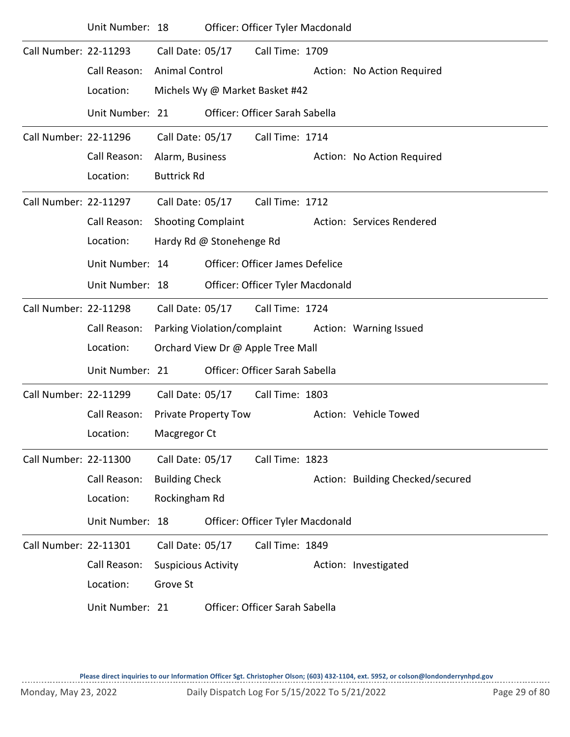|                       | Unit Number: 18 |                            |                             | Officer: Officer Tyler Macdonald  |                                  |
|-----------------------|-----------------|----------------------------|-----------------------------|-----------------------------------|----------------------------------|
| Call Number: 22-11293 |                 | Call Date: 05/17           |                             | Call Time: 1709                   |                                  |
|                       | Call Reason:    | <b>Animal Control</b>      |                             |                                   | Action: No Action Required       |
|                       | Location:       |                            |                             | Michels Wy @ Market Basket #42    |                                  |
|                       | Unit Number: 21 |                            |                             | Officer: Officer Sarah Sabella    |                                  |
| Call Number: 22-11296 |                 | Call Date: 05/17           |                             | Call Time: 1714                   |                                  |
|                       | Call Reason:    | Alarm, Business            |                             |                                   | Action: No Action Required       |
|                       | Location:       | <b>Buttrick Rd</b>         |                             |                                   |                                  |
| Call Number: 22-11297 |                 | Call Date: 05/17           |                             | Call Time: 1712                   |                                  |
|                       | Call Reason:    | <b>Shooting Complaint</b>  |                             |                                   | Action: Services Rendered        |
|                       | Location:       |                            | Hardy Rd @ Stonehenge Rd    |                                   |                                  |
|                       | Unit Number: 14 |                            |                             | Officer: Officer James Defelice   |                                  |
|                       | Unit Number: 18 |                            |                             | Officer: Officer Tyler Macdonald  |                                  |
| Call Number: 22-11298 |                 | Call Date: 05/17           |                             | Call Time: 1724                   |                                  |
|                       | Call Reason:    |                            | Parking Violation/complaint |                                   | Action: Warning Issued           |
|                       | Location:       |                            |                             | Orchard View Dr @ Apple Tree Mall |                                  |
|                       | Unit Number: 21 |                            |                             | Officer: Officer Sarah Sabella    |                                  |
| Call Number: 22-11299 |                 | Call Date: 05/17           |                             | Call Time: 1803                   |                                  |
|                       | Call Reason:    |                            | <b>Private Property Tow</b> |                                   | Action: Vehicle Towed            |
|                       | Location:       | Macgregor Ct               |                             |                                   |                                  |
| Call Number: 22-11300 |                 | Call Date: 05/17           |                             | Call Time: 1823                   |                                  |
|                       | Call Reason:    | <b>Building Check</b>      |                             |                                   | Action: Building Checked/secured |
|                       | Location:       | Rockingham Rd              |                             |                                   |                                  |
|                       | Unit Number: 18 |                            |                             | Officer: Officer Tyler Macdonald  |                                  |
| Call Number: 22-11301 |                 | Call Date: 05/17           |                             | Call Time: 1849                   |                                  |
|                       | Call Reason:    | <b>Suspicious Activity</b> |                             |                                   | Action: Investigated             |
|                       | Location:       | Grove St                   |                             |                                   |                                  |
|                       | Unit Number: 21 |                            |                             | Officer: Officer Sarah Sabella    |                                  |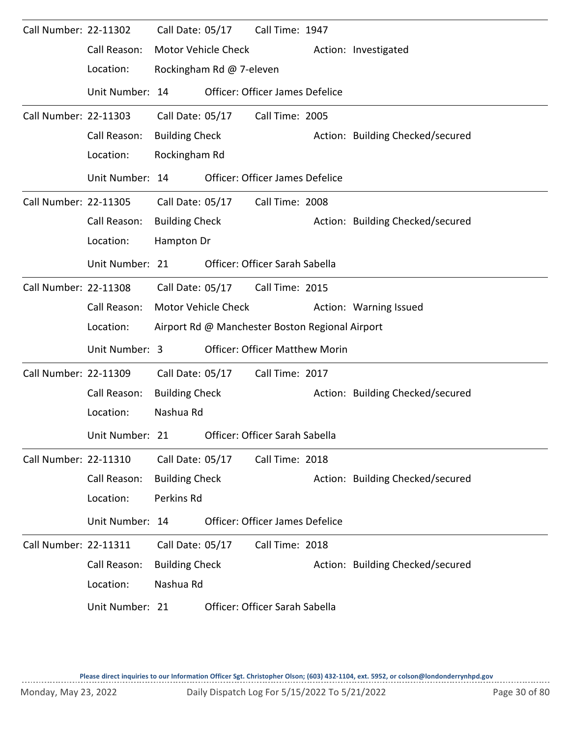| Call Number: 22-11302 |                 | Call Date: 05/17      |                            | Call Time: 1947                                 |                                  |
|-----------------------|-----------------|-----------------------|----------------------------|-------------------------------------------------|----------------------------------|
|                       | Call Reason:    |                       | <b>Motor Vehicle Check</b> |                                                 | Action: Investigated             |
|                       | Location:       |                       | Rockingham Rd @ 7-eleven   |                                                 |                                  |
|                       | Unit Number: 14 |                       |                            | Officer: Officer James Defelice                 |                                  |
| Call Number: 22-11303 |                 | Call Date: 05/17      |                            | Call Time: 2005                                 |                                  |
|                       | Call Reason:    | <b>Building Check</b> |                            |                                                 | Action: Building Checked/secured |
|                       | Location:       | Rockingham Rd         |                            |                                                 |                                  |
|                       | Unit Number: 14 |                       |                            | <b>Officer: Officer James Defelice</b>          |                                  |
| Call Number: 22-11305 |                 |                       | Call Date: 05/17           | Call Time: 2008                                 |                                  |
|                       | Call Reason:    | <b>Building Check</b> |                            |                                                 | Action: Building Checked/secured |
|                       | Location:       | Hampton Dr            |                            |                                                 |                                  |
|                       | Unit Number: 21 |                       |                            | Officer: Officer Sarah Sabella                  |                                  |
| Call Number: 22-11308 |                 | Call Date: 05/17      |                            | Call Time: 2015                                 |                                  |
|                       | Call Reason:    |                       | <b>Motor Vehicle Check</b> |                                                 | Action: Warning Issued           |
|                       | Location:       |                       |                            | Airport Rd @ Manchester Boston Regional Airport |                                  |
|                       | Unit Number: 3  |                       |                            | <b>Officer: Officer Matthew Morin</b>           |                                  |
| Call Number: 22-11309 |                 | Call Date: 05/17      |                            | Call Time: 2017                                 |                                  |
|                       | Call Reason:    | <b>Building Check</b> |                            |                                                 | Action: Building Checked/secured |
|                       | Location:       | Nashua Rd             |                            |                                                 |                                  |
|                       | Unit Number: 21 |                       |                            | Officer: Officer Sarah Sabella                  |                                  |
| Call Number: 22-11310 |                 | Call Date: 05/17      |                            | Call Time: 2018                                 |                                  |
|                       | Call Reason:    | <b>Building Check</b> |                            |                                                 | Action: Building Checked/secured |
|                       | Location:       | Perkins Rd            |                            |                                                 |                                  |
|                       | Unit Number: 14 |                       |                            | Officer: Officer James Defelice                 |                                  |
| Call Number: 22-11311 |                 | Call Date: 05/17      |                            | Call Time: 2018                                 |                                  |
|                       | Call Reason:    | <b>Building Check</b> |                            |                                                 | Action: Building Checked/secured |
|                       | Location:       | Nashua Rd             |                            |                                                 |                                  |
|                       | Unit Number: 21 |                       |                            | Officer: Officer Sarah Sabella                  |                                  |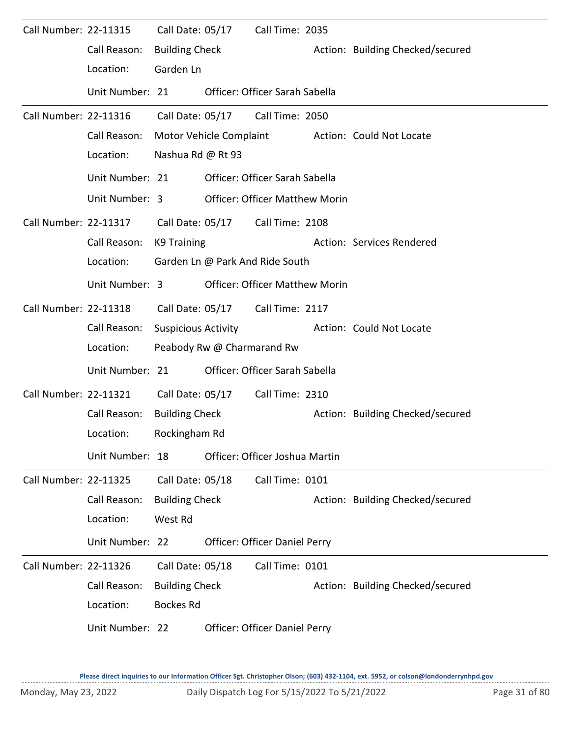| Call Number: 22-11315        |                 | Call Date: 05/17           |                            | Call Time: 2035                       |                                  |
|------------------------------|-----------------|----------------------------|----------------------------|---------------------------------------|----------------------------------|
|                              | Call Reason:    | <b>Building Check</b>      |                            |                                       | Action: Building Checked/secured |
|                              | Location:       | Garden Ln                  |                            |                                       |                                  |
|                              | Unit Number: 21 |                            |                            | Officer: Officer Sarah Sabella        |                                  |
| Call Number: 22-11316        |                 | Call Date: 05/17           |                            | Call Time: 2050                       |                                  |
|                              | Call Reason:    | Motor Vehicle Complaint    |                            |                                       | Action: Could Not Locate         |
|                              | Location:       | Nashua Rd @ Rt 93          |                            |                                       |                                  |
|                              | Unit Number: 21 |                            |                            | Officer: Officer Sarah Sabella        |                                  |
|                              | Unit Number: 3  |                            |                            | <b>Officer: Officer Matthew Morin</b> |                                  |
| Call Number: 22-11317        |                 |                            |                            | Call Date: 05/17 Call Time: 2108      |                                  |
|                              | Call Reason:    | K9 Training                |                            |                                       | Action: Services Rendered        |
|                              | Location:       |                            |                            | Garden Ln @ Park And Ride South       |                                  |
|                              | Unit Number: 3  |                            |                            | <b>Officer: Officer Matthew Morin</b> |                                  |
| Call Number: 22-11318        |                 |                            | Call Date: 05/17           | Call Time: 2117                       |                                  |
|                              | Call Reason:    | <b>Suspicious Activity</b> |                            |                                       | Action: Could Not Locate         |
|                              | Location:       |                            | Peabody Rw @ Charmarand Rw |                                       |                                  |
|                              | Unit Number: 21 |                            |                            | Officer: Officer Sarah Sabella        |                                  |
| <b>Call Number: 22-11321</b> |                 | Call Date: 05/17           |                            | Call Time: 2310                       |                                  |
|                              | Call Reason:    | <b>Building Check</b>      |                            |                                       | Action: Building Checked/secured |
|                              | Location:       | Rockingham Rd              |                            |                                       |                                  |
|                              | Unit Number: 18 |                            |                            | Officer: Officer Joshua Martin        |                                  |
| <b>Call Number: 22-11325</b> |                 | Call Date: 05/18           |                            | Call Time: 0101                       |                                  |
|                              | Call Reason:    | <b>Building Check</b>      |                            |                                       | Action: Building Checked/secured |
|                              | Location:       | West Rd                    |                            |                                       |                                  |
|                              | Unit Number: 22 |                            |                            | Officer: Officer Daniel Perry         |                                  |
| Call Number: 22-11326        |                 | Call Date: 05/18           |                            | Call Time: 0101                       |                                  |
|                              | Call Reason:    | <b>Building Check</b>      |                            |                                       | Action: Building Checked/secured |
|                              | Location:       | <b>Bockes Rd</b>           |                            |                                       |                                  |
|                              | Unit Number: 22 |                            |                            | Officer: Officer Daniel Perry         |                                  |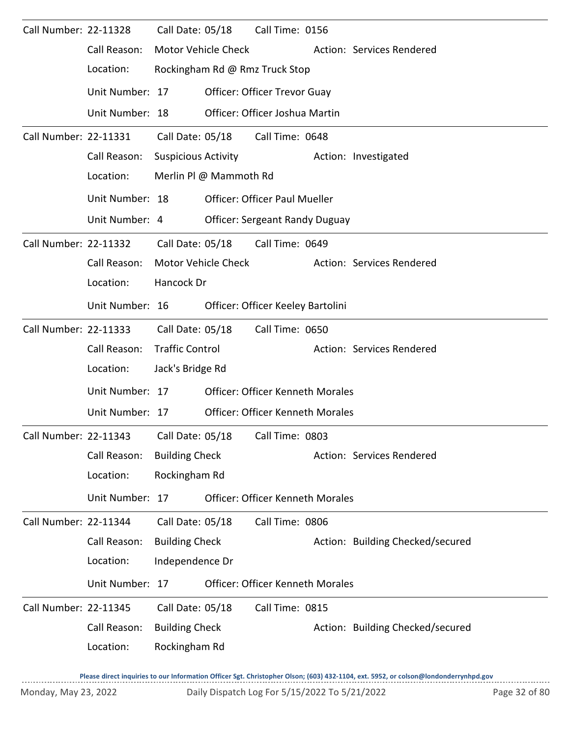| Call Number: 22-11328 |                                                        | Call Date: 05/18           |                            | Call Time: 0156                         |                                  |
|-----------------------|--------------------------------------------------------|----------------------------|----------------------------|-----------------------------------------|----------------------------------|
|                       | Call Reason:                                           |                            | <b>Motor Vehicle Check</b> |                                         | Action: Services Rendered        |
|                       | Location:                                              |                            |                            | Rockingham Rd @ Rmz Truck Stop          |                                  |
|                       | Unit Number: 17                                        |                            |                            | Officer: Officer Trevor Guay            |                                  |
|                       | Unit Number: 18                                        |                            |                            | Officer: Officer Joshua Martin          |                                  |
| Call Number: 22-11331 |                                                        | Call Date: 05/18           |                            | Call Time: 0648                         |                                  |
|                       | Call Reason:                                           | <b>Suspicious Activity</b> |                            |                                         | Action: Investigated             |
|                       | Location:                                              |                            | Merlin Pl @ Mammoth Rd     |                                         |                                  |
|                       | Unit Number: 18                                        |                            |                            | <b>Officer: Officer Paul Mueller</b>    |                                  |
|                       | Unit Number: 4                                         |                            |                            | <b>Officer: Sergeant Randy Duguay</b>   |                                  |
| Call Number: 22-11332 |                                                        |                            | Call Date: 05/18           | Call Time: 0649                         |                                  |
|                       | Call Reason:                                           |                            | Motor Vehicle Check        |                                         | Action: Services Rendered        |
|                       | Location:                                              | Hancock Dr                 |                            |                                         |                                  |
|                       | Unit Number: 16                                        |                            |                            | Officer: Officer Keeley Bartolini       |                                  |
| Call Number: 22-11333 |                                                        | Call Date: 05/18           |                            | Call Time: 0650                         |                                  |
|                       | Call Reason:                                           | <b>Traffic Control</b>     |                            |                                         | Action: Services Rendered        |
|                       | Location:                                              | Jack's Bridge Rd           |                            |                                         |                                  |
|                       | Unit Number: 17                                        |                            |                            | <b>Officer: Officer Kenneth Morales</b> |                                  |
|                       | Unit Number: 17                                        |                            |                            | <b>Officer: Officer Kenneth Morales</b> |                                  |
|                       | Call Number: 22-11343 Call Date: 05/18 Call Time: 0803 |                            |                            |                                         |                                  |
|                       | Call Reason:                                           | <b>Building Check</b>      |                            |                                         | Action: Services Rendered        |
|                       | Location:                                              | Rockingham Rd              |                            |                                         |                                  |
|                       | Unit Number: 17                                        |                            |                            | <b>Officer: Officer Kenneth Morales</b> |                                  |
| Call Number: 22-11344 |                                                        | Call Date: 05/18           |                            | Call Time: 0806                         |                                  |
|                       | Call Reason:                                           | <b>Building Check</b>      |                            |                                         | Action: Building Checked/secured |
|                       | Location:                                              | Independence Dr            |                            |                                         |                                  |
|                       | Unit Number: 17                                        |                            |                            | <b>Officer: Officer Kenneth Morales</b> |                                  |
| Call Number: 22-11345 |                                                        | Call Date: 05/18           |                            | Call Time: 0815                         |                                  |
|                       | Call Reason:                                           | <b>Building Check</b>      |                            |                                         | Action: Building Checked/secured |
|                       | Location:                                              | Rockingham Rd              |                            |                                         |                                  |
|                       |                                                        |                            |                            |                                         |                                  |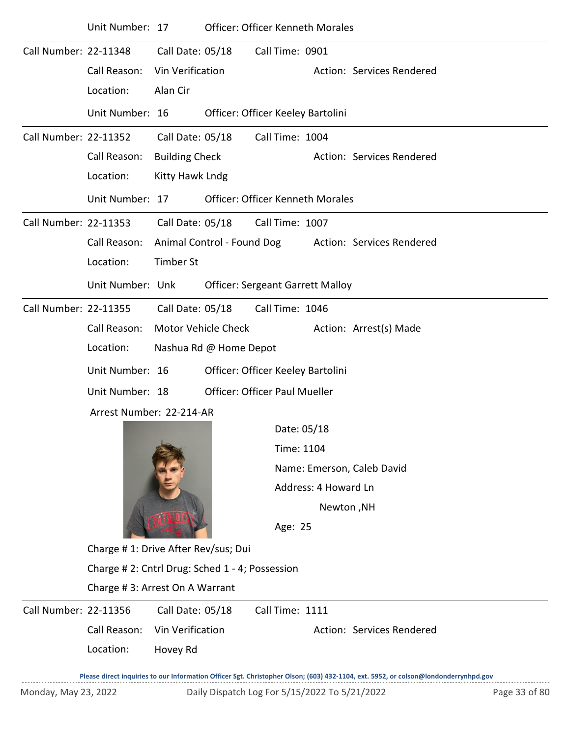|                       | Unit Number: 17                                 |                       |                                                         | Officer: Officer Kenneth Morales        |                            |                                                                                                                                     |  |  |  |  |
|-----------------------|-------------------------------------------------|-----------------------|---------------------------------------------------------|-----------------------------------------|----------------------------|-------------------------------------------------------------------------------------------------------------------------------------|--|--|--|--|
| Call Number: 22-11348 |                                                 | Call Date: 05/18      |                                                         | Call Time: 0901                         |                            |                                                                                                                                     |  |  |  |  |
|                       | Call Reason:                                    | Vin Verification      |                                                         |                                         |                            | Action: Services Rendered                                                                                                           |  |  |  |  |
|                       | Location:                                       | Alan Cir              |                                                         |                                         |                            |                                                                                                                                     |  |  |  |  |
|                       | Unit Number: 16                                 |                       |                                                         | Officer: Officer Keeley Bartolini       |                            |                                                                                                                                     |  |  |  |  |
| Call Number: 22-11352 |                                                 | Call Date: 05/18      |                                                         | Call Time: 1004                         |                            |                                                                                                                                     |  |  |  |  |
|                       | Call Reason:                                    | <b>Building Check</b> |                                                         |                                         |                            | Action: Services Rendered                                                                                                           |  |  |  |  |
|                       | Location:                                       | Kitty Hawk Lndg       |                                                         |                                         |                            |                                                                                                                                     |  |  |  |  |
|                       | Unit Number: 17                                 |                       |                                                         | <b>Officer: Officer Kenneth Morales</b> |                            |                                                                                                                                     |  |  |  |  |
| Call Number: 22-11353 |                                                 | Call Date: 05/18      |                                                         | Call Time: 1007                         |                            |                                                                                                                                     |  |  |  |  |
|                       | Call Reason:                                    |                       | Animal Control - Found Dog<br>Action: Services Rendered |                                         |                            |                                                                                                                                     |  |  |  |  |
|                       | Location:                                       | <b>Timber St</b>      |                                                         |                                         |                            |                                                                                                                                     |  |  |  |  |
|                       | Unit Number: Unk                                |                       |                                                         | <b>Officer: Sergeant Garrett Malloy</b> |                            |                                                                                                                                     |  |  |  |  |
| Call Number: 22-11355 |                                                 | Call Date: 05/18      |                                                         | Call Time: 1046                         |                            |                                                                                                                                     |  |  |  |  |
|                       | Call Reason:                                    |                       | <b>Motor Vehicle Check</b>                              |                                         |                            | Action: Arrest(s) Made                                                                                                              |  |  |  |  |
|                       | Location:                                       |                       | Nashua Rd @ Home Depot                                  |                                         |                            |                                                                                                                                     |  |  |  |  |
|                       | Unit Number: 16                                 |                       |                                                         | Officer: Officer Keeley Bartolini       |                            |                                                                                                                                     |  |  |  |  |
|                       | Unit Number: 18                                 |                       |                                                         | <b>Officer: Officer Paul Mueller</b>    |                            |                                                                                                                                     |  |  |  |  |
|                       | Arrest Number: 22-214-AR                        |                       |                                                         |                                         |                            |                                                                                                                                     |  |  |  |  |
|                       |                                                 |                       |                                                         | Date: 05/18                             |                            |                                                                                                                                     |  |  |  |  |
|                       |                                                 |                       |                                                         | Time: 1104                              |                            |                                                                                                                                     |  |  |  |  |
|                       |                                                 |                       |                                                         |                                         | Name: Emerson, Caleb David |                                                                                                                                     |  |  |  |  |
|                       |                                                 |                       |                                                         |                                         | Address: 4 Howard Ln       |                                                                                                                                     |  |  |  |  |
|                       |                                                 |                       |                                                         |                                         | Newton, NH                 |                                                                                                                                     |  |  |  |  |
|                       |                                                 |                       |                                                         | Age: 25                                 |                            |                                                                                                                                     |  |  |  |  |
|                       | Charge # 1: Drive After Rev/sus; Dui            |                       |                                                         |                                         |                            |                                                                                                                                     |  |  |  |  |
|                       | Charge # 2: Cntrl Drug: Sched 1 - 4; Possession |                       |                                                         |                                         |                            |                                                                                                                                     |  |  |  |  |
|                       | Charge #3: Arrest On A Warrant                  |                       |                                                         |                                         |                            |                                                                                                                                     |  |  |  |  |
| Call Number: 22-11356 |                                                 | Call Date: 05/18      |                                                         | Call Time: 1111                         |                            |                                                                                                                                     |  |  |  |  |
|                       | Call Reason:                                    | Vin Verification      |                                                         |                                         |                            | Action: Services Rendered                                                                                                           |  |  |  |  |
|                       | Location:                                       | Hovey Rd              |                                                         |                                         |                            |                                                                                                                                     |  |  |  |  |
|                       |                                                 |                       |                                                         |                                         |                            | Please direct inquiries to our Information Officer Sgt. Christopher Olson; (603) 432-1104, ext. 5952, or colson@londonderrynhpd.gov |  |  |  |  |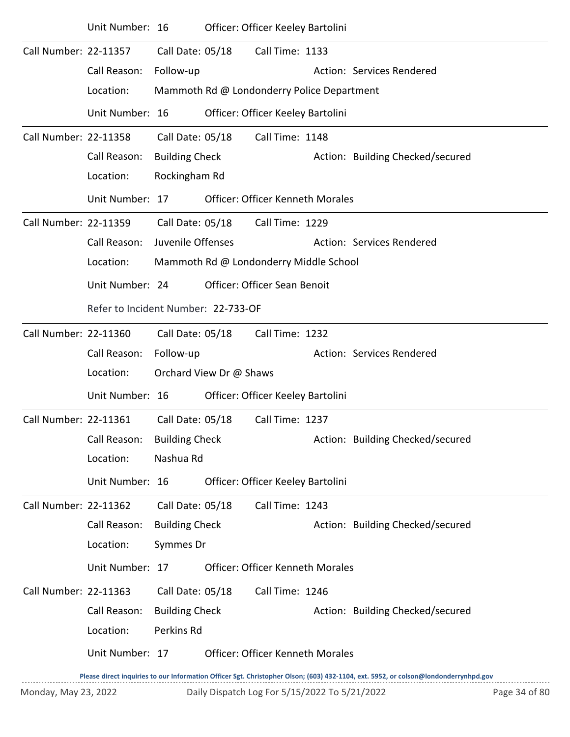|                       | Unit Number: 16                     |                       |                         | Officer: Officer Keeley Bartolini          |                                  |
|-----------------------|-------------------------------------|-----------------------|-------------------------|--------------------------------------------|----------------------------------|
| Call Number: 22-11357 |                                     | Call Date: 05/18      |                         | Call Time: 1133                            |                                  |
|                       | Call Reason:                        | Follow-up             |                         |                                            | Action: Services Rendered        |
|                       | Location:                           |                       |                         | Mammoth Rd @ Londonderry Police Department |                                  |
|                       | Unit Number: 16                     |                       |                         | Officer: Officer Keeley Bartolini          |                                  |
| Call Number: 22-11358 |                                     | Call Date: 05/18      |                         | Call Time: 1148                            |                                  |
|                       | Call Reason:                        | <b>Building Check</b> |                         |                                            | Action: Building Checked/secured |
|                       | Location:                           | Rockingham Rd         |                         |                                            |                                  |
|                       | Unit Number: 17                     |                       |                         | <b>Officer: Officer Kenneth Morales</b>    |                                  |
| Call Number: 22-11359 |                                     | Call Date: 05/18      |                         | Call Time: 1229                            |                                  |
|                       | Call Reason:                        | Juvenile Offenses     |                         |                                            | Action: Services Rendered        |
|                       | Location:                           |                       |                         | Mammoth Rd @ Londonderry Middle School     |                                  |
|                       | Unit Number: 24                     |                       |                         | <b>Officer: Officer Sean Benoit</b>        |                                  |
|                       | Refer to Incident Number: 22-733-OF |                       |                         |                                            |                                  |
| Call Number: 22-11360 |                                     | Call Date: 05/18      |                         | Call Time: 1232                            |                                  |
|                       | Call Reason:                        | Follow-up             |                         |                                            | Action: Services Rendered        |
|                       | Location:                           |                       | Orchard View Dr @ Shaws |                                            |                                  |
|                       | Unit Number: 16                     |                       |                         | Officer: Officer Keeley Bartolini          |                                  |
| Call Number: 22-11361 |                                     | Call Date: 05/18      |                         | Call Time: 1237                            |                                  |
|                       | Call Reason: Building Check         |                       |                         |                                            | Action: Building Checked/secured |
|                       | Location:                           | Nashua Rd             |                         |                                            |                                  |
|                       | Unit Number: 16                     |                       |                         | Officer: Officer Keeley Bartolini          |                                  |
| Call Number: 22-11362 |                                     | Call Date: 05/18      |                         | Call Time: 1243                            |                                  |
|                       | Call Reason:                        | <b>Building Check</b> |                         |                                            | Action: Building Checked/secured |
|                       | Location:                           | Symmes Dr             |                         |                                            |                                  |
|                       | Unit Number: 17                     |                       |                         | <b>Officer: Officer Kenneth Morales</b>    |                                  |
| Call Number: 22-11363 |                                     | Call Date: 05/18      |                         | Call Time: 1246                            |                                  |
|                       | Call Reason:                        | <b>Building Check</b> |                         |                                            | Action: Building Checked/secured |
|                       | Location:                           | Perkins Rd            |                         |                                            |                                  |
|                       | Unit Number: 17                     |                       |                         | <b>Officer: Officer Kenneth Morales</b>    |                                  |
|                       |                                     |                       |                         |                                            |                                  |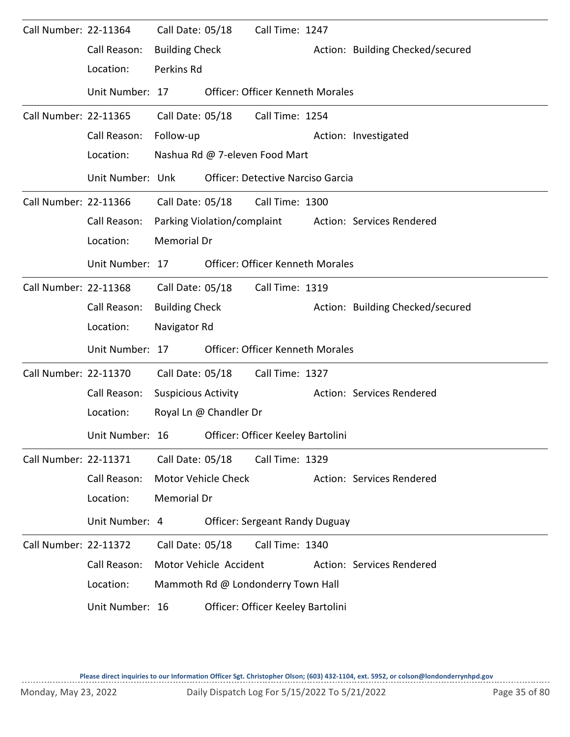| Call Number: 22-11364 | Call Reason:     | Call Date: 05/18<br><b>Building Check</b> |                        | Call Time: 1247                          | Action: Building Checked/secured |
|-----------------------|------------------|-------------------------------------------|------------------------|------------------------------------------|----------------------------------|
|                       | Location:        | Perkins Rd                                |                        |                                          |                                  |
|                       | Unit Number: 17  |                                           |                        | <b>Officer: Officer Kenneth Morales</b>  |                                  |
| Call Number: 22-11365 |                  |                                           | Call Date: 05/18       | Call Time: 1254                          |                                  |
|                       | Call Reason:     | Follow-up                                 |                        |                                          | Action: Investigated             |
|                       | Location:        |                                           |                        | Nashua Rd @ 7-eleven Food Mart           |                                  |
|                       | Unit Number: Unk |                                           |                        | <b>Officer: Detective Narciso Garcia</b> |                                  |
| Call Number: 22-11366 |                  |                                           |                        | Call Date: 05/18 Call Time: 1300         |                                  |
|                       | Call Reason:     |                                           |                        | Parking Violation/complaint              | Action: Services Rendered        |
|                       | Location:        | <b>Memorial Dr</b>                        |                        |                                          |                                  |
|                       | Unit Number: 17  |                                           |                        | <b>Officer: Officer Kenneth Morales</b>  |                                  |
| Call Number: 22-11368 |                  |                                           | Call Date: 05/18       | Call Time: 1319                          |                                  |
|                       | Call Reason:     | <b>Building Check</b>                     |                        |                                          | Action: Building Checked/secured |
|                       | Location:        | Navigator Rd                              |                        |                                          |                                  |
|                       | Unit Number: 17  |                                           |                        | Officer: Officer Kenneth Morales         |                                  |
| Call Number: 22-11370 |                  | Call Date: 05/18                          |                        | Call Time: 1327                          |                                  |
|                       | Call Reason:     | <b>Suspicious Activity</b>                |                        |                                          | Action: Services Rendered        |
|                       | Location:        |                                           | Royal Ln @ Chandler Dr |                                          |                                  |
|                       | Unit Number: 16  |                                           |                        | Officer: Officer Keeley Bartolini        |                                  |
| Call Number: 22-11371 |                  | Call Date: 05/18                          |                        | Call Time: 1329                          |                                  |
|                       | Call Reason:     |                                           | Motor Vehicle Check    |                                          | Action: Services Rendered        |
|                       | Location:        | <b>Memorial Dr</b>                        |                        |                                          |                                  |
|                       | Unit Number: 4   |                                           |                        | <b>Officer: Sergeant Randy Duguay</b>    |                                  |
| Call Number: 22-11372 |                  | Call Date: 05/18                          |                        | Call Time: 1340                          |                                  |
|                       | Call Reason:     |                                           | Motor Vehicle Accident |                                          | Action: Services Rendered        |
|                       | Location:        |                                           |                        | Mammoth Rd @ Londonderry Town Hall       |                                  |
|                       | Unit Number: 16  |                                           |                        | Officer: Officer Keeley Bartolini        |                                  |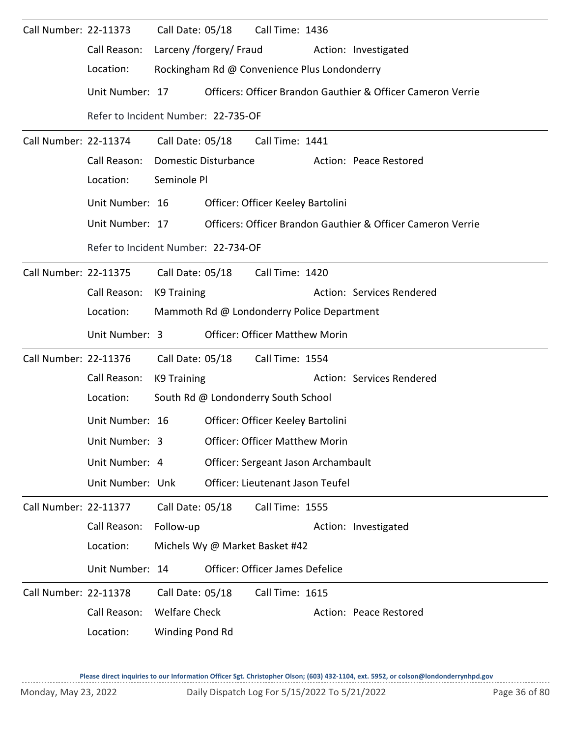| Call Number: 22-11373 |                                     | Call Date: 05/18        | Call Time: 1436                              |                                                             |
|-----------------------|-------------------------------------|-------------------------|----------------------------------------------|-------------------------------------------------------------|
|                       | Call Reason:                        | Larceny /forgery/ Fraud |                                              | Action: Investigated                                        |
|                       | Location:                           |                         | Rockingham Rd @ Convenience Plus Londonderry |                                                             |
|                       | Unit Number: 17                     |                         |                                              | Officers: Officer Brandon Gauthier & Officer Cameron Verrie |
|                       | Refer to Incident Number: 22-735-OF |                         |                                              |                                                             |
| Call Number: 22-11374 |                                     | Call Date: 05/18        | Call Time: 1441                              |                                                             |
|                       | Call Reason:                        | Domestic Disturbance    |                                              | Action: Peace Restored                                      |
|                       | Location:                           | Seminole Pl             |                                              |                                                             |
|                       | Unit Number: 16                     |                         | Officer: Officer Keeley Bartolini            |                                                             |
|                       | Unit Number: 17                     |                         |                                              | Officers: Officer Brandon Gauthier & Officer Cameron Verrie |
|                       | Refer to Incident Number: 22-734-OF |                         |                                              |                                                             |
| Call Number: 22-11375 |                                     | Call Date: 05/18        | Call Time: 1420                              |                                                             |
|                       | Call Reason:                        | K9 Training             |                                              | Action: Services Rendered                                   |
|                       | Location:                           |                         | Mammoth Rd @ Londonderry Police Department   |                                                             |
|                       | Unit Number: 3                      |                         | <b>Officer: Officer Matthew Morin</b>        |                                                             |
| Call Number: 22-11376 |                                     |                         | Call Date: 05/18 Call Time: 1554             |                                                             |
|                       | Call Reason:                        | K9 Training             |                                              | Action: Services Rendered                                   |
|                       | Location:                           |                         | South Rd @ Londonderry South School          |                                                             |
|                       | Unit Number: 16                     |                         | Officer: Officer Keeley Bartolini            |                                                             |
|                       | Unit Number: 3                      |                         | <b>Officer: Officer Matthew Morin</b>        |                                                             |
|                       | Unit Number: 4                      |                         | Officer: Sergeant Jason Archambault          |                                                             |
|                       | Unit Number: Unk                    |                         | Officer: Lieutenant Jason Teufel             |                                                             |
| Call Number: 22-11377 |                                     | Call Date: 05/18        | Call Time: 1555                              |                                                             |
|                       | Call Reason:                        | Follow-up               |                                              | Action: Investigated                                        |
|                       | Location:                           |                         | Michels Wy @ Market Basket #42               |                                                             |
|                       | Unit Number: 14                     |                         | Officer: Officer James Defelice              |                                                             |
| Call Number: 22-11378 |                                     | Call Date: 05/18        | Call Time: 1615                              |                                                             |
|                       | Call Reason:                        | <b>Welfare Check</b>    |                                              | Action: Peace Restored                                      |
|                       | Location:                           | Winding Pond Rd         |                                              |                                                             |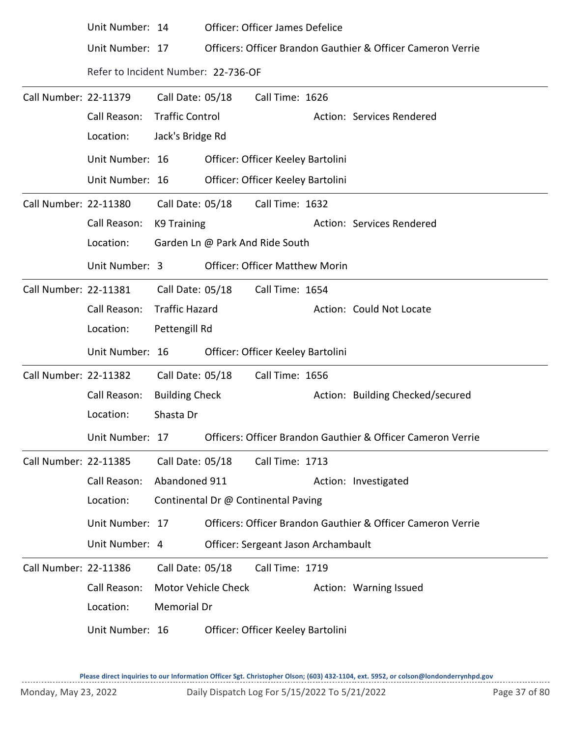|                              | Unit Number: 14                     |                        |                  | Officer: Officer James Defelice       |                                                             |
|------------------------------|-------------------------------------|------------------------|------------------|---------------------------------------|-------------------------------------------------------------|
|                              | Unit Number: 17                     |                        |                  |                                       | Officers: Officer Brandon Gauthier & Officer Cameron Verrie |
|                              | Refer to Incident Number: 22-736-OF |                        |                  |                                       |                                                             |
| Call Number: 22-11379        |                                     | Call Date: 05/18       |                  | Call Time: 1626                       |                                                             |
|                              | Call Reason:                        | <b>Traffic Control</b> |                  |                                       | Action: Services Rendered                                   |
|                              | Location:                           | Jack's Bridge Rd       |                  |                                       |                                                             |
|                              | Unit Number: 16                     |                        |                  | Officer: Officer Keeley Bartolini     |                                                             |
|                              | Unit Number: 16                     |                        |                  | Officer: Officer Keeley Bartolini     |                                                             |
| Call Number: 22-11380        |                                     | Call Date: 05/18       |                  | Call Time: 1632                       |                                                             |
|                              | Call Reason:                        | K9 Training            |                  |                                       | Action: Services Rendered                                   |
|                              | Location:                           |                        |                  | Garden Ln @ Park And Ride South       |                                                             |
|                              | Unit Number: 3                      |                        |                  | <b>Officer: Officer Matthew Morin</b> |                                                             |
| Call Number: 22-11381        |                                     |                        | Call Date: 05/18 | Call Time: 1654                       |                                                             |
|                              | Call Reason:                        | <b>Traffic Hazard</b>  |                  |                                       | Action: Could Not Locate                                    |
|                              | Location:                           | Pettengill Rd          |                  |                                       |                                                             |
|                              | Unit Number: 16                     |                        |                  | Officer: Officer Keeley Bartolini     |                                                             |
| <b>Call Number: 22-11382</b> |                                     | Call Date: 05/18       |                  | Call Time: 1656                       |                                                             |
|                              | Call Reason:                        | <b>Building Check</b>  |                  |                                       | Action: Building Checked/secured                            |
|                              | Location:                           | Shasta Dr              |                  |                                       |                                                             |
|                              | Unit Number: 17                     |                        |                  |                                       | Officers: Officer Brandon Gauthier & Officer Cameron Verrie |
| Call Number: 22-11385        |                                     | Call Date: 05/18       |                  | Call Time: 1713                       |                                                             |
|                              | Call Reason:                        | Abandoned 911          |                  |                                       | Action: Investigated                                        |
|                              | Location:                           |                        |                  | Continental Dr @ Continental Paving   |                                                             |
|                              | Unit Number: 17                     |                        |                  |                                       | Officers: Officer Brandon Gauthier & Officer Cameron Verrie |
|                              | Unit Number: 4                      |                        |                  | Officer: Sergeant Jason Archambault   |                                                             |
| Call Number: 22-11386        |                                     | Call Date: 05/18       |                  | Call Time: 1719                       |                                                             |
|                              | Call Reason:                        | Motor Vehicle Check    |                  |                                       | Action: Warning Issued                                      |
|                              | Location:                           | Memorial Dr            |                  |                                       |                                                             |
|                              | Unit Number: 16                     |                        |                  | Officer: Officer Keeley Bartolini     |                                                             |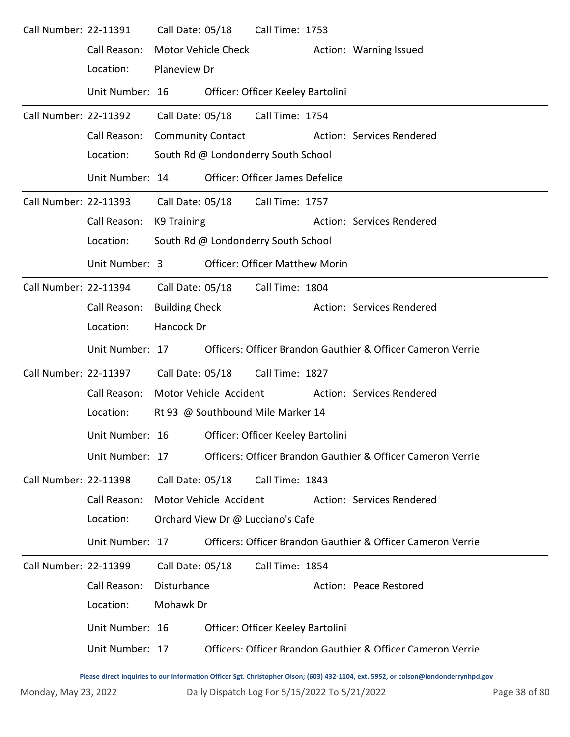| Call Number: 22-11391 |                 |                          | Call Date: 05/18       | Call Time: 1753                       |                                                             |
|-----------------------|-----------------|--------------------------|------------------------|---------------------------------------|-------------------------------------------------------------|
|                       | Call Reason:    |                          | Motor Vehicle Check    |                                       | Action: Warning Issued                                      |
|                       | Location:       | Planeview Dr             |                        |                                       |                                                             |
|                       | Unit Number: 16 |                          |                        | Officer: Officer Keeley Bartolini     |                                                             |
| Call Number: 22-11392 |                 | Call Date: 05/18         |                        | Call Time: 1754                       |                                                             |
|                       | Call Reason:    | <b>Community Contact</b> |                        |                                       | Action: Services Rendered                                   |
|                       | Location:       |                          |                        | South Rd @ Londonderry South School   |                                                             |
|                       | Unit Number: 14 |                          |                        | Officer: Officer James Defelice       |                                                             |
| Call Number: 22-11393 |                 |                          |                        | Call Date: 05/18 Call Time: 1757      |                                                             |
|                       | Call Reason:    | K9 Training              |                        |                                       | Action: Services Rendered                                   |
|                       | Location:       |                          |                        | South Rd @ Londonderry South School   |                                                             |
|                       | Unit Number: 3  |                          |                        | <b>Officer: Officer Matthew Morin</b> |                                                             |
| Call Number: 22-11394 |                 | Call Date: 05/18         |                        | Call Time: 1804                       |                                                             |
|                       | Call Reason:    | <b>Building Check</b>    |                        |                                       | Action: Services Rendered                                   |
|                       | Location:       | Hancock Dr               |                        |                                       |                                                             |
|                       | Unit Number: 17 |                          |                        |                                       | Officers: Officer Brandon Gauthier & Officer Cameron Verrie |
| Call Number: 22-11397 |                 | Call Date: 05/18         |                        | Call Time: 1827                       |                                                             |
|                       | Call Reason:    |                          | Motor Vehicle Accident |                                       | Action: Services Rendered                                   |
|                       | Location:       |                          |                        | Rt 93 @ Southbound Mile Marker 14     |                                                             |
|                       | Unit Number: 16 |                          |                        | Officer: Officer Keeley Bartolini     |                                                             |
|                       | Unit Number: 17 |                          |                        |                                       | Officers: Officer Brandon Gauthier & Officer Cameron Verrie |
| Call Number: 22-11398 |                 | Call Date: 05/18         |                        | Call Time: 1843                       |                                                             |
|                       | Call Reason:    |                          | Motor Vehicle Accident |                                       | Action: Services Rendered                                   |
|                       | Location:       |                          |                        | Orchard View Dr @ Lucciano's Cafe     |                                                             |
|                       | Unit Number: 17 |                          |                        |                                       | Officers: Officer Brandon Gauthier & Officer Cameron Verrie |
| Call Number: 22-11399 |                 | Call Date: 05/18         |                        | Call Time: 1854                       |                                                             |
|                       | Call Reason:    | Disturbance              |                        |                                       | Action: Peace Restored                                      |
|                       | Location:       | Mohawk Dr                |                        |                                       |                                                             |
|                       | Unit Number: 16 |                          |                        | Officer: Officer Keeley Bartolini     |                                                             |
|                       | Unit Number: 17 |                          |                        |                                       | Officers: Officer Brandon Gauthier & Officer Cameron Verrie |
|                       |                 |                          |                        |                                       |                                                             |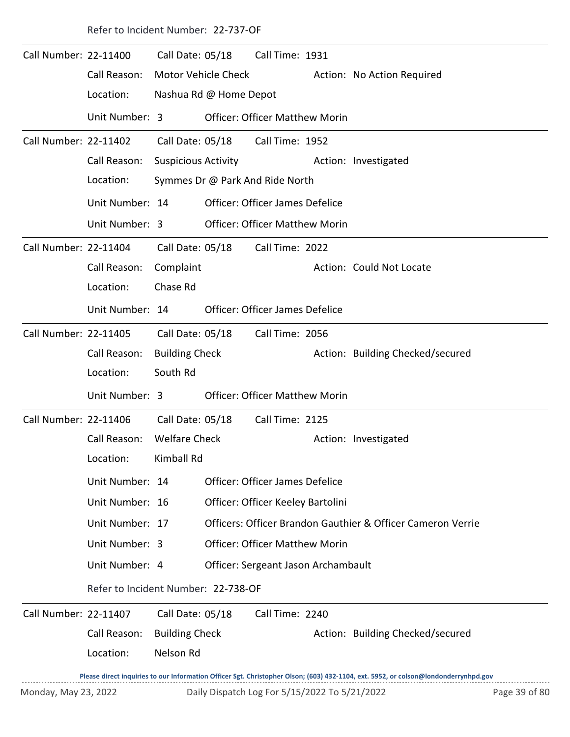|                       | Refer to Incident Number: 22-737-OF |                                                |                                 |                                               |  |                                                                                                                                     |               |  |  |  |
|-----------------------|-------------------------------------|------------------------------------------------|---------------------------------|-----------------------------------------------|--|-------------------------------------------------------------------------------------------------------------------------------------|---------------|--|--|--|
| Call Number: 22-11400 | Call Reason:<br>Location:           | Call Date: 05/18<br><b>Motor Vehicle Check</b> | Nashua Rd @ Home Depot          | Call Time: 1931                               |  | Action: No Action Required                                                                                                          |               |  |  |  |
|                       | Unit Number: 3                      |                                                |                                 | <b>Officer: Officer Matthew Morin</b>         |  |                                                                                                                                     |               |  |  |  |
| Call Number: 22-11402 |                                     | Call Date: 05/18                               |                                 | Call Time: 1952                               |  |                                                                                                                                     |               |  |  |  |
|                       | Call Reason:                        | <b>Suspicious Activity</b>                     |                                 |                                               |  | Action: Investigated                                                                                                                |               |  |  |  |
|                       | Location:                           |                                                | Symmes Dr @ Park And Ride North |                                               |  |                                                                                                                                     |               |  |  |  |
|                       | Unit Number: 14                     |                                                |                                 | Officer: Officer James Defelice               |  |                                                                                                                                     |               |  |  |  |
|                       | Unit Number: 3                      |                                                |                                 | <b>Officer: Officer Matthew Morin</b>         |  |                                                                                                                                     |               |  |  |  |
| Call Number: 22-11404 |                                     | Call Date: 05/18                               |                                 | Call Time: 2022                               |  |                                                                                                                                     |               |  |  |  |
|                       | Call Reason:                        | Complaint                                      |                                 |                                               |  | Action: Could Not Locate                                                                                                            |               |  |  |  |
|                       | Location:                           | Chase Rd                                       |                                 |                                               |  |                                                                                                                                     |               |  |  |  |
|                       | Unit Number: 14                     |                                                |                                 | <b>Officer: Officer James Defelice</b>        |  |                                                                                                                                     |               |  |  |  |
| Call Number: 22-11405 |                                     |                                                |                                 | Call Date: 05/18 Call Time: 2056              |  |                                                                                                                                     |               |  |  |  |
|                       | Call Reason:                        | <b>Building Check</b>                          |                                 |                                               |  | Action: Building Checked/secured                                                                                                    |               |  |  |  |
|                       | Location:                           | South Rd                                       |                                 |                                               |  |                                                                                                                                     |               |  |  |  |
|                       | Unit Number: 3                      |                                                |                                 | <b>Officer: Officer Matthew Morin</b>         |  |                                                                                                                                     |               |  |  |  |
| Call Number: 22-11406 |                                     | Call Date: 05/18                               |                                 | Call Time: 2125                               |  |                                                                                                                                     |               |  |  |  |
|                       | Call Reason: Welfare Check          |                                                |                                 |                                               |  | Action: Investigated                                                                                                                |               |  |  |  |
|                       | Location:                           | Kimball Rd                                     |                                 |                                               |  |                                                                                                                                     |               |  |  |  |
|                       | Unit Number: 14                     |                                                |                                 | Officer: Officer James Defelice               |  |                                                                                                                                     |               |  |  |  |
|                       | Unit Number: 16                     |                                                |                                 | Officer: Officer Keeley Bartolini             |  |                                                                                                                                     |               |  |  |  |
|                       | Unit Number: 17                     |                                                |                                 |                                               |  | Officers: Officer Brandon Gauthier & Officer Cameron Verrie                                                                         |               |  |  |  |
|                       | Unit Number: 3                      |                                                |                                 | <b>Officer: Officer Matthew Morin</b>         |  |                                                                                                                                     |               |  |  |  |
|                       | Unit Number: 4                      |                                                |                                 | Officer: Sergeant Jason Archambault           |  |                                                                                                                                     |               |  |  |  |
|                       | Refer to Incident Number: 22-738-OF |                                                |                                 |                                               |  |                                                                                                                                     |               |  |  |  |
| Call Number: 22-11407 |                                     | Call Date: 05/18                               |                                 | Call Time: 2240                               |  |                                                                                                                                     |               |  |  |  |
|                       | Call Reason:                        | <b>Building Check</b>                          |                                 |                                               |  | Action: Building Checked/secured                                                                                                    |               |  |  |  |
|                       | Location:                           | Nelson Rd                                      |                                 |                                               |  |                                                                                                                                     |               |  |  |  |
|                       |                                     |                                                |                                 |                                               |  | Please direct inquiries to our Information Officer Sgt. Christopher Olson; (603) 432-1104, ext. 5952, or colson@londonderrynhpd.gov |               |  |  |  |
| Monday, May 23, 2022  |                                     |                                                |                                 | Daily Dispatch Log For 5/15/2022 To 5/21/2022 |  |                                                                                                                                     | Page 39 of 80 |  |  |  |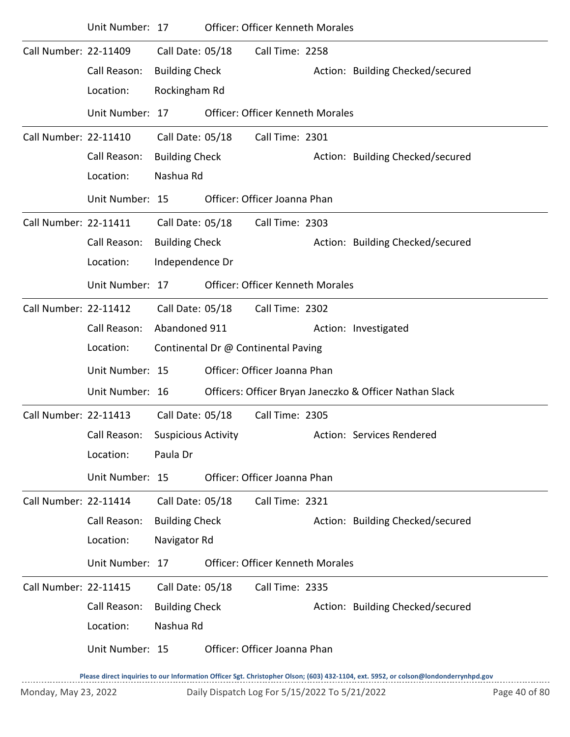|                       | Unit Number: 17 |                            | <b>Officer: Officer Kenneth Morales</b> |                                                         |
|-----------------------|-----------------|----------------------------|-----------------------------------------|---------------------------------------------------------|
| Call Number: 22-11409 |                 | Call Date: 05/18           | Call Time: 2258                         |                                                         |
|                       | Call Reason:    | <b>Building Check</b>      |                                         | Action: Building Checked/secured                        |
|                       | Location:       | Rockingham Rd              |                                         |                                                         |
|                       | Unit Number: 17 |                            | <b>Officer: Officer Kenneth Morales</b> |                                                         |
| Call Number: 22-11410 |                 | Call Date: 05/18           | Call Time: 2301                         |                                                         |
|                       | Call Reason:    | <b>Building Check</b>      |                                         | Action: Building Checked/secured                        |
|                       | Location:       | Nashua Rd                  |                                         |                                                         |
|                       | Unit Number: 15 |                            | Officer: Officer Joanna Phan            |                                                         |
| Call Number: 22-11411 |                 | Call Date: 05/18           | Call Time: 2303                         |                                                         |
|                       | Call Reason:    | <b>Building Check</b>      |                                         | Action: Building Checked/secured                        |
|                       | Location:       | Independence Dr            |                                         |                                                         |
|                       | Unit Number: 17 |                            | <b>Officer: Officer Kenneth Morales</b> |                                                         |
| Call Number: 22-11412 |                 | Call Date: 05/18           | Call Time: 2302                         |                                                         |
|                       | Call Reason:    | Abandoned 911              |                                         | Action: Investigated                                    |
|                       | Location:       |                            | Continental Dr @ Continental Paving     |                                                         |
|                       | Unit Number: 15 |                            | Officer: Officer Joanna Phan            |                                                         |
|                       | Unit Number: 16 |                            |                                         | Officers: Officer Bryan Janeczko & Officer Nathan Slack |
| Call Number: 22-11413 |                 | Call Date: 05/18           | Call Time: 2305                         |                                                         |
|                       | Call Reason:    | <b>Suspicious Activity</b> |                                         | Action: Services Rendered                               |
|                       | Location:       | Paula Dr                   |                                         |                                                         |
|                       | Unit Number: 15 |                            | Officer: Officer Joanna Phan            |                                                         |
| Call Number: 22-11414 |                 | Call Date: 05/18           | Call Time: 2321                         |                                                         |
|                       | Call Reason:    | <b>Building Check</b>      |                                         | Action: Building Checked/secured                        |
|                       | Location:       | Navigator Rd               |                                         |                                                         |
|                       | Unit Number: 17 |                            | <b>Officer: Officer Kenneth Morales</b> |                                                         |
| Call Number: 22-11415 |                 | Call Date: 05/18           | Call Time: 2335                         |                                                         |
|                       | Call Reason:    | <b>Building Check</b>      |                                         | Action: Building Checked/secured                        |
|                       | Location:       | Nashua Rd                  |                                         |                                                         |
|                       | Unit Number: 15 |                            | Officer: Officer Joanna Phan            |                                                         |
|                       |                 |                            |                                         |                                                         |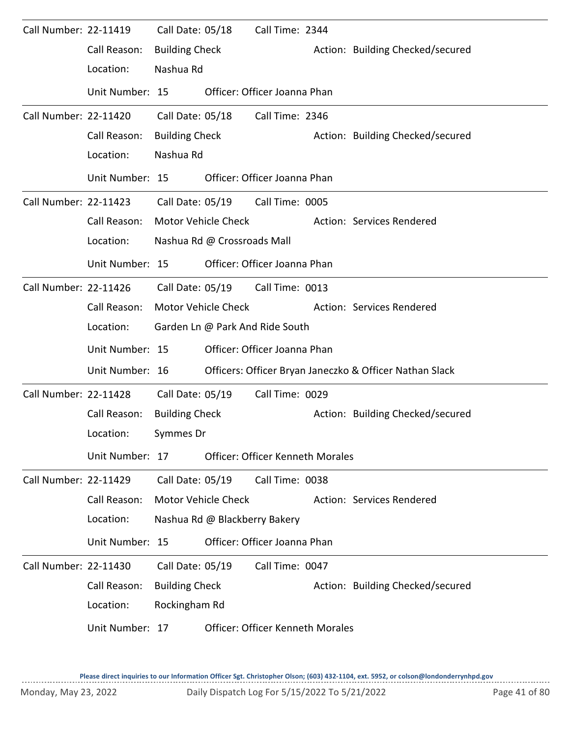| Call Number: 22-11419 |                 | Call Date: 05/18      |                               | Call Time: 2344                         |                                                         |
|-----------------------|-----------------|-----------------------|-------------------------------|-----------------------------------------|---------------------------------------------------------|
|                       | Call Reason:    | <b>Building Check</b> |                               |                                         | Action: Building Checked/secured                        |
|                       | Location:       | Nashua Rd             |                               |                                         |                                                         |
|                       | Unit Number: 15 |                       |                               | Officer: Officer Joanna Phan            |                                                         |
| Call Number: 22-11420 |                 | Call Date: 05/18      |                               | Call Time: 2346                         |                                                         |
|                       | Call Reason:    | <b>Building Check</b> |                               |                                         | Action: Building Checked/secured                        |
|                       | Location:       | Nashua Rd             |                               |                                         |                                                         |
|                       | Unit Number: 15 |                       |                               | Officer: Officer Joanna Phan            |                                                         |
| Call Number: 22-11423 |                 |                       |                               | Call Date: 05/19 Call Time: 0005        |                                                         |
|                       | Call Reason:    |                       | Motor Vehicle Check           |                                         | Action: Services Rendered                               |
|                       | Location:       |                       | Nashua Rd @ Crossroads Mall   |                                         |                                                         |
|                       | Unit Number: 15 |                       |                               | Officer: Officer Joanna Phan            |                                                         |
| Call Number: 22-11426 |                 | Call Date: 05/19      |                               | Call Time: 0013                         |                                                         |
|                       | Call Reason:    |                       | Motor Vehicle Check           |                                         | Action: Services Rendered                               |
|                       | Location:       |                       |                               | Garden Ln @ Park And Ride South         |                                                         |
|                       | Unit Number: 15 |                       |                               | Officer: Officer Joanna Phan            |                                                         |
|                       | Unit Number: 16 |                       |                               |                                         | Officers: Officer Bryan Janeczko & Officer Nathan Slack |
| Call Number: 22-11428 |                 | Call Date: 05/19      |                               | Call Time: 0029                         |                                                         |
|                       | Call Reason:    | <b>Building Check</b> |                               |                                         | Action: Building Checked/secured                        |
|                       | Location:       | Symmes Dr             |                               |                                         |                                                         |
|                       | Unit Number: 17 |                       |                               | <b>Officer: Officer Kenneth Morales</b> |                                                         |
| Call Number: 22-11429 |                 | Call Date: 05/19      |                               | Call Time: 0038                         |                                                         |
|                       | Call Reason:    |                       | <b>Motor Vehicle Check</b>    |                                         | Action: Services Rendered                               |
|                       | Location:       |                       | Nashua Rd @ Blackberry Bakery |                                         |                                                         |
|                       | Unit Number: 15 |                       |                               | Officer: Officer Joanna Phan            |                                                         |
| Call Number: 22-11430 |                 | Call Date: 05/19      |                               | Call Time: 0047                         |                                                         |
|                       | Call Reason:    | <b>Building Check</b> |                               |                                         | Action: Building Checked/secured                        |
|                       | Location:       | Rockingham Rd         |                               |                                         |                                                         |
|                       | Unit Number: 17 |                       |                               | <b>Officer: Officer Kenneth Morales</b> |                                                         |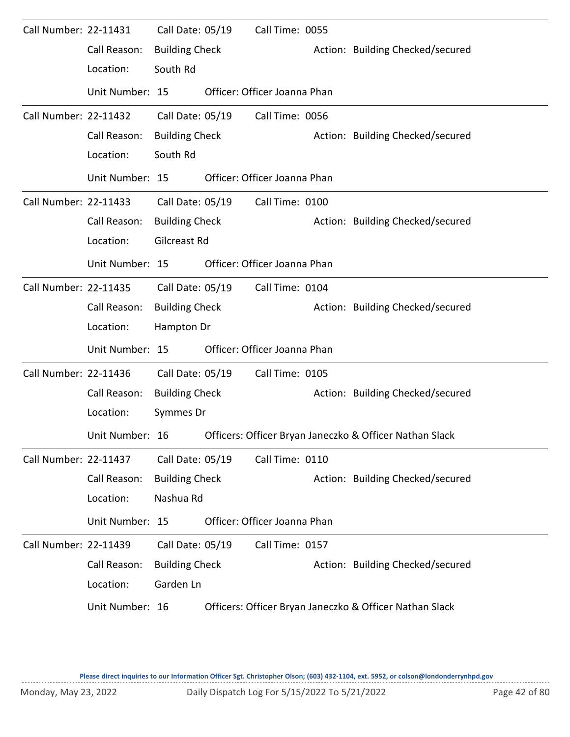| Call Number: 22-11431 |                 | Call Date: 05/19      | Call Time: 0055              |                                                         |
|-----------------------|-----------------|-----------------------|------------------------------|---------------------------------------------------------|
|                       | Call Reason:    | <b>Building Check</b> |                              | Action: Building Checked/secured                        |
|                       | Location:       | South Rd              |                              |                                                         |
|                       | Unit Number: 15 |                       | Officer: Officer Joanna Phan |                                                         |
| Call Number: 22-11432 |                 | Call Date: 05/19      | Call Time: 0056              |                                                         |
|                       | Call Reason:    | <b>Building Check</b> |                              | Action: Building Checked/secured                        |
|                       | Location:       | South Rd              |                              |                                                         |
|                       | Unit Number: 15 |                       | Officer: Officer Joanna Phan |                                                         |
| Call Number: 22-11433 |                 | Call Date: 05/19      | Call Time: 0100              |                                                         |
|                       | Call Reason:    | <b>Building Check</b> |                              | Action: Building Checked/secured                        |
|                       | Location:       | Gilcreast Rd          |                              |                                                         |
|                       | Unit Number: 15 |                       | Officer: Officer Joanna Phan |                                                         |
| Call Number: 22-11435 |                 | Call Date: 05/19      | Call Time: 0104              |                                                         |
|                       | Call Reason:    | <b>Building Check</b> |                              | Action: Building Checked/secured                        |
|                       | Location:       | Hampton Dr            |                              |                                                         |
|                       | Unit Number: 15 |                       | Officer: Officer Joanna Phan |                                                         |
| Call Number: 22-11436 |                 | Call Date: 05/19      | Call Time: 0105              |                                                         |
|                       | Call Reason:    | <b>Building Check</b> |                              | Action: Building Checked/secured                        |
|                       | Location:       | Symmes Dr             |                              |                                                         |
|                       | Unit Number: 16 |                       |                              | Officers: Officer Bryan Janeczko & Officer Nathan Slack |
| Call Number: 22-11437 |                 | Call Date: 05/19      | Call Time: 0110              |                                                         |
|                       | Call Reason:    | <b>Building Check</b> |                              | Action: Building Checked/secured                        |
|                       | Location:       | Nashua Rd             |                              |                                                         |
|                       | Unit Number: 15 |                       | Officer: Officer Joanna Phan |                                                         |
| Call Number: 22-11439 |                 | Call Date: 05/19      | Call Time: 0157              |                                                         |
|                       | Call Reason:    | <b>Building Check</b> |                              | Action: Building Checked/secured                        |
|                       | Location:       | Garden Ln             |                              |                                                         |
|                       | Unit Number: 16 |                       |                              | Officers: Officer Bryan Janeczko & Officer Nathan Slack |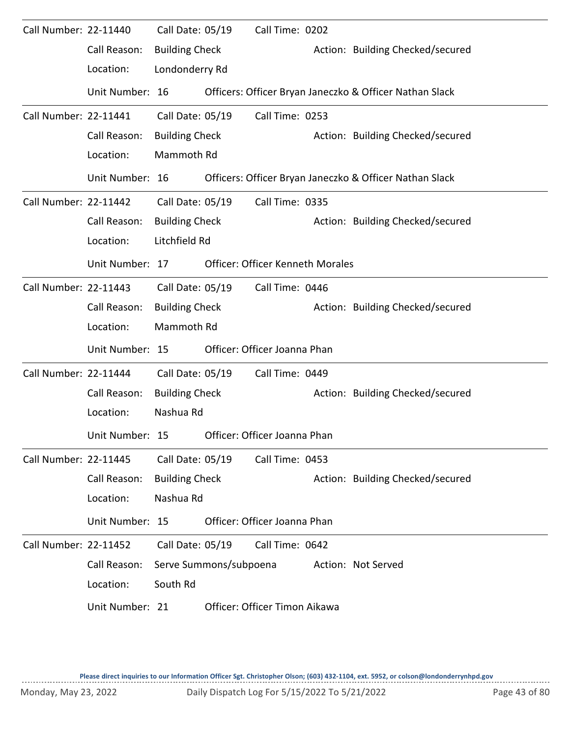| Call Number: 22-11440        |                 | Call Date: 05/19      |                        | Call Time: 0202                         |                                                         |
|------------------------------|-----------------|-----------------------|------------------------|-----------------------------------------|---------------------------------------------------------|
|                              | Call Reason:    | <b>Building Check</b> |                        |                                         | Action: Building Checked/secured                        |
|                              | Location:       | Londonderry Rd        |                        |                                         |                                                         |
|                              | Unit Number: 16 |                       |                        |                                         | Officers: Officer Bryan Janeczko & Officer Nathan Slack |
| Call Number: 22-11441        |                 | Call Date: 05/19      |                        | Call Time: 0253                         |                                                         |
|                              | Call Reason:    | <b>Building Check</b> |                        |                                         | Action: Building Checked/secured                        |
|                              | Location:       | Mammoth Rd            |                        |                                         |                                                         |
|                              | Unit Number: 16 |                       |                        |                                         | Officers: Officer Bryan Janeczko & Officer Nathan Slack |
| Call Number: 22-11442        |                 | Call Date: 05/19      |                        | Call Time: 0335                         |                                                         |
|                              | Call Reason:    | <b>Building Check</b> |                        |                                         | Action: Building Checked/secured                        |
|                              | Location:       | Litchfield Rd         |                        |                                         |                                                         |
|                              | Unit Number: 17 |                       |                        | <b>Officer: Officer Kenneth Morales</b> |                                                         |
| Call Number: 22-11443        |                 | Call Date: 05/19      |                        | Call Time: 0446                         |                                                         |
|                              | Call Reason:    | <b>Building Check</b> |                        |                                         | Action: Building Checked/secured                        |
|                              | Location:       | Mammoth Rd            |                        |                                         |                                                         |
|                              | Unit Number: 15 |                       |                        | Officer: Officer Joanna Phan            |                                                         |
| Call Number: 22-11444        |                 | Call Date: 05/19      |                        | Call Time: 0449                         |                                                         |
|                              | Call Reason:    | <b>Building Check</b> |                        |                                         | Action: Building Checked/secured                        |
|                              | Location:       | Nashua Rd             |                        |                                         |                                                         |
|                              | Unit Number: 15 |                       |                        | Officer: Officer Joanna Phan            |                                                         |
| Call Number: 22-11445        |                 | Call Date: 05/19      |                        | Call Time: 0453                         |                                                         |
|                              | Call Reason:    | <b>Building Check</b> |                        |                                         | Action: Building Checked/secured                        |
|                              | Location:       | Nashua Rd             |                        |                                         |                                                         |
|                              | Unit Number: 15 |                       |                        | Officer: Officer Joanna Phan            |                                                         |
| <b>Call Number: 22-11452</b> |                 | Call Date: 05/19      |                        | Call Time: 0642                         |                                                         |
|                              | Call Reason:    |                       | Serve Summons/subpoena |                                         | Action: Not Served                                      |
|                              | Location:       | South Rd              |                        |                                         |                                                         |
|                              | Unit Number: 21 |                       |                        | Officer: Officer Timon Aikawa           |                                                         |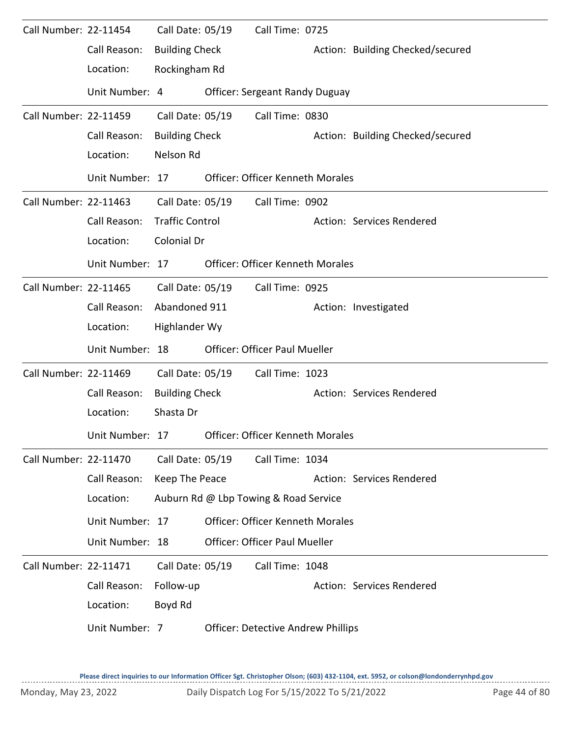| Call Number: 22-11454 |                 | Call Date: 05/19       | Call Time: 0725                           |                                  |
|-----------------------|-----------------|------------------------|-------------------------------------------|----------------------------------|
|                       | Call Reason:    | <b>Building Check</b>  |                                           | Action: Building Checked/secured |
|                       | Location:       | Rockingham Rd          |                                           |                                  |
|                       | Unit Number: 4  |                        | <b>Officer: Sergeant Randy Duguay</b>     |                                  |
| Call Number: 22-11459 |                 | Call Date: 05/19       | Call Time: 0830                           |                                  |
|                       | Call Reason:    | <b>Building Check</b>  |                                           | Action: Building Checked/secured |
|                       | Location:       | Nelson Rd              |                                           |                                  |
|                       | Unit Number: 17 |                        | <b>Officer: Officer Kenneth Morales</b>   |                                  |
| Call Number: 22-11463 |                 | Call Date: 05/19       | Call Time: 0902                           |                                  |
|                       | Call Reason:    | <b>Traffic Control</b> |                                           | Action: Services Rendered        |
|                       | Location:       | Colonial Dr            |                                           |                                  |
|                       | Unit Number: 17 |                        | <b>Officer: Officer Kenneth Morales</b>   |                                  |
| Call Number: 22-11465 |                 | Call Date: 05/19       | Call Time: 0925                           |                                  |
|                       | Call Reason:    | Abandoned 911          |                                           | Action: Investigated             |
|                       | Location:       | Highlander Wy          |                                           |                                  |
|                       | Unit Number: 18 |                        | <b>Officer: Officer Paul Mueller</b>      |                                  |
| Call Number: 22-11469 |                 | Call Date: 05/19       | Call Time: 1023                           |                                  |
|                       | Call Reason:    | <b>Building Check</b>  |                                           | Action: Services Rendered        |
|                       | Location:       | Shasta Dr              |                                           |                                  |
|                       | Unit Number: 17 |                        | <b>Officer: Officer Kenneth Morales</b>   |                                  |
| Call Number: 22-11470 |                 | Call Date: 05/19       | Call Time: 1034                           |                                  |
|                       | Call Reason:    | Keep The Peace         |                                           | Action: Services Rendered        |
|                       | Location:       |                        | Auburn Rd @ Lbp Towing & Road Service     |                                  |
|                       | Unit Number: 17 |                        | <b>Officer: Officer Kenneth Morales</b>   |                                  |
|                       | Unit Number: 18 |                        | <b>Officer: Officer Paul Mueller</b>      |                                  |
| Call Number: 22-11471 |                 | Call Date: 05/19       | Call Time: 1048                           |                                  |
|                       | Call Reason:    | Follow-up              |                                           | Action: Services Rendered        |
|                       | Location:       | Boyd Rd                |                                           |                                  |
|                       | Unit Number: 7  |                        | <b>Officer: Detective Andrew Phillips</b> |                                  |

 $1.1.1.1.1$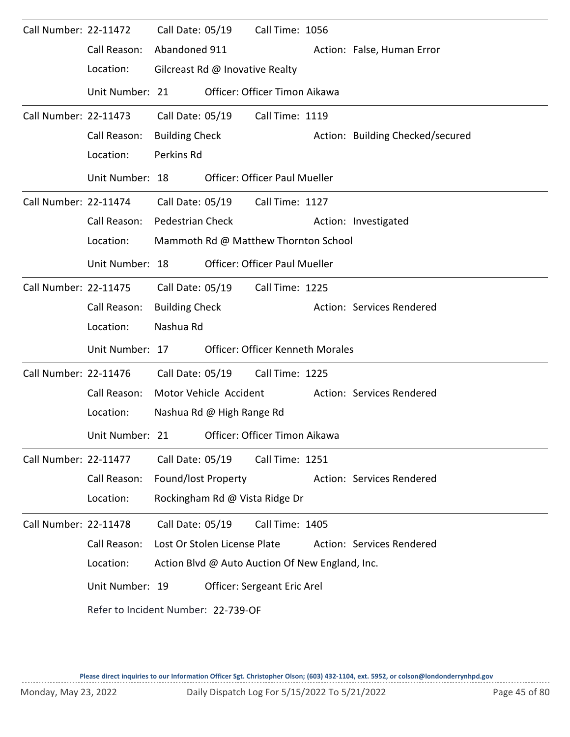| Call Number: 22-11472 |                                     |                         | Call Date: 05/19                | Call Time: 1056                                 |                                  |
|-----------------------|-------------------------------------|-------------------------|---------------------------------|-------------------------------------------------|----------------------------------|
|                       | Call Reason:                        | Abandoned 911           |                                 |                                                 | Action: False, Human Error       |
|                       | Location:                           |                         | Gilcreast Rd @ Inovative Realty |                                                 |                                  |
|                       | Unit Number: 21                     |                         |                                 | Officer: Officer Timon Aikawa                   |                                  |
| Call Number: 22-11473 |                                     | Call Date: 05/19        |                                 | Call Time: 1119                                 |                                  |
|                       | Call Reason:                        | <b>Building Check</b>   |                                 |                                                 | Action: Building Checked/secured |
|                       | Location:                           | Perkins Rd              |                                 |                                                 |                                  |
|                       | Unit Number: 18                     |                         |                                 | <b>Officer: Officer Paul Mueller</b>            |                                  |
| Call Number: 22-11474 |                                     |                         |                                 | Call Date: 05/19 Call Time: 1127                |                                  |
|                       | Call Reason:                        | <b>Pedestrian Check</b> |                                 |                                                 | Action: Investigated             |
|                       | Location:                           |                         |                                 | Mammoth Rd @ Matthew Thornton School            |                                  |
|                       | Unit Number: 18                     |                         |                                 | <b>Officer: Officer Paul Mueller</b>            |                                  |
| Call Number: 22-11475 |                                     | Call Date: 05/19        |                                 | Call Time: 1225                                 |                                  |
|                       | Call Reason:                        | <b>Building Check</b>   |                                 |                                                 | Action: Services Rendered        |
|                       | Location:                           | Nashua Rd               |                                 |                                                 |                                  |
|                       | Unit Number: 17                     |                         |                                 | <b>Officer: Officer Kenneth Morales</b>         |                                  |
| Call Number: 22-11476 |                                     | Call Date: 05/19        |                                 | Call Time: 1225                                 |                                  |
|                       | Call Reason:                        |                         | Motor Vehicle Accident          |                                                 | Action: Services Rendered        |
|                       | Location:                           |                         | Nashua Rd @ High Range Rd       |                                                 |                                  |
|                       | Unit Number: 21                     |                         |                                 | Officer: Officer Timon Aikawa                   |                                  |
| Call Number: 22-11477 |                                     | Call Date: 05/19        |                                 | Call Time: 1251                                 |                                  |
|                       | Call Reason:                        | Found/lost Property     |                                 |                                                 | Action: Services Rendered        |
|                       | Location:                           |                         |                                 | Rockingham Rd @ Vista Ridge Dr                  |                                  |
| Call Number: 22-11478 |                                     | Call Date: 05/19        |                                 | Call Time: 1405                                 |                                  |
|                       | Call Reason:                        |                         | Lost Or Stolen License Plate    |                                                 | Action: Services Rendered        |
|                       | Location:                           |                         |                                 | Action Blvd @ Auto Auction Of New England, Inc. |                                  |
|                       | Unit Number: 19                     |                         |                                 | Officer: Sergeant Eric Arel                     |                                  |
|                       | Refer to Incident Number: 22-739-OF |                         |                                 |                                                 |                                  |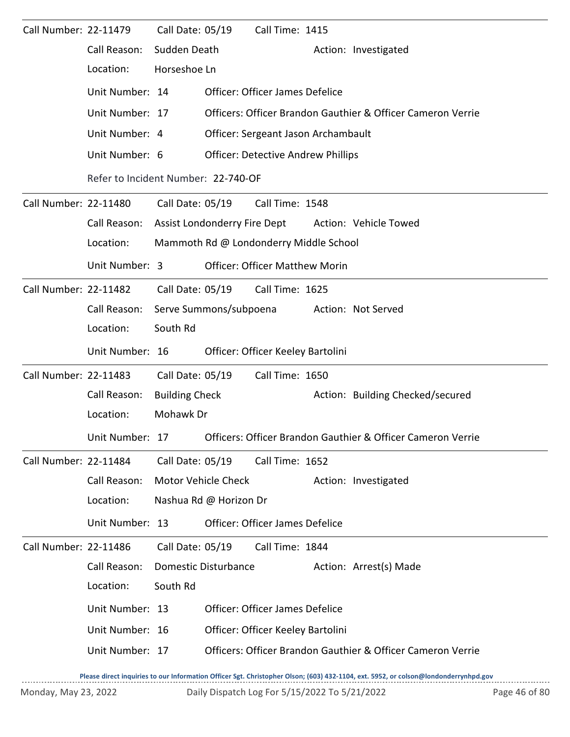| Call Number: 22-11479 |                                     | Call Date: 05/19      |                             | Call Time: 1415                           |  |                                                                             |  |  |
|-----------------------|-------------------------------------|-----------------------|-----------------------------|-------------------------------------------|--|-----------------------------------------------------------------------------|--|--|
|                       | Call Reason:                        | Sudden Death          |                             |                                           |  | Action: Investigated                                                        |  |  |
|                       | Location:                           | Horseshoe Ln          |                             |                                           |  |                                                                             |  |  |
|                       | Unit Number: 14                     |                       |                             | <b>Officer: Officer James Defelice</b>    |  |                                                                             |  |  |
|                       | Unit Number: 17                     |                       |                             |                                           |  | Officers: Officer Brandon Gauthier & Officer Cameron Verrie                 |  |  |
|                       | Unit Number: 4                      |                       |                             | Officer: Sergeant Jason Archambault       |  |                                                                             |  |  |
|                       | Unit Number: 6                      |                       |                             | <b>Officer: Detective Andrew Phillips</b> |  |                                                                             |  |  |
|                       | Refer to Incident Number: 22-740-OF |                       |                             |                                           |  |                                                                             |  |  |
| Call Number: 22-11480 |                                     | Call Date: 05/19      |                             | Call Time: 1548                           |  |                                                                             |  |  |
|                       | Call Reason:                        |                       |                             |                                           |  | Assist Londonderry Fire Dept Action: Vehicle Towed                          |  |  |
|                       | Location:                           |                       |                             | Mammoth Rd @ Londonderry Middle School    |  |                                                                             |  |  |
|                       | Unit Number: 3                      |                       |                             | <b>Officer: Officer Matthew Morin</b>     |  |                                                                             |  |  |
| Call Number: 22-11482 |                                     |                       | Call Date: 05/19            | Call Time: 1625                           |  |                                                                             |  |  |
|                       | Call Reason:                        |                       | Serve Summons/subpoena      |                                           |  | Action: Not Served                                                          |  |  |
|                       | Location:                           | South Rd              |                             |                                           |  |                                                                             |  |  |
|                       | Unit Number: 16                     |                       |                             | Officer: Officer Keeley Bartolini         |  |                                                                             |  |  |
| Call Number: 22-11483 |                                     | Call Date: 05/19      |                             | Call Time: 1650                           |  |                                                                             |  |  |
|                       | Call Reason:                        | <b>Building Check</b> |                             |                                           |  | Action: Building Checked/secured                                            |  |  |
|                       | Location:                           | Mohawk Dr             |                             |                                           |  |                                                                             |  |  |
|                       |                                     |                       |                             |                                           |  | Unit Number: 17 Officers: Officer Brandon Gauthier & Officer Cameron Verrie |  |  |
| Call Number: 22-11484 |                                     | Call Date: 05/19      |                             | Call Time: 1652                           |  |                                                                             |  |  |
|                       | Call Reason:                        |                       | Motor Vehicle Check         |                                           |  | Action: Investigated                                                        |  |  |
|                       | Location:                           |                       | Nashua Rd @ Horizon Dr      |                                           |  |                                                                             |  |  |
|                       | Unit Number: 13                     |                       |                             | Officer: Officer James Defelice           |  |                                                                             |  |  |
| Call Number: 22-11486 |                                     | Call Date: 05/19      |                             | Call Time: 1844                           |  |                                                                             |  |  |
|                       | Call Reason:                        |                       | <b>Domestic Disturbance</b> |                                           |  | Action: Arrest(s) Made                                                      |  |  |
|                       | Location:                           | South Rd              |                             |                                           |  |                                                                             |  |  |
|                       | Unit Number: 13                     |                       |                             | Officer: Officer James Defelice           |  |                                                                             |  |  |
|                       | Unit Number: 16                     |                       |                             | Officer: Officer Keeley Bartolini         |  |                                                                             |  |  |
|                       | Unit Number: 17                     |                       |                             |                                           |  | Officers: Officer Brandon Gauthier & Officer Cameron Verrie                 |  |  |
|                       |                                     |                       |                             |                                           |  |                                                                             |  |  |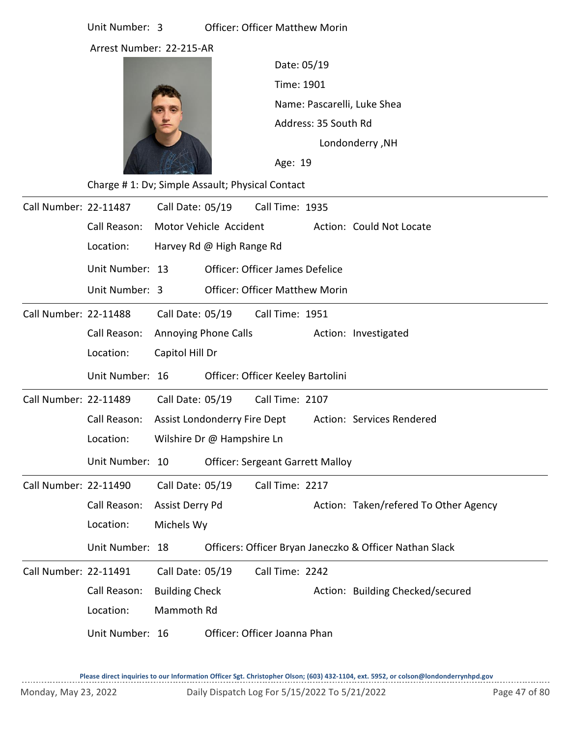Arrest Number: 22-215-AR



Time: 1901 Name: Pascarelli, Luke Shea Age: 19 Date: 05/19 Londonderry ,NH Address: 35 South Rd

Charge # 1: Dv; Simple Assault; Physical Contact

| Call Number: 22-11487 |                 | Call Date: 05/19             |                            | Call Time: 1935                         |                                                         |
|-----------------------|-----------------|------------------------------|----------------------------|-----------------------------------------|---------------------------------------------------------|
|                       | Call Reason:    | Motor Vehicle Accident       |                            |                                         | Action: Could Not Locate                                |
|                       | Location:       |                              | Harvey Rd @ High Range Rd  |                                         |                                                         |
|                       | Unit Number: 13 |                              |                            | <b>Officer: Officer James Defelice</b>  |                                                         |
|                       | Unit Number: 3  |                              |                            | <b>Officer: Officer Matthew Morin</b>   |                                                         |
| Call Number: 22-11488 |                 |                              | Call Date: 05/19           | Call Time: 1951                         |                                                         |
|                       | Call Reason:    |                              | Annoying Phone Calls       |                                         | Action: Investigated                                    |
|                       | Location:       | Capitol Hill Dr              |                            |                                         |                                                         |
|                       | Unit Number: 16 |                              |                            | Officer: Officer Keeley Bartolini       |                                                         |
| Call Number: 22-11489 |                 | Call Date: 05/19             |                            | Call Time: 2107                         |                                                         |
|                       | Call Reason:    | Assist Londonderry Fire Dept |                            |                                         | Action: Services Rendered                               |
|                       | Location:       |                              | Wilshire Dr @ Hampshire Ln |                                         |                                                         |
|                       | Unit Number: 10 |                              |                            | <b>Officer: Sergeant Garrett Malloy</b> |                                                         |
| Call Number: 22-11490 |                 | Call Date: 05/19             |                            | Call Time: 2217                         |                                                         |
|                       | Call Reason:    | Assist Derry Pd              |                            |                                         | Action: Taken/refered To Other Agency                   |
|                       | Location:       | Michels Wy                   |                            |                                         |                                                         |
|                       | Unit Number: 18 |                              |                            |                                         | Officers: Officer Bryan Janeczko & Officer Nathan Slack |
| Call Number: 22-11491 |                 | Call Date: 05/19             |                            | Call Time: 2242                         |                                                         |
|                       | Call Reason:    | <b>Building Check</b>        |                            |                                         | Action: Building Checked/secured                        |
|                       | Location:       | Mammoth Rd                   |                            |                                         |                                                         |
|                       | Unit Number: 16 |                              |                            | Officer: Officer Joanna Phan            |                                                         |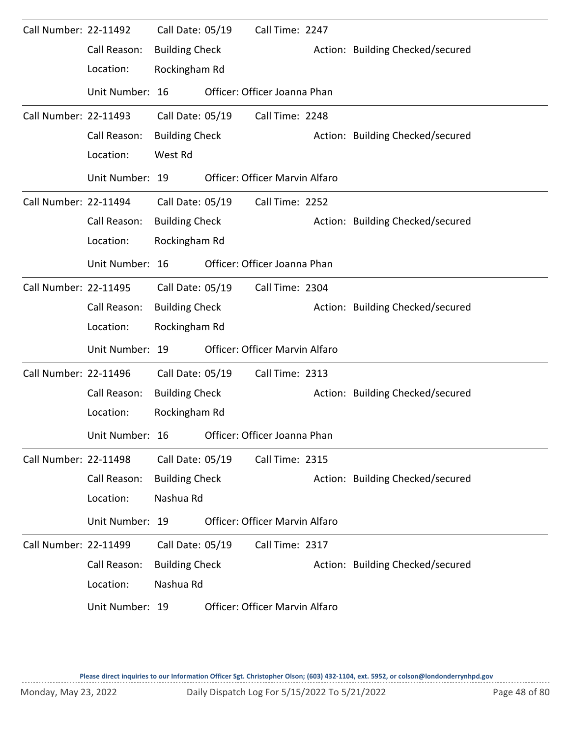| Call Number: 22-11492 |                 | Call Date: 05/19      | Call Time: 2247                |                                  |
|-----------------------|-----------------|-----------------------|--------------------------------|----------------------------------|
|                       | Call Reason:    | <b>Building Check</b> |                                | Action: Building Checked/secured |
|                       | Location:       | Rockingham Rd         |                                |                                  |
|                       | Unit Number: 16 |                       | Officer: Officer Joanna Phan   |                                  |
| Call Number: 22-11493 |                 | Call Date: 05/19      | Call Time: 2248                |                                  |
|                       | Call Reason:    | <b>Building Check</b> |                                | Action: Building Checked/secured |
|                       | Location:       | West Rd               |                                |                                  |
|                       | Unit Number: 19 |                       | Officer: Officer Marvin Alfaro |                                  |
| Call Number: 22-11494 |                 | Call Date: 05/19      | Call Time: 2252                |                                  |
|                       | Call Reason:    | <b>Building Check</b> |                                | Action: Building Checked/secured |
|                       | Location:       | Rockingham Rd         |                                |                                  |
|                       | Unit Number: 16 |                       | Officer: Officer Joanna Phan   |                                  |
| Call Number: 22-11495 |                 | Call Date: 05/19      | Call Time: 2304                |                                  |
|                       | Call Reason:    | <b>Building Check</b> |                                | Action: Building Checked/secured |
|                       | Location:       | Rockingham Rd         |                                |                                  |
|                       | Unit Number: 19 |                       | Officer: Officer Marvin Alfaro |                                  |
| Call Number: 22-11496 |                 | Call Date: 05/19      | Call Time: 2313                |                                  |
|                       | Call Reason:    | <b>Building Check</b> |                                | Action: Building Checked/secured |
|                       | Location:       | Rockingham Rd         |                                |                                  |
|                       | Unit Number: 16 |                       | Officer: Officer Joanna Phan   |                                  |
| Call Number: 22-11498 |                 | Call Date: 05/19      | Call Time: 2315                |                                  |
|                       | Call Reason:    | <b>Building Check</b> |                                | Action: Building Checked/secured |
|                       | Location:       | Nashua Rd             |                                |                                  |
|                       | Unit Number: 19 |                       | Officer: Officer Marvin Alfaro |                                  |
| Call Number: 22-11499 |                 | Call Date: 05/19      | Call Time: 2317                |                                  |
|                       | Call Reason:    | <b>Building Check</b> |                                | Action: Building Checked/secured |
|                       | Location:       | Nashua Rd             |                                |                                  |
|                       | Unit Number: 19 |                       | Officer: Officer Marvin Alfaro |                                  |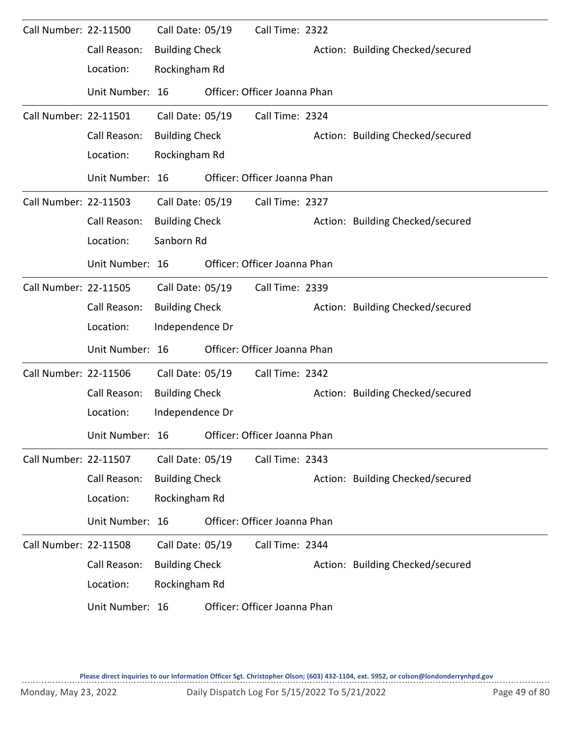| Call Number: 22-11500 |                 | Call Date: 05/19      | Call Time: 2322              |                                  |
|-----------------------|-----------------|-----------------------|------------------------------|----------------------------------|
|                       | Call Reason:    | <b>Building Check</b> |                              | Action: Building Checked/secured |
|                       | Location:       | Rockingham Rd         |                              |                                  |
|                       | Unit Number: 16 |                       | Officer: Officer Joanna Phan |                                  |
| Call Number: 22-11501 |                 | Call Date: 05/19      | Call Time: 2324              |                                  |
|                       | Call Reason:    | <b>Building Check</b> |                              | Action: Building Checked/secured |
|                       | Location:       | Rockingham Rd         |                              |                                  |
|                       | Unit Number: 16 |                       | Officer: Officer Joanna Phan |                                  |
| Call Number: 22-11503 |                 | Call Date: 05/19      | Call Time: 2327              |                                  |
|                       | Call Reason:    | <b>Building Check</b> |                              | Action: Building Checked/secured |
|                       | Location:       | Sanborn Rd            |                              |                                  |
|                       | Unit Number: 16 |                       | Officer: Officer Joanna Phan |                                  |
| Call Number: 22-11505 |                 | Call Date: 05/19      | Call Time: 2339              |                                  |
|                       | Call Reason:    | <b>Building Check</b> |                              | Action: Building Checked/secured |
|                       | Location:       | Independence Dr       |                              |                                  |
|                       | Unit Number: 16 |                       | Officer: Officer Joanna Phan |                                  |
| Call Number: 22-11506 |                 | Call Date: 05/19      | Call Time: 2342              |                                  |
|                       | Call Reason:    | <b>Building Check</b> |                              | Action: Building Checked/secured |
|                       | Location:       | Independence Dr       |                              |                                  |
|                       | Unit Number: 16 |                       | Officer: Officer Joanna Phan |                                  |
| Call Number: 22-11507 |                 | Call Date: 05/19      | Call Time: 2343              |                                  |
|                       | Call Reason:    | <b>Building Check</b> |                              | Action: Building Checked/secured |
|                       | Location:       | Rockingham Rd         |                              |                                  |
|                       | Unit Number: 16 |                       | Officer: Officer Joanna Phan |                                  |
| Call Number: 22-11508 |                 | Call Date: 05/19      | Call Time: 2344              |                                  |
|                       | Call Reason:    | <b>Building Check</b> |                              | Action: Building Checked/secured |
|                       | Location:       | Rockingham Rd         |                              |                                  |
|                       | Unit Number: 16 |                       | Officer: Officer Joanna Phan |                                  |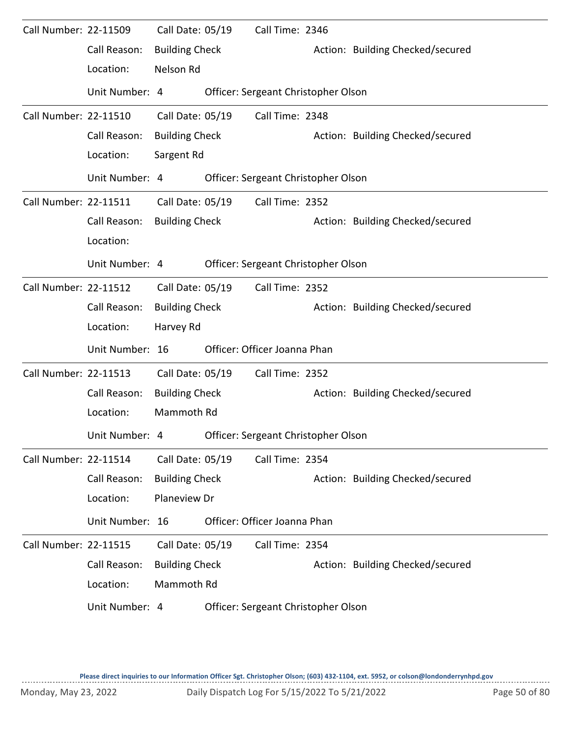| Call Number: 22-11509 | Call Reason:    | Call Date: 05/19<br><b>Building Check</b> | Call Time: 2346                     | Action: Building Checked/secured |
|-----------------------|-----------------|-------------------------------------------|-------------------------------------|----------------------------------|
|                       | Location:       | Nelson Rd                                 |                                     |                                  |
|                       | Unit Number: 4  |                                           | Officer: Sergeant Christopher Olson |                                  |
| Call Number: 22-11510 |                 | Call Date: 05/19                          | Call Time: 2348                     |                                  |
|                       | Call Reason:    | <b>Building Check</b>                     |                                     | Action: Building Checked/secured |
|                       | Location:       | Sargent Rd                                |                                     |                                  |
|                       | Unit Number: 4  |                                           | Officer: Sergeant Christopher Olson |                                  |
| Call Number: 22-11511 |                 | Call Date: 05/19                          | Call Time: 2352                     |                                  |
|                       | Call Reason:    | <b>Building Check</b>                     |                                     | Action: Building Checked/secured |
|                       | Location:       |                                           |                                     |                                  |
|                       | Unit Number: 4  |                                           | Officer: Sergeant Christopher Olson |                                  |
| Call Number: 22-11512 |                 | Call Date: 05/19                          | Call Time: 2352                     |                                  |
|                       | Call Reason:    | <b>Building Check</b>                     |                                     | Action: Building Checked/secured |
|                       | Location:       | Harvey Rd                                 |                                     |                                  |
|                       | Unit Number: 16 |                                           | Officer: Officer Joanna Phan        |                                  |
| Call Number: 22-11513 |                 | Call Date: 05/19                          | Call Time: 2352                     |                                  |
|                       | Call Reason:    | <b>Building Check</b>                     |                                     | Action: Building Checked/secured |
|                       | Location:       | Mammoth Rd                                |                                     |                                  |
|                       | Unit Number: 4  |                                           | Officer: Sergeant Christopher Olson |                                  |
| Call Number: 22-11514 |                 | Call Date: 05/19                          | Call Time: 2354                     |                                  |
|                       | Call Reason:    | <b>Building Check</b>                     |                                     | Action: Building Checked/secured |
|                       | Location:       | Planeview Dr                              |                                     |                                  |
|                       | Unit Number: 16 |                                           | Officer: Officer Joanna Phan        |                                  |
| Call Number: 22-11515 |                 | Call Date: 05/19                          | Call Time: 2354                     |                                  |
|                       | Call Reason:    | <b>Building Check</b>                     |                                     | Action: Building Checked/secured |
|                       | Location:       | Mammoth Rd                                |                                     |                                  |
|                       | Unit Number: 4  |                                           | Officer: Sergeant Christopher Olson |                                  |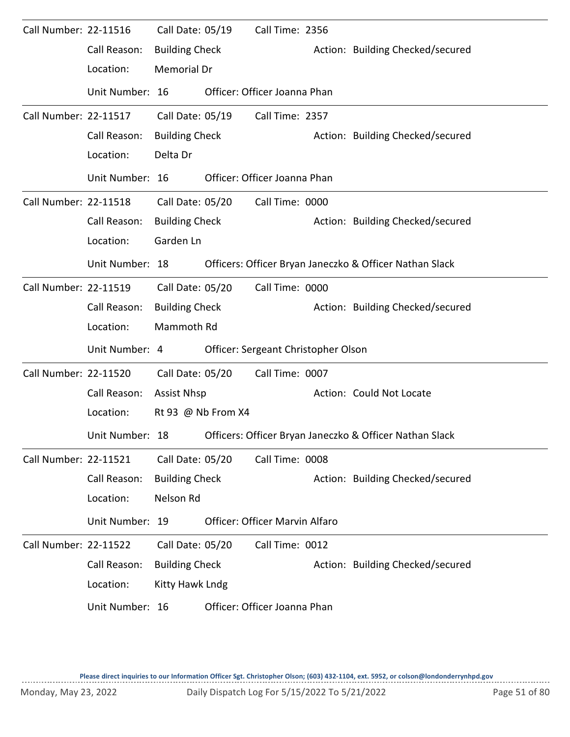| Call Number: 22-11516        |                 | Call Date: 05/19      |                  | Call Time: 2356                       |                                                         |
|------------------------------|-----------------|-----------------------|------------------|---------------------------------------|---------------------------------------------------------|
|                              | Call Reason:    | <b>Building Check</b> |                  |                                       | Action: Building Checked/secured                        |
|                              | Location:       | Memorial Dr           |                  |                                       |                                                         |
|                              | Unit Number: 16 |                       |                  | Officer: Officer Joanna Phan          |                                                         |
| Call Number: 22-11517        |                 | Call Date: 05/19      |                  | Call Time: 2357                       |                                                         |
|                              | Call Reason:    | <b>Building Check</b> |                  |                                       | Action: Building Checked/secured                        |
|                              | Location:       | Delta Dr              |                  |                                       |                                                         |
|                              | Unit Number: 16 |                       |                  | Officer: Officer Joanna Phan          |                                                         |
| Call Number: 22-11518        |                 |                       | Call Date: 05/20 | Call Time: 0000                       |                                                         |
|                              | Call Reason:    | <b>Building Check</b> |                  |                                       | Action: Building Checked/secured                        |
|                              | Location:       | Garden Ln             |                  |                                       |                                                         |
|                              | Unit Number: 18 |                       |                  |                                       | Officers: Officer Bryan Janeczko & Officer Nathan Slack |
| Call Number: 22-11519        |                 | Call Date: 05/20      |                  | Call Time: 0000                       |                                                         |
|                              | Call Reason:    | <b>Building Check</b> |                  |                                       | Action: Building Checked/secured                        |
|                              | Location:       | Mammoth Rd            |                  |                                       |                                                         |
|                              | Unit Number: 4  |                       |                  | Officer: Sergeant Christopher Olson   |                                                         |
| Call Number: 22-11520        |                 | Call Date: 05/20      |                  | Call Time: 0007                       |                                                         |
|                              | Call Reason:    | <b>Assist Nhsp</b>    |                  |                                       | Action: Could Not Locate                                |
|                              | Location:       | Rt 93 @ Nb From X4    |                  |                                       |                                                         |
|                              | Unit Number: 18 |                       |                  |                                       | Officers: Officer Bryan Janeczko & Officer Nathan Slack |
| Call Number: 22-11521        |                 | Call Date: 05/20      |                  | Call Time: 0008                       |                                                         |
|                              | Call Reason:    | <b>Building Check</b> |                  |                                       | Action: Building Checked/secured                        |
|                              | Location:       | Nelson Rd             |                  |                                       |                                                         |
|                              | Unit Number: 19 |                       |                  | <b>Officer: Officer Marvin Alfaro</b> |                                                         |
| <b>Call Number: 22-11522</b> |                 | Call Date: 05/20      |                  | Call Time: 0012                       |                                                         |
|                              | Call Reason:    | <b>Building Check</b> |                  |                                       | Action: Building Checked/secured                        |
|                              | Location:       | Kitty Hawk Lndg       |                  |                                       |                                                         |
|                              | Unit Number: 16 |                       |                  | Officer: Officer Joanna Phan          |                                                         |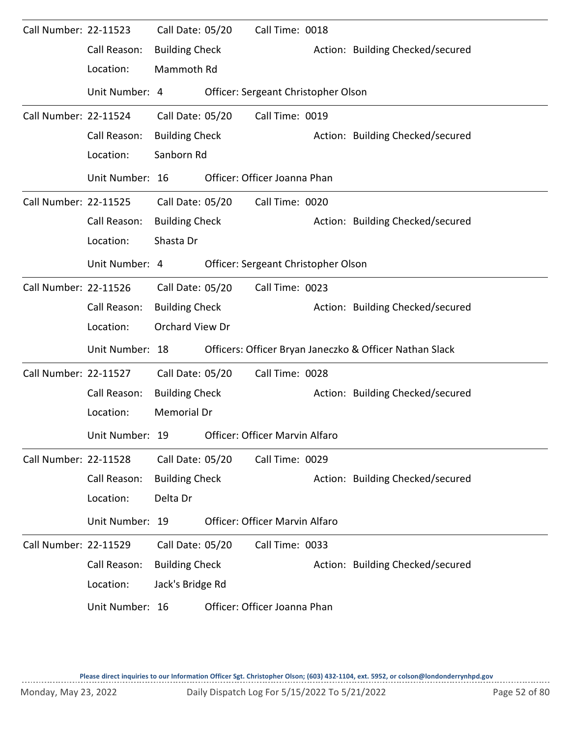| Call Number: 22-11523 |                 | Call Date: 05/20      | Call Time: 0018                     |                                                         |
|-----------------------|-----------------|-----------------------|-------------------------------------|---------------------------------------------------------|
|                       | Call Reason:    | <b>Building Check</b> |                                     | Action: Building Checked/secured                        |
|                       | Location:       | Mammoth Rd            |                                     |                                                         |
|                       | Unit Number: 4  |                       | Officer: Sergeant Christopher Olson |                                                         |
| Call Number: 22-11524 |                 | Call Date: 05/20      | Call Time: 0019                     |                                                         |
|                       | Call Reason:    | <b>Building Check</b> |                                     | Action: Building Checked/secured                        |
|                       | Location:       | Sanborn Rd            |                                     |                                                         |
|                       | Unit Number: 16 |                       | Officer: Officer Joanna Phan        |                                                         |
| Call Number: 22-11525 |                 | Call Date: 05/20      | Call Time: 0020                     |                                                         |
|                       | Call Reason:    | <b>Building Check</b> |                                     | Action: Building Checked/secured                        |
|                       | Location:       | Shasta Dr             |                                     |                                                         |
|                       | Unit Number: 4  |                       | Officer: Sergeant Christopher Olson |                                                         |
| Call Number: 22-11526 |                 | Call Date: 05/20      | Call Time: 0023                     |                                                         |
|                       | Call Reason:    | <b>Building Check</b> |                                     | Action: Building Checked/secured                        |
|                       | Location:       | Orchard View Dr       |                                     |                                                         |
|                       | Unit Number: 18 |                       |                                     | Officers: Officer Bryan Janeczko & Officer Nathan Slack |
| Call Number: 22-11527 |                 | Call Date: 05/20      | Call Time: 0028                     |                                                         |
|                       | Call Reason:    | <b>Building Check</b> |                                     | Action: Building Checked/secured                        |
|                       | Location:       | <b>Memorial Dr</b>    |                                     |                                                         |
|                       | Unit Number: 19 |                       | Officer: Officer Marvin Alfaro      |                                                         |
| Call Number: 22-11528 |                 | Call Date: 05/20      | Call Time: 0029                     |                                                         |
|                       | Call Reason:    | <b>Building Check</b> |                                     | Action: Building Checked/secured                        |
|                       | Location:       | Delta Dr              |                                     |                                                         |
|                       | Unit Number: 19 |                       | Officer: Officer Marvin Alfaro      |                                                         |
| Call Number: 22-11529 |                 | Call Date: 05/20      | Call Time: 0033                     |                                                         |
|                       | Call Reason:    | <b>Building Check</b> |                                     | Action: Building Checked/secured                        |
|                       | Location:       | Jack's Bridge Rd      |                                     |                                                         |
|                       | Unit Number: 16 |                       | Officer: Officer Joanna Phan        |                                                         |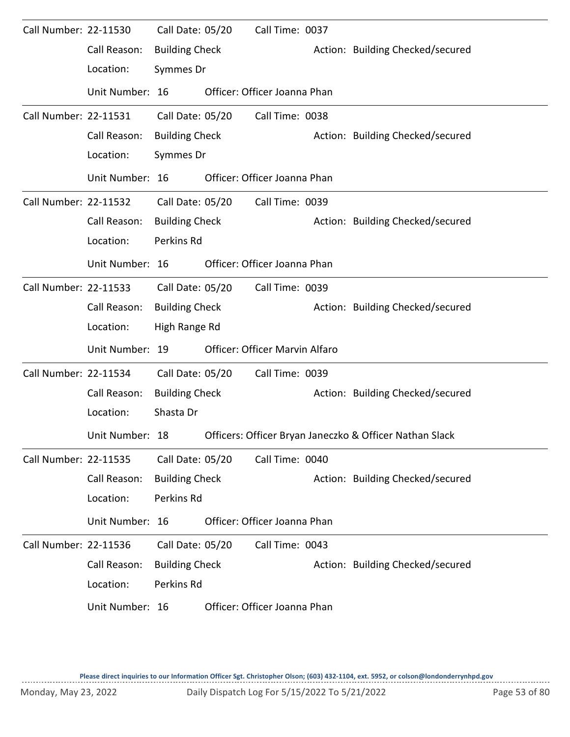| Call Number: 22-11530 |                 | Call Date: 05/20      | Call Time: 0037                |                                                         |
|-----------------------|-----------------|-----------------------|--------------------------------|---------------------------------------------------------|
|                       | Call Reason:    | <b>Building Check</b> |                                | Action: Building Checked/secured                        |
|                       | Location:       | Symmes Dr             |                                |                                                         |
|                       | Unit Number: 16 |                       | Officer: Officer Joanna Phan   |                                                         |
| Call Number: 22-11531 |                 | Call Date: 05/20      | Call Time: 0038                |                                                         |
|                       | Call Reason:    | <b>Building Check</b> |                                | Action: Building Checked/secured                        |
|                       | Location:       | Symmes Dr             |                                |                                                         |
|                       | Unit Number: 16 |                       | Officer: Officer Joanna Phan   |                                                         |
| Call Number: 22-11532 |                 | Call Date: 05/20      | Call Time: 0039                |                                                         |
|                       | Call Reason:    | <b>Building Check</b> |                                | Action: Building Checked/secured                        |
|                       | Location:       | Perkins Rd            |                                |                                                         |
|                       | Unit Number: 16 |                       | Officer: Officer Joanna Phan   |                                                         |
| Call Number: 22-11533 |                 | Call Date: 05/20      | Call Time: 0039                |                                                         |
|                       | Call Reason:    | <b>Building Check</b> |                                | Action: Building Checked/secured                        |
|                       | Location:       | High Range Rd         |                                |                                                         |
|                       | Unit Number: 19 |                       | Officer: Officer Marvin Alfaro |                                                         |
| Call Number: 22-11534 |                 | Call Date: 05/20      | Call Time: 0039                |                                                         |
|                       | Call Reason:    | <b>Building Check</b> |                                | Action: Building Checked/secured                        |
|                       | Location:       | Shasta Dr             |                                |                                                         |
|                       | Unit Number: 18 |                       |                                | Officers: Officer Bryan Janeczko & Officer Nathan Slack |
| Call Number: 22-11535 |                 | Call Date: 05/20      | Call Time: 0040                |                                                         |
|                       | Call Reason:    | <b>Building Check</b> |                                | Action: Building Checked/secured                        |
|                       | Location:       | Perkins Rd            |                                |                                                         |
|                       | Unit Number: 16 |                       | Officer: Officer Joanna Phan   |                                                         |
| Call Number: 22-11536 |                 | Call Date: 05/20      | Call Time: 0043                |                                                         |
|                       | Call Reason:    | <b>Building Check</b> |                                | Action: Building Checked/secured                        |
|                       | Location:       | Perkins Rd            |                                |                                                         |
|                       | Unit Number: 16 |                       | Officer: Officer Joanna Phan   |                                                         |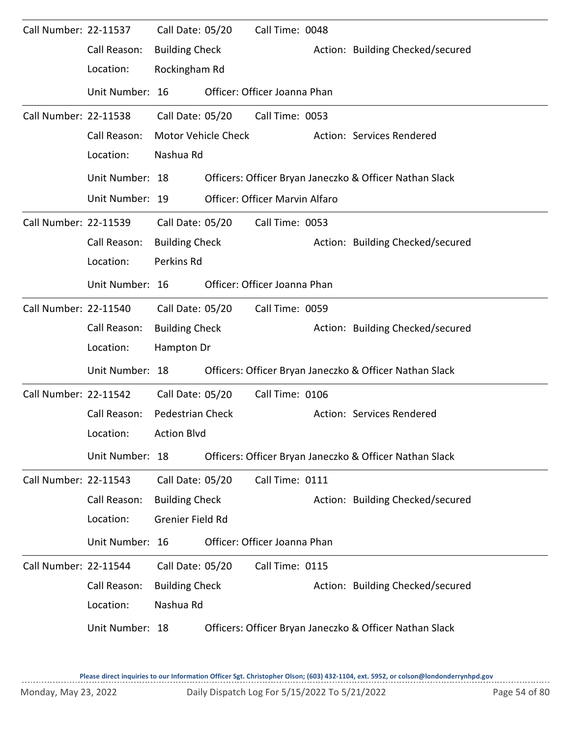| Call Number: 22-11537 |                 | Call Date: 05/20        | Call Time: 0048                |                                                         |
|-----------------------|-----------------|-------------------------|--------------------------------|---------------------------------------------------------|
|                       | Call Reason:    | <b>Building Check</b>   |                                | Action: Building Checked/secured                        |
|                       | Location:       | Rockingham Rd           |                                |                                                         |
|                       | Unit Number: 16 |                         | Officer: Officer Joanna Phan   |                                                         |
| Call Number: 22-11538 |                 | Call Date: 05/20        | Call Time: 0053                |                                                         |
|                       | Call Reason:    | Motor Vehicle Check     |                                | Action: Services Rendered                               |
|                       | Location:       | Nashua Rd               |                                |                                                         |
|                       | Unit Number: 18 |                         |                                | Officers: Officer Bryan Janeczko & Officer Nathan Slack |
|                       | Unit Number: 19 |                         | Officer: Officer Marvin Alfaro |                                                         |
| Call Number: 22-11539 |                 | Call Date: 05/20        | Call Time: 0053                |                                                         |
|                       | Call Reason:    | <b>Building Check</b>   |                                | Action: Building Checked/secured                        |
|                       | Location:       | Perkins Rd              |                                |                                                         |
|                       | Unit Number: 16 |                         | Officer: Officer Joanna Phan   |                                                         |
| Call Number: 22-11540 |                 | Call Date: 05/20        | Call Time: 0059                |                                                         |
|                       | Call Reason:    | <b>Building Check</b>   |                                | Action: Building Checked/secured                        |
|                       | Location:       | Hampton Dr              |                                |                                                         |
|                       | Unit Number: 18 |                         |                                | Officers: Officer Bryan Janeczko & Officer Nathan Slack |
| Call Number: 22-11542 |                 | Call Date: 05/20        | Call Time: 0106                |                                                         |
|                       | Call Reason:    | <b>Pedestrian Check</b> |                                | Action: Services Rendered                               |
|                       | Location:       | <b>Action Blvd</b>      |                                |                                                         |
|                       | Unit Number: 18 |                         |                                | Officers: Officer Bryan Janeczko & Officer Nathan Slack |
| Call Number: 22-11543 |                 | Call Date: 05/20        | Call Time: 0111                |                                                         |
|                       | Call Reason:    | <b>Building Check</b>   |                                | Action: Building Checked/secured                        |
|                       | Location:       | Grenier Field Rd        |                                |                                                         |
|                       | Unit Number: 16 |                         | Officer: Officer Joanna Phan   |                                                         |
| Call Number: 22-11544 |                 | Call Date: 05/20        | Call Time: 0115                |                                                         |
|                       | Call Reason:    | <b>Building Check</b>   |                                | Action: Building Checked/secured                        |
|                       | Location:       | Nashua Rd               |                                |                                                         |
|                       | Unit Number: 18 |                         |                                | Officers: Officer Bryan Janeczko & Officer Nathan Slack |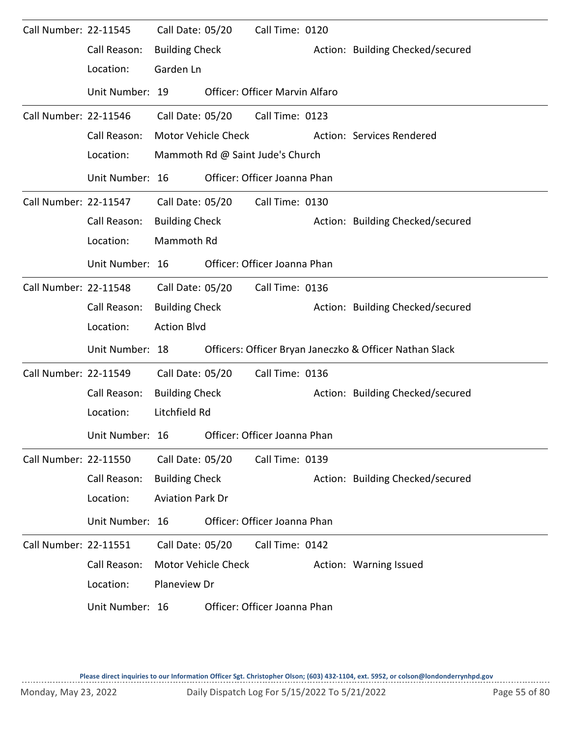| Call Number: 22-11545 |                 | Call Date: 05/20        |                     | Call Time: 0120                       |                                                         |
|-----------------------|-----------------|-------------------------|---------------------|---------------------------------------|---------------------------------------------------------|
|                       | Call Reason:    | <b>Building Check</b>   |                     |                                       | Action: Building Checked/secured                        |
|                       | Location:       | Garden Ln               |                     |                                       |                                                         |
|                       | Unit Number: 19 |                         |                     | <b>Officer: Officer Marvin Alfaro</b> |                                                         |
| Call Number: 22-11546 |                 | Call Date: 05/20        |                     | Call Time: 0123                       |                                                         |
|                       | Call Reason:    |                         | Motor Vehicle Check |                                       | Action: Services Rendered                               |
|                       | Location:       |                         |                     | Mammoth Rd @ Saint Jude's Church      |                                                         |
|                       | Unit Number: 16 |                         |                     | Officer: Officer Joanna Phan          |                                                         |
| Call Number: 22-11547 |                 |                         | Call Date: 05/20    | Call Time: 0130                       |                                                         |
|                       | Call Reason:    | <b>Building Check</b>   |                     |                                       | Action: Building Checked/secured                        |
|                       | Location:       | Mammoth Rd              |                     |                                       |                                                         |
|                       | Unit Number: 16 |                         |                     | Officer: Officer Joanna Phan          |                                                         |
| Call Number: 22-11548 |                 | Call Date: 05/20        |                     | Call Time: 0136                       |                                                         |
|                       | Call Reason:    | <b>Building Check</b>   |                     |                                       | Action: Building Checked/secured                        |
|                       | Location:       | <b>Action Blvd</b>      |                     |                                       |                                                         |
|                       | Unit Number: 18 |                         |                     |                                       | Officers: Officer Bryan Janeczko & Officer Nathan Slack |
| Call Number: 22-11549 |                 | Call Date: 05/20        |                     | Call Time: 0136                       |                                                         |
|                       | Call Reason:    | <b>Building Check</b>   |                     |                                       | Action: Building Checked/secured                        |
|                       | Location:       | Litchfield Rd           |                     |                                       |                                                         |
|                       | Unit Number: 16 |                         |                     | Officer: Officer Joanna Phan          |                                                         |
| Call Number: 22-11550 |                 | Call Date: 05/20        |                     | Call Time: 0139                       |                                                         |
|                       | Call Reason:    | <b>Building Check</b>   |                     |                                       | Action: Building Checked/secured                        |
|                       | Location:       | <b>Aviation Park Dr</b> |                     |                                       |                                                         |
|                       | Unit Number: 16 |                         |                     | Officer: Officer Joanna Phan          |                                                         |
| Call Number: 22-11551 |                 | Call Date: 05/20        |                     | Call Time: 0142                       |                                                         |
|                       | Call Reason:    |                         | Motor Vehicle Check |                                       | Action: Warning Issued                                  |
|                       | Location:       | Planeview Dr            |                     |                                       |                                                         |
|                       | Unit Number: 16 |                         |                     | Officer: Officer Joanna Phan          |                                                         |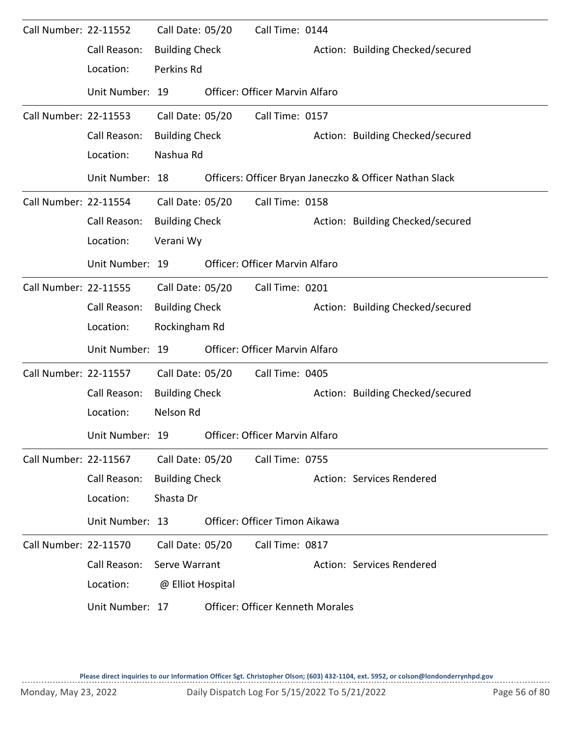| Call Number: 22-11552 |                 | Call Date: 05/20      | Call Time: 0144                         |                                                         |
|-----------------------|-----------------|-----------------------|-----------------------------------------|---------------------------------------------------------|
|                       | Call Reason:    | <b>Building Check</b> |                                         | Action: Building Checked/secured                        |
|                       | Location:       | Perkins Rd            |                                         |                                                         |
|                       | Unit Number: 19 |                       | Officer: Officer Marvin Alfaro          |                                                         |
| Call Number: 22-11553 |                 | Call Date: 05/20      | Call Time: 0157                         |                                                         |
|                       | Call Reason:    | <b>Building Check</b> |                                         | Action: Building Checked/secured                        |
|                       | Location:       | Nashua Rd             |                                         |                                                         |
|                       | Unit Number: 18 |                       |                                         | Officers: Officer Bryan Janeczko & Officer Nathan Slack |
| Call Number: 22-11554 |                 | Call Date: 05/20      | Call Time: 0158                         |                                                         |
|                       | Call Reason:    | <b>Building Check</b> |                                         | Action: Building Checked/secured                        |
|                       | Location:       | Verani Wy             |                                         |                                                         |
|                       | Unit Number: 19 |                       | Officer: Officer Marvin Alfaro          |                                                         |
| Call Number: 22-11555 |                 | Call Date: 05/20      | Call Time: 0201                         |                                                         |
|                       | Call Reason:    | <b>Building Check</b> |                                         | Action: Building Checked/secured                        |
|                       | Location:       | Rockingham Rd         |                                         |                                                         |
|                       | Unit Number: 19 |                       | Officer: Officer Marvin Alfaro          |                                                         |
| Call Number: 22-11557 |                 | Call Date: 05/20      | Call Time: 0405                         |                                                         |
|                       | Call Reason:    | <b>Building Check</b> |                                         | Action: Building Checked/secured                        |
|                       | Location:       | Nelson Rd             |                                         |                                                         |
|                       | Unit Number: 19 |                       | Officer: Officer Marvin Alfaro          |                                                         |
| Call Number: 22-11567 |                 | Call Date: 05/20      | Call Time: 0755                         |                                                         |
|                       | Call Reason:    | <b>Building Check</b> |                                         | Action: Services Rendered                               |
|                       | Location:       | Shasta Dr             |                                         |                                                         |
|                       | Unit Number: 13 |                       | Officer: Officer Timon Aikawa           |                                                         |
| Call Number: 22-11570 |                 | Call Date: 05/20      | Call Time: 0817                         |                                                         |
|                       | Call Reason:    | Serve Warrant         |                                         | Action: Services Rendered                               |
|                       | Location:       | @ Elliot Hospital     |                                         |                                                         |
|                       | Unit Number: 17 |                       | <b>Officer: Officer Kenneth Morales</b> |                                                         |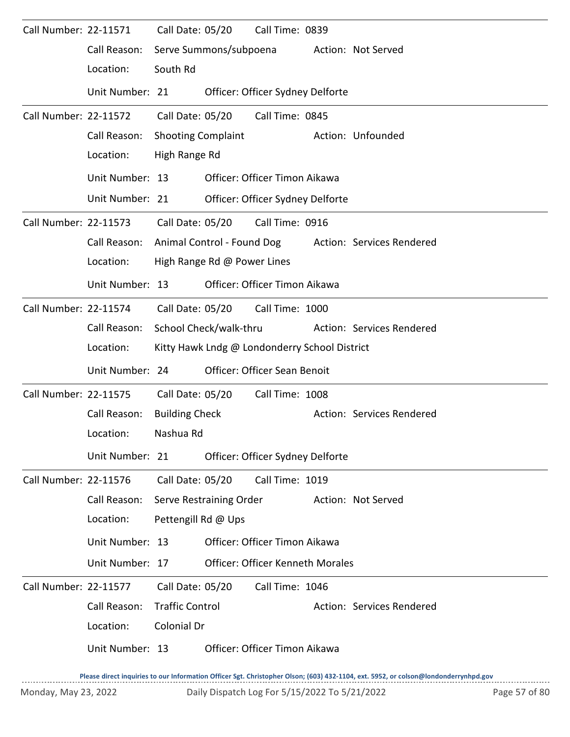| Call Number: 22-11571        |                 | Call Date: 05/20          |                             | Call Time: 0839                               |                           |
|------------------------------|-----------------|---------------------------|-----------------------------|-----------------------------------------------|---------------------------|
|                              | Call Reason:    |                           | Serve Summons/subpoena      |                                               | Action: Not Served        |
|                              | Location:       | South Rd                  |                             |                                               |                           |
|                              | Unit Number: 21 |                           |                             | Officer: Officer Sydney Delforte              |                           |
| <b>Call Number: 22-11572</b> |                 | Call Date: 05/20          |                             | Call Time: 0845                               |                           |
|                              | Call Reason:    | <b>Shooting Complaint</b> |                             |                                               | Action: Unfounded         |
|                              | Location:       | High Range Rd             |                             |                                               |                           |
|                              | Unit Number: 13 |                           |                             | Officer: Officer Timon Aikawa                 |                           |
|                              | Unit Number: 21 |                           |                             | Officer: Officer Sydney Delforte              |                           |
| Call Number: 22-11573        |                 | Call Date: 05/20          |                             | Call Time: 0916                               |                           |
|                              | Call Reason:    |                           | Animal Control - Found Dog  |                                               | Action: Services Rendered |
|                              | Location:       |                           | High Range Rd @ Power Lines |                                               |                           |
|                              | Unit Number: 13 |                           |                             | Officer: Officer Timon Aikawa                 |                           |
| Call Number: 22-11574        |                 | Call Date: 05/20          |                             | Call Time: 1000                               |                           |
|                              | Call Reason:    |                           | School Check/walk-thru      |                                               | Action: Services Rendered |
|                              | Location:       |                           |                             | Kitty Hawk Lndg @ Londonderry School District |                           |
|                              | Unit Number: 24 |                           |                             | Officer: Officer Sean Benoit                  |                           |
| Call Number: 22-11575        |                 | Call Date: 05/20          |                             | Call Time: 1008                               |                           |
|                              | Call Reason:    | <b>Building Check</b>     |                             |                                               | Action: Services Rendered |
|                              | Location:       | Nashua Rd                 |                             |                                               |                           |
|                              | Unit Number: 21 |                           |                             | Officer: Officer Sydney Delforte              |                           |
| <b>Call Number: 22-11576</b> |                 | Call Date: 05/20          |                             | Call Time: 1019                               |                           |
|                              | Call Reason:    |                           | Serve Restraining Order     |                                               | Action: Not Served        |
|                              | Location:       | Pettengill Rd @ Ups       |                             |                                               |                           |
|                              |                 |                           |                             |                                               |                           |
|                              | Unit Number: 13 |                           |                             | Officer: Officer Timon Aikawa                 |                           |
|                              | Unit Number: 17 |                           |                             | <b>Officer: Officer Kenneth Morales</b>       |                           |
| Call Number: 22-11577        |                 | Call Date: 05/20          |                             | Call Time: 1046                               |                           |
|                              | Call Reason:    | <b>Traffic Control</b>    |                             |                                               | Action: Services Rendered |
|                              | Location:       | Colonial Dr               |                             |                                               |                           |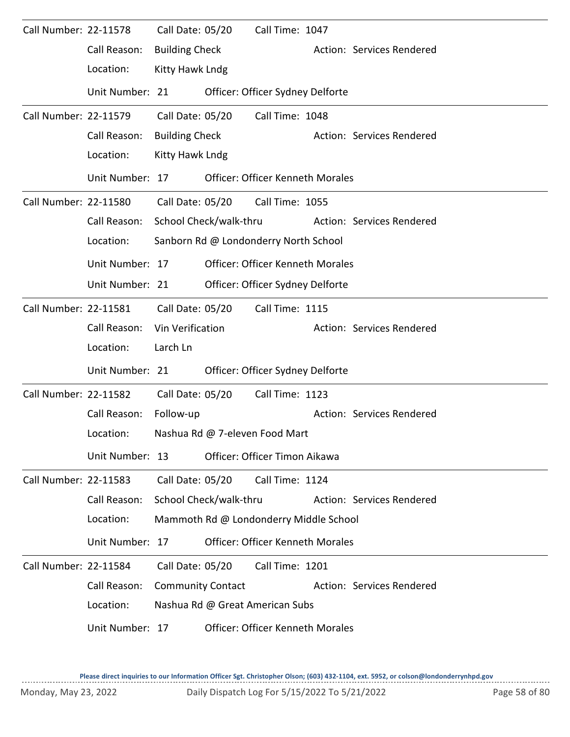| Call Number: 22-11578 |                 | Call Date: 05/20         |                        | Call Time: 1047                         |                           |
|-----------------------|-----------------|--------------------------|------------------------|-----------------------------------------|---------------------------|
|                       | Call Reason:    | <b>Building Check</b>    |                        |                                         | Action: Services Rendered |
|                       | Location:       | Kitty Hawk Lndg          |                        |                                         |                           |
|                       | Unit Number: 21 |                          |                        | Officer: Officer Sydney Delforte        |                           |
| Call Number: 22-11579 |                 | Call Date: 05/20         |                        | Call Time: 1048                         |                           |
|                       | Call Reason:    | <b>Building Check</b>    |                        |                                         | Action: Services Rendered |
|                       | Location:       | Kitty Hawk Lndg          |                        |                                         |                           |
|                       | Unit Number: 17 |                          |                        | <b>Officer: Officer Kenneth Morales</b> |                           |
| Call Number: 22-11580 |                 | Call Date: 05/20         |                        | Call Time: 1055                         |                           |
|                       | Call Reason:    |                          | School Check/walk-thru |                                         | Action: Services Rendered |
|                       | Location:       |                          |                        | Sanborn Rd @ Londonderry North School   |                           |
|                       | Unit Number: 17 |                          |                        | <b>Officer: Officer Kenneth Morales</b> |                           |
|                       | Unit Number: 21 |                          |                        | Officer: Officer Sydney Delforte        |                           |
| Call Number: 22-11581 |                 | Call Date: 05/20         |                        | Call Time: 1115                         |                           |
|                       | Call Reason:    | Vin Verification         |                        |                                         | Action: Services Rendered |
|                       | Location:       | Larch Ln                 |                        |                                         |                           |
|                       | Unit Number: 21 |                          |                        | Officer: Officer Sydney Delforte        |                           |
| Call Number: 22-11582 |                 | Call Date: 05/20         |                        | Call Time: 1123                         |                           |
|                       | Call Reason:    | Follow-up                |                        |                                         | Action: Services Rendered |
|                       | Location:       |                          |                        | Nashua Rd @ 7-eleven Food Mart          |                           |
|                       | Unit Number: 13 |                          |                        | Officer: Officer Timon Aikawa           |                           |
| Call Number: 22-11583 |                 | Call Date: 05/20         |                        | Call Time: 1124                         |                           |
|                       | Call Reason:    |                          | School Check/walk-thru |                                         | Action: Services Rendered |
|                       | Location:       |                          |                        | Mammoth Rd @ Londonderry Middle School  |                           |
|                       | Unit Number: 17 |                          |                        | <b>Officer: Officer Kenneth Morales</b> |                           |
| Call Number: 22-11584 |                 | Call Date: 05/20         |                        | Call Time: 1201                         |                           |
|                       | Call Reason:    | <b>Community Contact</b> |                        |                                         | Action: Services Rendered |
|                       | Location:       |                          |                        | Nashua Rd @ Great American Subs         |                           |
|                       | Unit Number: 17 |                          |                        | <b>Officer: Officer Kenneth Morales</b> |                           |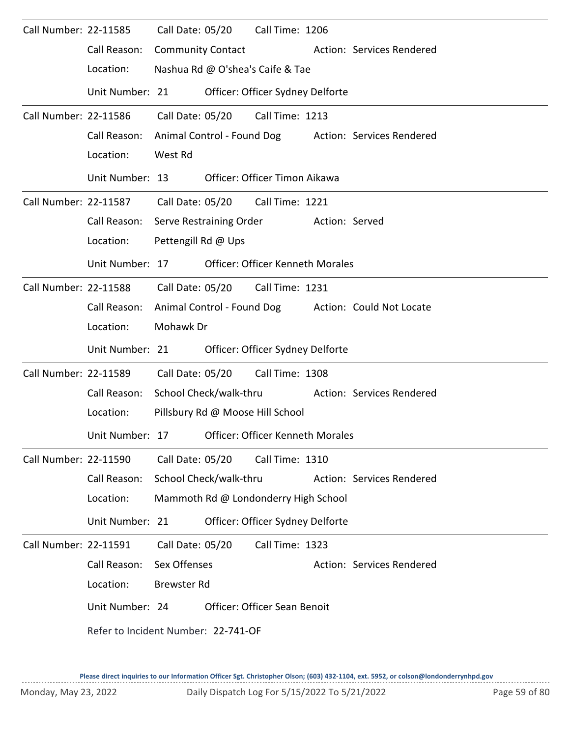| Call Number: 22-11585 |                                     |                         | Call Date: 05/20         | Call Time: 1206                         |                |                                                      |
|-----------------------|-------------------------------------|-------------------------|--------------------------|-----------------------------------------|----------------|------------------------------------------------------|
|                       | Call Reason:                        |                         | <b>Community Contact</b> |                                         |                | Action: Services Rendered                            |
|                       | Location:                           |                         |                          | Nashua Rd @ O'shea's Caife & Tae        |                |                                                      |
|                       | Unit Number: 21                     |                         |                          | Officer: Officer Sydney Delforte        |                |                                                      |
| Call Number: 22-11586 |                                     | Call Date: 05/20        |                          | Call Time: 1213                         |                |                                                      |
|                       | Call Reason:                        |                         |                          |                                         |                | Animal Control - Found Dog Action: Services Rendered |
|                       | Location:                           | West Rd                 |                          |                                         |                |                                                      |
|                       | Unit Number: 13                     |                         |                          | Officer: Officer Timon Aikawa           |                |                                                      |
| Call Number: 22-11587 |                                     |                         |                          | Call Date: 05/20 Call Time: 1221        |                |                                                      |
|                       | Call Reason:                        | Serve Restraining Order |                          |                                         | Action: Served |                                                      |
|                       | Location:                           | Pettengill Rd @ Ups     |                          |                                         |                |                                                      |
|                       | Unit Number: 17                     |                         |                          | <b>Officer: Officer Kenneth Morales</b> |                |                                                      |
| Call Number: 22-11588 |                                     |                         | Call Date: 05/20         | Call Time: 1231                         |                |                                                      |
|                       | Call Reason:                        |                         |                          |                                         |                | Animal Control - Found Dog Action: Could Not Locate  |
|                       | Location:                           | Mohawk Dr               |                          |                                         |                |                                                      |
|                       | Unit Number: 21                     |                         |                          | Officer: Officer Sydney Delforte        |                |                                                      |
| Call Number: 22-11589 |                                     | Call Date: 05/20        |                          | Call Time: 1308                         |                |                                                      |
|                       | Call Reason:                        | School Check/walk-thru  |                          |                                         |                | <b>Action: Services Rendered</b>                     |
|                       | Location:                           |                         |                          | Pillsbury Rd @ Moose Hill School        |                |                                                      |
|                       | Unit Number: 17                     |                         |                          | Officer: Officer Kenneth Morales        |                |                                                      |
| Call Number: 22-11590 |                                     | Call Date: 05/20        |                          | Call Time: 1310                         |                |                                                      |
|                       | Call Reason:                        |                         | School Check/walk-thru   |                                         |                | Action: Services Rendered                            |
|                       | Location:                           |                         |                          | Mammoth Rd @ Londonderry High School    |                |                                                      |
|                       | Unit Number: 21                     |                         |                          | Officer: Officer Sydney Delforte        |                |                                                      |
| Call Number: 22-11591 |                                     | Call Date: 05/20        |                          | Call Time: 1323                         |                |                                                      |
|                       | Call Reason:                        | Sex Offenses            |                          |                                         |                | Action: Services Rendered                            |
|                       | Location:                           | <b>Brewster Rd</b>      |                          |                                         |                |                                                      |
|                       | Unit Number: 24                     |                         |                          | Officer: Officer Sean Benoit            |                |                                                      |
|                       | Refer to Incident Number: 22-741-OF |                         |                          |                                         |                |                                                      |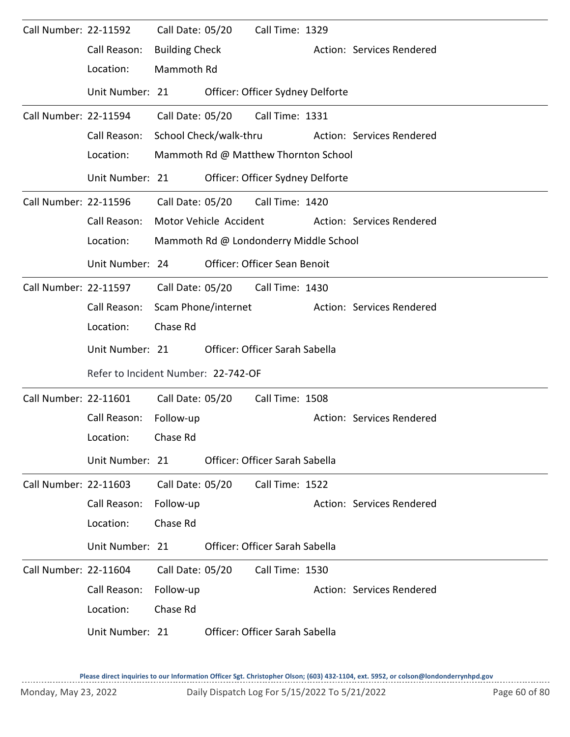| Call Number: 22-11592 | Call Reason:<br>Location:           | Call Date: 05/20<br><b>Building Check</b><br>Mammoth Rd |                        | Call Time: 1329                        | Action: Services Rendered |  |
|-----------------------|-------------------------------------|---------------------------------------------------------|------------------------|----------------------------------------|---------------------------|--|
|                       | Unit Number: 21                     |                                                         |                        | Officer: Officer Sydney Delforte       |                           |  |
| Call Number: 22-11594 |                                     | Call Date: 05/20                                        |                        | Call Time: 1331                        |                           |  |
|                       | Call Reason:                        | School Check/walk-thru                                  |                        |                                        | Action: Services Rendered |  |
|                       | Location:                           |                                                         |                        | Mammoth Rd @ Matthew Thornton School   |                           |  |
|                       | Unit Number: 21                     |                                                         |                        | Officer: Officer Sydney Delforte       |                           |  |
| Call Number: 22-11596 |                                     | Call Date: 05/20                                        |                        | Call Time: 1420                        |                           |  |
|                       | Call Reason:                        |                                                         | Motor Vehicle Accident |                                        | Action: Services Rendered |  |
|                       | Location:                           |                                                         |                        | Mammoth Rd @ Londonderry Middle School |                           |  |
|                       | Unit Number: 24                     |                                                         |                        | Officer: Officer Sean Benoit           |                           |  |
| Call Number: 22-11597 |                                     | Call Date: 05/20                                        |                        | Call Time: 1430                        |                           |  |
|                       | Call Reason:                        | Scam Phone/internet                                     |                        |                                        | Action: Services Rendered |  |
|                       | Location:                           | Chase Rd                                                |                        |                                        |                           |  |
|                       | Unit Number: 21                     |                                                         |                        | Officer: Officer Sarah Sabella         |                           |  |
|                       | Refer to Incident Number: 22-742-OF |                                                         |                        |                                        |                           |  |
| Call Number: 22-11601 |                                     | Call Date: 05/20                                        |                        | Call Time: 1508                        |                           |  |
|                       | Call Reason:                        | Follow-up                                               |                        |                                        |                           |  |
|                       |                                     |                                                         |                        |                                        | Action: Services Rendered |  |
|                       | Location:                           | Chase Rd                                                |                        |                                        |                           |  |
|                       | Unit Number: 21                     |                                                         |                        | Officer: Officer Sarah Sabella         |                           |  |
| Call Number: 22-11603 |                                     | Call Date: 05/20                                        |                        | Call Time: 1522                        |                           |  |
|                       | Call Reason:                        | Follow-up                                               |                        |                                        | Action: Services Rendered |  |
|                       | Location:                           | Chase Rd                                                |                        |                                        |                           |  |
|                       | Unit Number: 21                     |                                                         |                        | Officer: Officer Sarah Sabella         |                           |  |
| Call Number: 22-11604 |                                     | Call Date: 05/20                                        |                        | Call Time: 1530                        |                           |  |
|                       | Call Reason:                        | Follow-up                                               |                        |                                        | Action: Services Rendered |  |
|                       | Location:                           | Chase Rd                                                |                        |                                        |                           |  |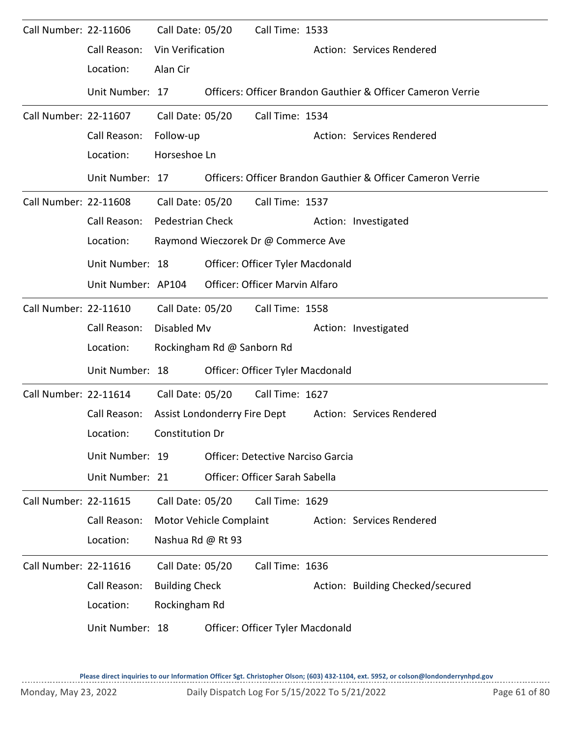| Call Number: 22-11606 | Call Reason:<br>Location:                                          | Call Date: 05/20<br>Vin Verification<br>Alan Cir           |                              | Call Time: 1533                                                                                                              | Action: Services Rendered                                                                |
|-----------------------|--------------------------------------------------------------------|------------------------------------------------------------|------------------------------|------------------------------------------------------------------------------------------------------------------------------|------------------------------------------------------------------------------------------|
|                       | Unit Number: 17                                                    |                                                            |                              |                                                                                                                              | Officers: Officer Brandon Gauthier & Officer Cameron Verrie                              |
| Call Number: 22-11607 | Call Reason:<br>Location:<br>Unit Number: 17                       | Call Date: 05/20<br>Follow-up<br>Horseshoe Ln              |                              | Call Time: 1534                                                                                                              | Action: Services Rendered<br>Officers: Officer Brandon Gauthier & Officer Cameron Verrie |
| Call Number: 22-11608 | Call Reason:<br>Location:<br>Unit Number: 18<br>Unit Number: AP104 | <b>Pedestrian Check</b>                                    | Call Date: 05/20             | Call Time: 1537<br>Raymond Wieczorek Dr @ Commerce Ave<br>Officer: Officer Tyler Macdonald<br>Officer: Officer Marvin Alfaro | Action: Investigated                                                                     |
| Call Number: 22-11610 | Call Reason:<br>Location:<br>Unit Number: 18                       | Call Date: 05/20<br>Disabled Mv                            | Rockingham Rd @ Sanborn Rd   | Call Time: 1558<br>Officer: Officer Tyler Macdonald                                                                          | Action: Investigated                                                                     |
| Call Number: 22-11614 | Call Reason:<br>Location:<br>Unit Number: 19<br>Unit Number: 21    | Call Date: 05/20<br>Constitution Dr                        | Assist Londonderry Fire Dept | Call Time: 1627<br><b>Officer: Detective Narciso Garcia</b><br>Officer: Officer Sarah Sabella                                | Action: Services Rendered                                                                |
| Call Number: 22-11615 | Call Reason:<br>Location:                                          | Call Date: 05/20<br>Nashua Rd @ Rt 93                      | Motor Vehicle Complaint      | Call Time: 1629                                                                                                              | Action: Services Rendered                                                                |
| Call Number: 22-11616 | Call Reason:<br>Location:<br>Unit Number: 18                       | Call Date: 05/20<br><b>Building Check</b><br>Rockingham Rd |                              | Call Time: 1636<br>Officer: Officer Tyler Macdonald                                                                          | Action: Building Checked/secured                                                         |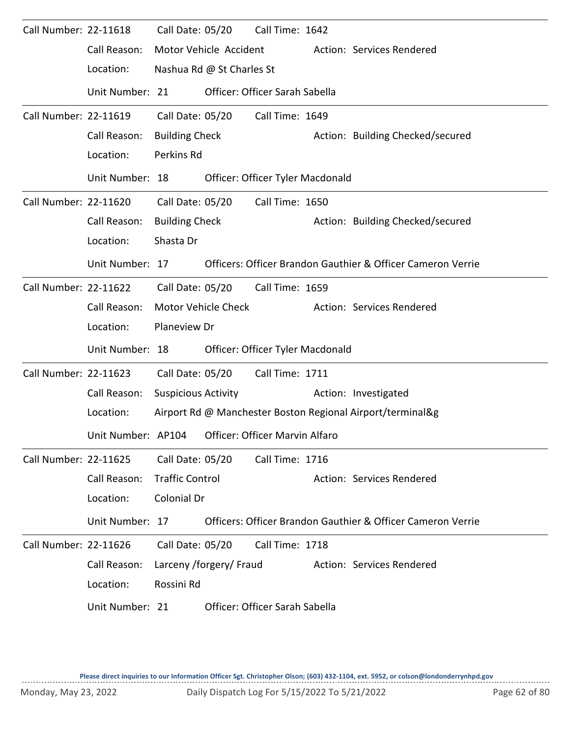| Call Number: 22-11618 |                    | Call Date: 05/20           |                           | Call Time: 1642                  |                                                             |
|-----------------------|--------------------|----------------------------|---------------------------|----------------------------------|-------------------------------------------------------------|
|                       | Call Reason:       |                            | Motor Vehicle Accident    |                                  | Action: Services Rendered                                   |
|                       | Location:          |                            | Nashua Rd @ St Charles St |                                  |                                                             |
|                       | Unit Number: 21    |                            |                           | Officer: Officer Sarah Sabella   |                                                             |
| Call Number: 22-11619 |                    | Call Date: 05/20           |                           | Call Time: 1649                  |                                                             |
|                       | Call Reason:       | <b>Building Check</b>      |                           |                                  | Action: Building Checked/secured                            |
|                       | Location:          | Perkins Rd                 |                           |                                  |                                                             |
|                       | Unit Number: 18    |                            |                           | Officer: Officer Tyler Macdonald |                                                             |
| Call Number: 22-11620 |                    | Call Date: 05/20           |                           | Call Time: 1650                  |                                                             |
|                       | Call Reason:       | <b>Building Check</b>      |                           |                                  | Action: Building Checked/secured                            |
|                       | Location:          | Shasta Dr                  |                           |                                  |                                                             |
|                       | Unit Number: 17    |                            |                           |                                  | Officers: Officer Brandon Gauthier & Officer Cameron Verrie |
| Call Number: 22-11622 |                    |                            | Call Date: 05/20          | Call Time: 1659                  |                                                             |
|                       | Call Reason:       |                            | Motor Vehicle Check       |                                  | Action: Services Rendered                                   |
|                       | Location:          | Planeview Dr               |                           |                                  |                                                             |
|                       | Unit Number: 18    |                            |                           | Officer: Officer Tyler Macdonald |                                                             |
| Call Number: 22-11623 |                    | Call Date: 05/20           |                           | Call Time: 1711                  |                                                             |
|                       | Call Reason:       | <b>Suspicious Activity</b> |                           |                                  | Action: Investigated                                        |
|                       | Location:          |                            |                           |                                  | Airport Rd @ Manchester Boston Regional Airport/terminal&g  |
|                       | Unit Number: AP104 |                            |                           | Officer: Officer Marvin Alfaro   |                                                             |
| Call Number: 22-11625 |                    | Call Date: 05/20           |                           | Call Time: 1716                  |                                                             |
|                       | Call Reason:       | <b>Traffic Control</b>     |                           |                                  | Action: Services Rendered                                   |
|                       | Location:          | Colonial Dr                |                           |                                  |                                                             |
|                       | Unit Number: 17    |                            |                           |                                  | Officers: Officer Brandon Gauthier & Officer Cameron Verrie |
| Call Number: 22-11626 |                    | Call Date: 05/20           |                           | Call Time: 1718                  |                                                             |
|                       | Call Reason:       |                            | Larceny /forgery/ Fraud   |                                  | Action: Services Rendered                                   |
|                       | Location:          | Rossini Rd                 |                           |                                  |                                                             |
|                       | Unit Number: 21    |                            |                           | Officer: Officer Sarah Sabella   |                                                             |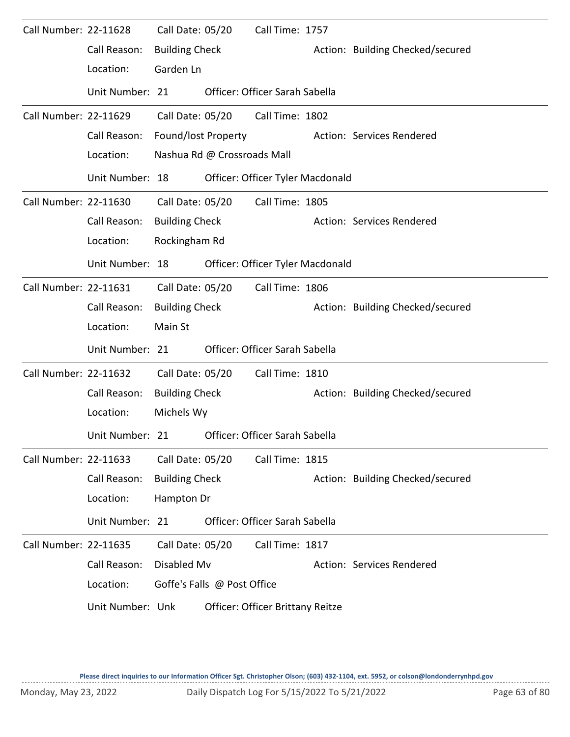| Call Number: 22-11628 |                  | Call Date: 05/20      |                             | Call Time: 1757                  |  |                                  |  |  |  |  |
|-----------------------|------------------|-----------------------|-----------------------------|----------------------------------|--|----------------------------------|--|--|--|--|
|                       | Call Reason:     | <b>Building Check</b> |                             |                                  |  | Action: Building Checked/secured |  |  |  |  |
|                       | Location:        | Garden Ln             |                             |                                  |  |                                  |  |  |  |  |
|                       | Unit Number: 21  |                       |                             | Officer: Officer Sarah Sabella   |  |                                  |  |  |  |  |
| Call Number: 22-11629 |                  | Call Date: 05/20      |                             | Call Time: 1802                  |  |                                  |  |  |  |  |
|                       | Call Reason:     | Found/lost Property   |                             |                                  |  | Action: Services Rendered        |  |  |  |  |
|                       | Location:        |                       | Nashua Rd @ Crossroads Mall |                                  |  |                                  |  |  |  |  |
|                       | Unit Number: 18  |                       |                             | Officer: Officer Tyler Macdonald |  |                                  |  |  |  |  |
| Call Number: 22-11630 |                  | Call Date: 05/20      |                             | Call Time: 1805                  |  |                                  |  |  |  |  |
|                       | Call Reason:     | <b>Building Check</b> |                             |                                  |  | Action: Services Rendered        |  |  |  |  |
|                       | Location:        | Rockingham Rd         |                             |                                  |  |                                  |  |  |  |  |
|                       | Unit Number: 18  |                       |                             | Officer: Officer Tyler Macdonald |  |                                  |  |  |  |  |
| Call Number: 22-11631 |                  | Call Date: 05/20      |                             | Call Time: 1806                  |  |                                  |  |  |  |  |
|                       | Call Reason:     | <b>Building Check</b> |                             |                                  |  | Action: Building Checked/secured |  |  |  |  |
|                       | Location:        | Main St               |                             |                                  |  |                                  |  |  |  |  |
|                       | Unit Number: 21  |                       |                             | Officer: Officer Sarah Sabella   |  |                                  |  |  |  |  |
| Call Number: 22-11632 |                  | Call Date: 05/20      |                             | Call Time: 1810                  |  |                                  |  |  |  |  |
|                       | Call Reason:     | <b>Building Check</b> |                             |                                  |  | Action: Building Checked/secured |  |  |  |  |
|                       | Location:        | Michels Wy            |                             |                                  |  |                                  |  |  |  |  |
|                       | Unit Number: 21  |                       |                             | Officer: Officer Sarah Sabella   |  |                                  |  |  |  |  |
| Call Number: 22-11633 |                  | Call Date: 05/20      |                             | Call Time: 1815                  |  |                                  |  |  |  |  |
|                       | Call Reason:     | <b>Building Check</b> |                             |                                  |  | Action: Building Checked/secured |  |  |  |  |
|                       | Location:        | Hampton Dr            |                             |                                  |  |                                  |  |  |  |  |
|                       | Unit Number: 21  |                       |                             | Officer: Officer Sarah Sabella   |  |                                  |  |  |  |  |
| Call Number: 22-11635 |                  | Call Date: 05/20      |                             | Call Time: 1817                  |  |                                  |  |  |  |  |
|                       | Call Reason:     | Disabled Mv           |                             |                                  |  | Action: Services Rendered        |  |  |  |  |
|                       | Location:        |                       | Goffe's Falls @ Post Office |                                  |  |                                  |  |  |  |  |
|                       | Unit Number: Unk |                       |                             | Officer: Officer Brittany Reitze |  |                                  |  |  |  |  |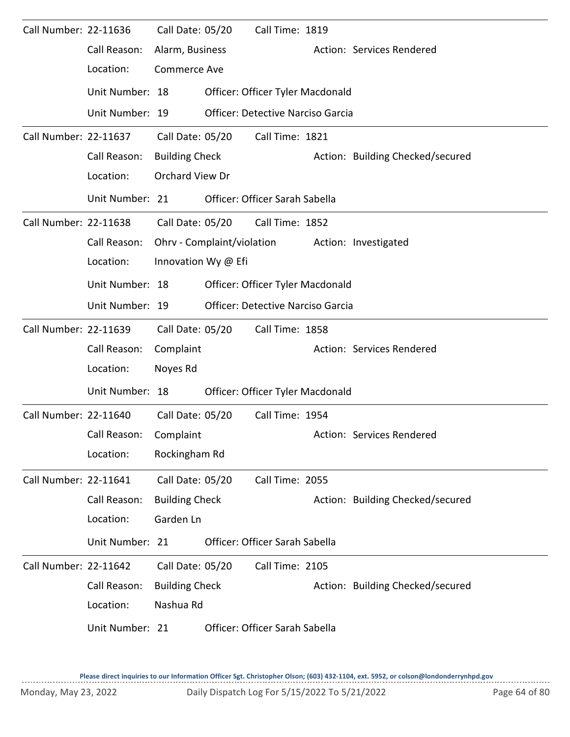| Call Number: 22-11636 |                        | Call Date: 05/20      | Call Time: 1819                          |                                  |
|-----------------------|------------------------|-----------------------|------------------------------------------|----------------------------------|
|                       | Call Reason:           | Alarm, Business       |                                          | Action: Services Rendered        |
|                       | Location:              | <b>Commerce Ave</b>   |                                          |                                  |
|                       | Unit Number: 18        |                       | Officer: Officer Tyler Macdonald         |                                  |
|                       | Unit Number: 19        |                       | <b>Officer: Detective Narciso Garcia</b> |                                  |
| Call Number: 22-11637 |                        | Call Date: 05/20      | Call Time: 1821                          |                                  |
|                       | Call Reason:           | <b>Building Check</b> |                                          | Action: Building Checked/secured |
|                       | Location:              | Orchard View Dr       |                                          |                                  |
|                       | Unit Number: 21        |                       | Officer: Officer Sarah Sabella           |                                  |
| Call Number: 22-11638 |                        |                       | Call Date: 05/20 Call Time: 1852         |                                  |
|                       | Call Reason:           |                       | Ohrv - Complaint/violation               | Action: Investigated             |
|                       | Location:              | Innovation Wy @ Efi   |                                          |                                  |
|                       | Unit Number: 18        |                       | Officer: Officer Tyler Macdonald         |                                  |
|                       | Unit Number: 19        |                       | <b>Officer: Detective Narciso Garcia</b> |                                  |
| Call Number: 22-11639 |                        | Call Date: 05/20      | Call Time: 1858                          |                                  |
|                       | Call Reason:           | Complaint             |                                          | Action: Services Rendered        |
|                       | Location:              | Noyes Rd              |                                          |                                  |
|                       | Unit Number: 18        |                       | Officer: Officer Tyler Macdonald         |                                  |
| Call Number: 22-11640 |                        | Call Date: 05/20      | Call Time: 1954                          |                                  |
|                       | Call Reason: Complaint |                       |                                          | Action: Services Rendered        |
|                       | Location:              | Rockingham Rd         |                                          |                                  |
| Call Number: 22-11641 |                        | Call Date: 05/20      | Call Time: 2055                          |                                  |
|                       | Call Reason:           | <b>Building Check</b> |                                          | Action: Building Checked/secured |
|                       | Location:              | Garden Ln             |                                          |                                  |
|                       | Unit Number: 21        |                       | Officer: Officer Sarah Sabella           |                                  |
| Call Number: 22-11642 |                        | Call Date: 05/20      | Call Time: 2105                          |                                  |
|                       | Call Reason:           | <b>Building Check</b> |                                          | Action: Building Checked/secured |
|                       | Location:              | Nashua Rd             |                                          |                                  |
|                       | Unit Number: 21        |                       | Officer: Officer Sarah Sabella           |                                  |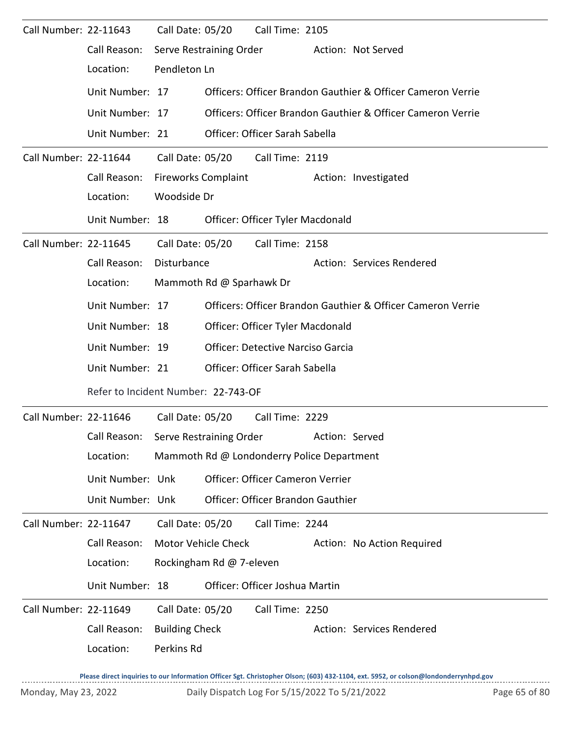| Call Number: 22-11643 |                                      | Call Date: 05/20      |                            | Call Time: 2105                            |                |                                                             |
|-----------------------|--------------------------------------|-----------------------|----------------------------|--------------------------------------------|----------------|-------------------------------------------------------------|
|                       | Call Reason:                         |                       | Serve Restraining Order    |                                            |                | Action: Not Served                                          |
|                       | Location:                            | Pendleton Ln          |                            |                                            |                |                                                             |
|                       | Unit Number: 17                      |                       |                            |                                            |                | Officers: Officer Brandon Gauthier & Officer Cameron Verrie |
|                       | Unit Number: 17                      |                       |                            |                                            |                | Officers: Officer Brandon Gauthier & Officer Cameron Verrie |
|                       | Unit Number: 21                      |                       |                            | Officer: Officer Sarah Sabella             |                |                                                             |
| Call Number: 22-11644 |                                      |                       | Call Date: 05/20           | Call Time: 2119                            |                |                                                             |
|                       | Call Reason:                         |                       | <b>Fireworks Complaint</b> |                                            |                | Action: Investigated                                        |
|                       | Location:                            | Woodside Dr           |                            |                                            |                |                                                             |
|                       | Unit Number: 18                      |                       |                            | Officer: Officer Tyler Macdonald           |                |                                                             |
| Call Number: 22-11645 |                                      | Call Date: 05/20      |                            | Call Time: 2158                            |                |                                                             |
|                       | Call Reason:                         | Disturbance           |                            |                                            |                | Action: Services Rendered                                   |
|                       | Location:                            |                       | Mammoth Rd @ Sparhawk Dr   |                                            |                |                                                             |
|                       | Unit Number: 17                      |                       |                            |                                            |                | Officers: Officer Brandon Gauthier & Officer Cameron Verrie |
|                       | Unit Number: 18                      |                       |                            | Officer: Officer Tyler Macdonald           |                |                                                             |
|                       | Unit Number: 19                      |                       |                            | Officer: Detective Narciso Garcia          |                |                                                             |
|                       | Unit Number: 21                      |                       |                            | Officer: Officer Sarah Sabella             |                |                                                             |
|                       | Refer to Incident Number: 22-743-OF  |                       |                            |                                            |                |                                                             |
| Call Number: 22-11646 |                                      | Call Date: 05/20      |                            | Call Time: 2229                            |                |                                                             |
|                       | Call Reason: Serve Restraining Order |                       |                            |                                            | Action: Served |                                                             |
|                       | Location:                            |                       |                            | Mammoth Rd @ Londonderry Police Department |                |                                                             |
|                       | Unit Number: Unk                     |                       |                            | Officer: Officer Cameron Verrier           |                |                                                             |
|                       | Unit Number: Unk                     |                       |                            | Officer: Officer Brandon Gauthier          |                |                                                             |
| Call Number: 22-11647 |                                      | Call Date: 05/20      |                            | Call Time: 2244                            |                |                                                             |
|                       | Call Reason:                         |                       | Motor Vehicle Check        |                                            |                | Action: No Action Required                                  |
|                       | Location:                            |                       | Rockingham Rd @ 7-eleven   |                                            |                |                                                             |
|                       | Unit Number: 18                      |                       |                            | Officer: Officer Joshua Martin             |                |                                                             |
| Call Number: 22-11649 |                                      | Call Date: 05/20      |                            | Call Time: 2250                            |                |                                                             |
|                       | Call Reason:                         | <b>Building Check</b> |                            |                                            |                | Action: Services Rendered                                   |
|                       | Location:                            | Perkins Rd            |                            |                                            |                |                                                             |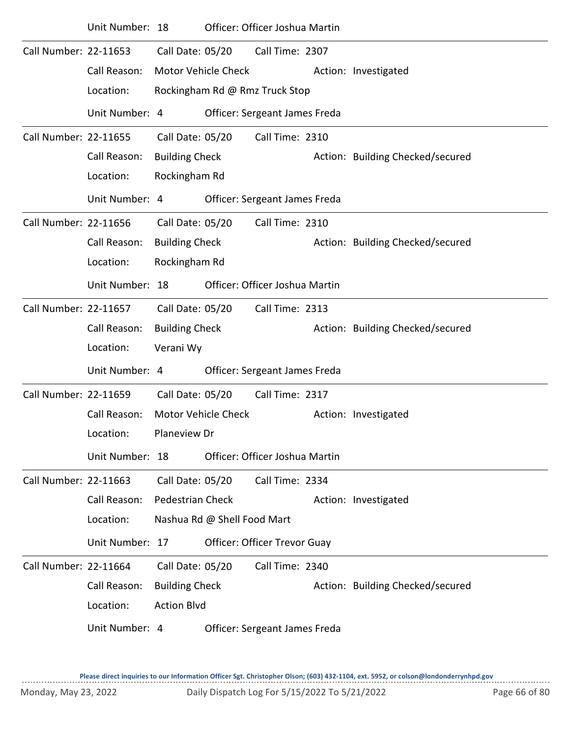|                       | Unit Number: 18 |                         |                                | Officer: Officer Joshua Martin |  |                                  |  |  |  |  |
|-----------------------|-----------------|-------------------------|--------------------------------|--------------------------------|--|----------------------------------|--|--|--|--|
| Call Number: 22-11653 |                 | Call Date: 05/20        |                                | Call Time: 2307                |  |                                  |  |  |  |  |
|                       | Call Reason:    |                         | <b>Motor Vehicle Check</b>     |                                |  | Action: Investigated             |  |  |  |  |
|                       | Location:       |                         | Rockingham Rd @ Rmz Truck Stop |                                |  |                                  |  |  |  |  |
|                       | Unit Number: 4  |                         |                                | Officer: Sergeant James Freda  |  |                                  |  |  |  |  |
| Call Number: 22-11655 |                 | Call Date: 05/20        |                                | Call Time: 2310                |  |                                  |  |  |  |  |
|                       | Call Reason:    | <b>Building Check</b>   |                                |                                |  | Action: Building Checked/secured |  |  |  |  |
|                       | Location:       | Rockingham Rd           |                                |                                |  |                                  |  |  |  |  |
|                       | Unit Number: 4  |                         |                                | Officer: Sergeant James Freda  |  |                                  |  |  |  |  |
| Call Number: 22-11656 |                 | Call Date: 05/20        |                                | Call Time: 2310                |  |                                  |  |  |  |  |
|                       | Call Reason:    | <b>Building Check</b>   |                                |                                |  | Action: Building Checked/secured |  |  |  |  |
|                       | Location:       | Rockingham Rd           |                                |                                |  |                                  |  |  |  |  |
|                       | Unit Number: 18 |                         |                                | Officer: Officer Joshua Martin |  |                                  |  |  |  |  |
| Call Number: 22-11657 |                 | Call Date: 05/20        |                                | Call Time: 2313                |  |                                  |  |  |  |  |
|                       | Call Reason:    | <b>Building Check</b>   |                                |                                |  | Action: Building Checked/secured |  |  |  |  |
|                       | Location:       | Verani Wy               |                                |                                |  |                                  |  |  |  |  |
|                       | Unit Number: 4  |                         |                                | Officer: Sergeant James Freda  |  |                                  |  |  |  |  |
| Call Number: 22-11659 |                 | Call Date: 05/20        |                                | Call Time: 2317                |  |                                  |  |  |  |  |
|                       | Call Reason:    |                         | Motor Vehicle Check            |                                |  | Action: Investigated             |  |  |  |  |
|                       | Location:       | Planeview Dr            |                                |                                |  |                                  |  |  |  |  |
|                       | Unit Number: 18 |                         |                                | Officer: Officer Joshua Martin |  |                                  |  |  |  |  |
| Call Number: 22-11663 |                 | Call Date: 05/20        |                                | Call Time: 2334                |  |                                  |  |  |  |  |
|                       | Call Reason:    | <b>Pedestrian Check</b> |                                |                                |  | Action: Investigated             |  |  |  |  |
|                       | Location:       |                         | Nashua Rd @ Shell Food Mart    |                                |  |                                  |  |  |  |  |
|                       | Unit Number: 17 |                         |                                | Officer: Officer Trevor Guay   |  |                                  |  |  |  |  |
| Call Number: 22-11664 |                 | Call Date: 05/20        |                                | Call Time: 2340                |  |                                  |  |  |  |  |
|                       | Call Reason:    | <b>Building Check</b>   |                                |                                |  | Action: Building Checked/secured |  |  |  |  |
|                       | Location:       | <b>Action Blvd</b>      |                                |                                |  |                                  |  |  |  |  |
|                       | Unit Number: 4  |                         |                                | Officer: Sergeant James Freda  |  |                                  |  |  |  |  |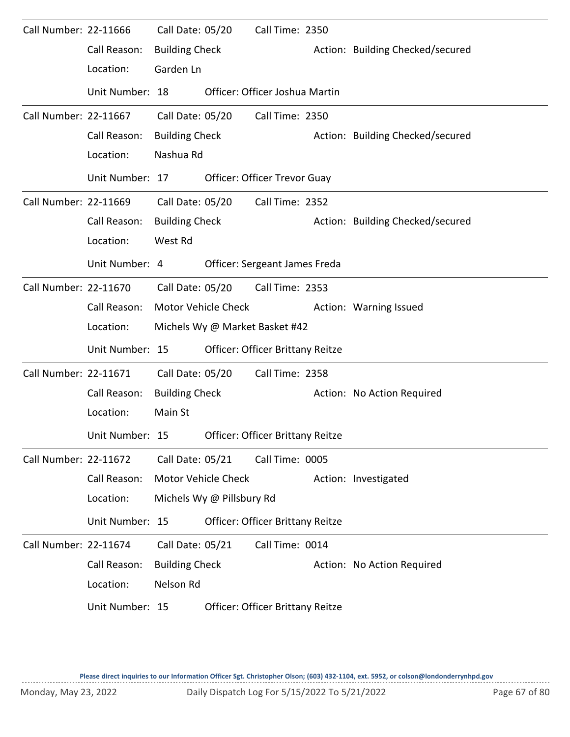| Call Number: 22-11666 |                 | Call Date: 05/20      |                           | Call Time: 2350                         |                                  |
|-----------------------|-----------------|-----------------------|---------------------------|-----------------------------------------|----------------------------------|
|                       | Call Reason:    | <b>Building Check</b> |                           |                                         | Action: Building Checked/secured |
|                       | Location:       | Garden Ln             |                           |                                         |                                  |
|                       | Unit Number: 18 |                       |                           | Officer: Officer Joshua Martin          |                                  |
| Call Number: 22-11667 |                 | Call Date: 05/20      |                           | Call Time: 2350                         |                                  |
|                       | Call Reason:    | <b>Building Check</b> |                           |                                         | Action: Building Checked/secured |
|                       | Location:       | Nashua Rd             |                           |                                         |                                  |
|                       | Unit Number: 17 |                       |                           | Officer: Officer Trevor Guay            |                                  |
| Call Number: 22-11669 |                 | Call Date: 05/20      |                           | Call Time: 2352                         |                                  |
|                       | Call Reason:    | <b>Building Check</b> |                           |                                         | Action: Building Checked/secured |
|                       | Location:       | West Rd               |                           |                                         |                                  |
|                       | Unit Number: 4  |                       |                           | Officer: Sergeant James Freda           |                                  |
| Call Number: 22-11670 |                 | Call Date: 05/20      |                           | Call Time: 2353                         |                                  |
|                       | Call Reason:    |                       | Motor Vehicle Check       |                                         | Action: Warning Issued           |
|                       | Location:       |                       |                           | Michels Wy @ Market Basket #42          |                                  |
|                       | Unit Number: 15 |                       |                           | Officer: Officer Brittany Reitze        |                                  |
| Call Number: 22-11671 |                 | Call Date: 05/20      |                           | Call Time: 2358                         |                                  |
|                       | Call Reason:    | <b>Building Check</b> |                           |                                         | Action: No Action Required       |
|                       | Location:       | Main St               |                           |                                         |                                  |
|                       | Unit Number: 15 |                       |                           | <b>Officer: Officer Brittany Reitze</b> |                                  |
| Call Number: 22-11672 |                 | Call Date: 05/21      |                           | Call Time: 0005                         |                                  |
|                       | Call Reason:    |                       | Motor Vehicle Check       |                                         | Action: Investigated             |
|                       | Location:       |                       | Michels Wy @ Pillsbury Rd |                                         |                                  |
|                       | Unit Number: 15 |                       |                           | Officer: Officer Brittany Reitze        |                                  |
| Call Number: 22-11674 |                 | Call Date: 05/21      |                           | Call Time: 0014                         |                                  |
|                       | Call Reason:    | <b>Building Check</b> |                           |                                         | Action: No Action Required       |
|                       | Location:       | Nelson Rd             |                           |                                         |                                  |
|                       | Unit Number: 15 |                       |                           | Officer: Officer Brittany Reitze        |                                  |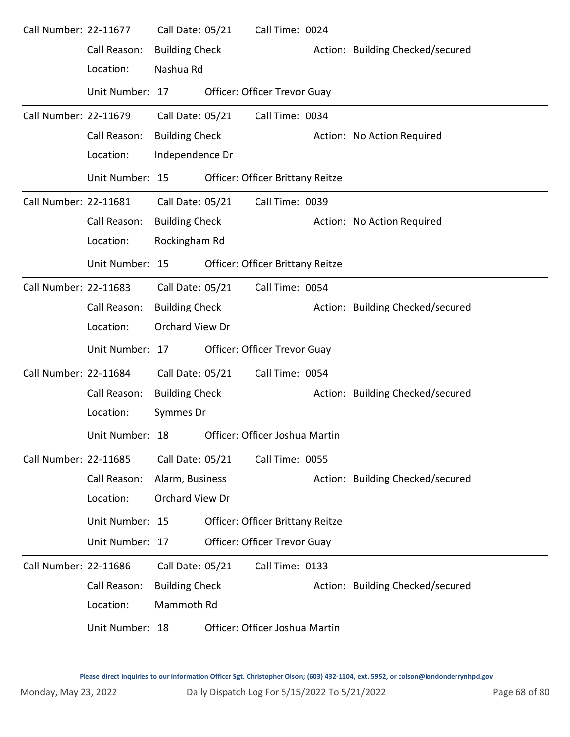| Call Number: 22-11677 |                 | Call Date: 05/21      | Call Time: 0024                         |                                  |
|-----------------------|-----------------|-----------------------|-----------------------------------------|----------------------------------|
|                       | Call Reason:    | <b>Building Check</b> |                                         | Action: Building Checked/secured |
|                       | Location:       | Nashua Rd             |                                         |                                  |
|                       | Unit Number: 17 |                       | Officer: Officer Trevor Guay            |                                  |
| Call Number: 22-11679 |                 | Call Date: 05/21      | Call Time: 0034                         |                                  |
|                       | Call Reason:    | <b>Building Check</b> |                                         | Action: No Action Required       |
|                       | Location:       | Independence Dr       |                                         |                                  |
|                       | Unit Number: 15 |                       | Officer: Officer Brittany Reitze        |                                  |
| Call Number: 22-11681 |                 | Call Date: 05/21      | Call Time: 0039                         |                                  |
|                       | Call Reason:    | <b>Building Check</b> |                                         | Action: No Action Required       |
|                       | Location:       | Rockingham Rd         |                                         |                                  |
|                       | Unit Number: 15 |                       | Officer: Officer Brittany Reitze        |                                  |
| Call Number: 22-11683 |                 | Call Date: 05/21      | Call Time: 0054                         |                                  |
|                       | Call Reason:    | <b>Building Check</b> |                                         | Action: Building Checked/secured |
|                       | Location:       | Orchard View Dr       |                                         |                                  |
|                       | Unit Number: 17 |                       | Officer: Officer Trevor Guay            |                                  |
| Call Number: 22-11684 |                 | Call Date: 05/21      | Call Time: 0054                         |                                  |
|                       | Call Reason:    | <b>Building Check</b> |                                         | Action: Building Checked/secured |
|                       | Location:       | Symmes Dr             |                                         |                                  |
|                       | Unit Number: 18 |                       | Officer: Officer Joshua Martin          |                                  |
| Call Number: 22-11685 |                 | Call Date: 05/21      | Call Time: 0055                         |                                  |
|                       | Call Reason:    | Alarm, Business       |                                         | Action: Building Checked/secured |
|                       | Location:       | Orchard View Dr       |                                         |                                  |
|                       | Unit Number: 15 |                       | <b>Officer: Officer Brittany Reitze</b> |                                  |
|                       | Unit Number: 17 |                       | Officer: Officer Trevor Guay            |                                  |
| Call Number: 22-11686 |                 | Call Date: 05/21      | Call Time: 0133                         |                                  |
|                       | Call Reason:    | <b>Building Check</b> |                                         | Action: Building Checked/secured |
|                       | Location:       | Mammoth Rd            |                                         |                                  |
|                       | Unit Number: 18 |                       | Officer: Officer Joshua Martin          |                                  |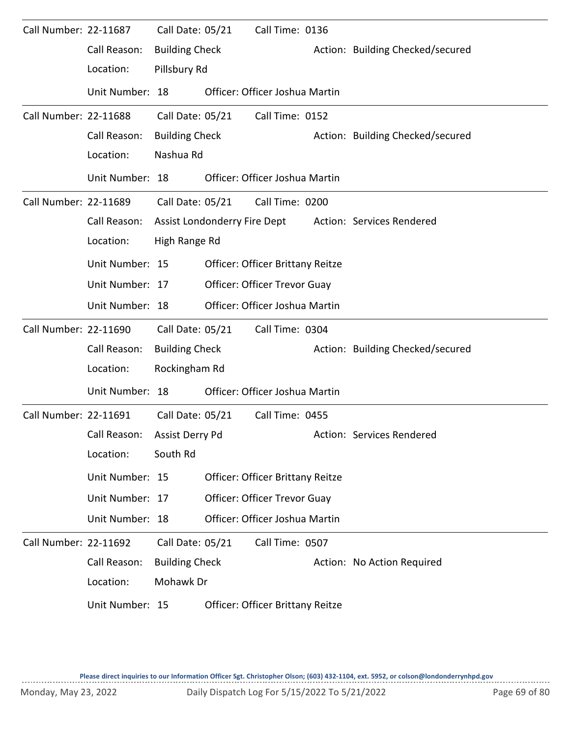| Call Number: 22-11687 |                 | Call Date: 05/21             | Call Time: 0136                         |                                  |
|-----------------------|-----------------|------------------------------|-----------------------------------------|----------------------------------|
|                       | Call Reason:    | <b>Building Check</b>        |                                         | Action: Building Checked/secured |
|                       | Location:       | Pillsbury Rd                 |                                         |                                  |
|                       | Unit Number: 18 |                              | Officer: Officer Joshua Martin          |                                  |
| Call Number: 22-11688 |                 | Call Date: 05/21             | Call Time: 0152                         |                                  |
|                       | Call Reason:    | <b>Building Check</b>        |                                         | Action: Building Checked/secured |
|                       | Location:       | Nashua Rd                    |                                         |                                  |
|                       | Unit Number: 18 |                              | Officer: Officer Joshua Martin          |                                  |
| Call Number: 22-11689 |                 | Call Date: 05/21             | Call Time: 0200                         |                                  |
|                       | Call Reason:    | Assist Londonderry Fire Dept |                                         | Action: Services Rendered        |
|                       | Location:       | High Range Rd                |                                         |                                  |
|                       | Unit Number: 15 |                              | <b>Officer: Officer Brittany Reitze</b> |                                  |
|                       | Unit Number: 17 |                              | <b>Officer: Officer Trevor Guay</b>     |                                  |
|                       | Unit Number: 18 |                              | Officer: Officer Joshua Martin          |                                  |
| Call Number: 22-11690 |                 | Call Date: 05/21             | Call Time: 0304                         |                                  |
|                       | Call Reason:    | <b>Building Check</b>        |                                         | Action: Building Checked/secured |
|                       | Location:       | Rockingham Rd                |                                         |                                  |
|                       | Unit Number: 18 |                              | Officer: Officer Joshua Martin          |                                  |
| Call Number: 22-11691 |                 | Call Date: 05/21             | Call Time: 0455                         |                                  |
|                       | Call Reason:    | Assist Derry Pd              |                                         | Action: Services Rendered        |
|                       | Location:       | South Rd                     |                                         |                                  |
|                       | Unit Number: 15 |                              | Officer: Officer Brittany Reitze        |                                  |
|                       | Unit Number: 17 |                              | Officer: Officer Trevor Guay            |                                  |
|                       | Unit Number: 18 |                              | Officer: Officer Joshua Martin          |                                  |
| Call Number: 22-11692 |                 | Call Date: 05/21             | Call Time: 0507                         |                                  |
|                       | Call Reason:    | <b>Building Check</b>        |                                         | Action: No Action Required       |
|                       | Location:       | Mohawk Dr                    |                                         |                                  |
|                       | Unit Number: 15 |                              | Officer: Officer Brittany Reitze        |                                  |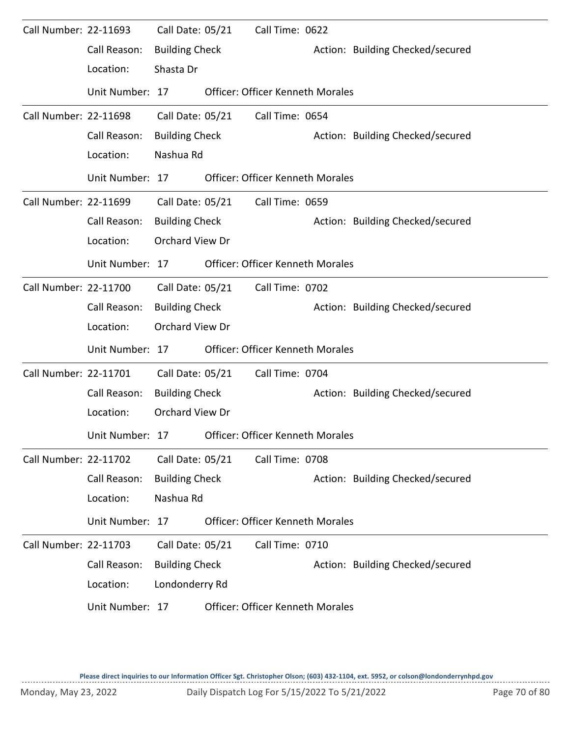| Call Number: 22-11693 |                 | Call Date: 05/21       |                  | Call Time: 0622                         |                                  |
|-----------------------|-----------------|------------------------|------------------|-----------------------------------------|----------------------------------|
|                       | Call Reason:    | <b>Building Check</b>  |                  |                                         | Action: Building Checked/secured |
|                       | Location:       | Shasta Dr              |                  |                                         |                                  |
|                       | Unit Number: 17 |                        |                  | <b>Officer: Officer Kenneth Morales</b> |                                  |
| Call Number: 22-11698 |                 | Call Date: 05/21       |                  | Call Time: 0654                         |                                  |
|                       | Call Reason:    | <b>Building Check</b>  |                  |                                         | Action: Building Checked/secured |
|                       | Location:       | Nashua Rd              |                  |                                         |                                  |
|                       | Unit Number: 17 |                        |                  | <b>Officer: Officer Kenneth Morales</b> |                                  |
| Call Number: 22-11699 |                 | Call Date: 05/21       |                  | Call Time: 0659                         |                                  |
|                       | Call Reason:    | <b>Building Check</b>  |                  |                                         | Action: Building Checked/secured |
|                       | Location:       | Orchard View Dr        |                  |                                         |                                  |
|                       | Unit Number: 17 |                        |                  | <b>Officer: Officer Kenneth Morales</b> |                                  |
| Call Number: 22-11700 |                 |                        | Call Date: 05/21 | Call Time: 0702                         |                                  |
|                       | Call Reason:    | <b>Building Check</b>  |                  |                                         | Action: Building Checked/secured |
|                       | Location:       | Orchard View Dr        |                  |                                         |                                  |
|                       | Unit Number: 17 |                        |                  | <b>Officer: Officer Kenneth Morales</b> |                                  |
| Call Number: 22-11701 |                 | Call Date: 05/21       |                  | Call Time: 0704                         |                                  |
|                       | Call Reason:    | <b>Building Check</b>  |                  |                                         | Action: Building Checked/secured |
|                       | Location:       | <b>Orchard View Dr</b> |                  |                                         |                                  |
|                       | Unit Number: 17 |                        |                  | Officer: Officer Kenneth Morales        |                                  |
| Call Number: 22-11702 |                 | Call Date: 05/21       |                  | Call Time: 0708                         |                                  |
|                       | Call Reason:    | <b>Building Check</b>  |                  |                                         | Action: Building Checked/secured |
|                       | Location:       | Nashua Rd              |                  |                                         |                                  |
|                       | Unit Number: 17 |                        |                  | <b>Officer: Officer Kenneth Morales</b> |                                  |
| Call Number: 22-11703 |                 | Call Date: 05/21       |                  | Call Time: 0710                         |                                  |
|                       | Call Reason:    | <b>Building Check</b>  |                  |                                         | Action: Building Checked/secured |
|                       | Location:       | Londonderry Rd         |                  |                                         |                                  |
|                       | Unit Number: 17 |                        |                  | <b>Officer: Officer Kenneth Morales</b> |                                  |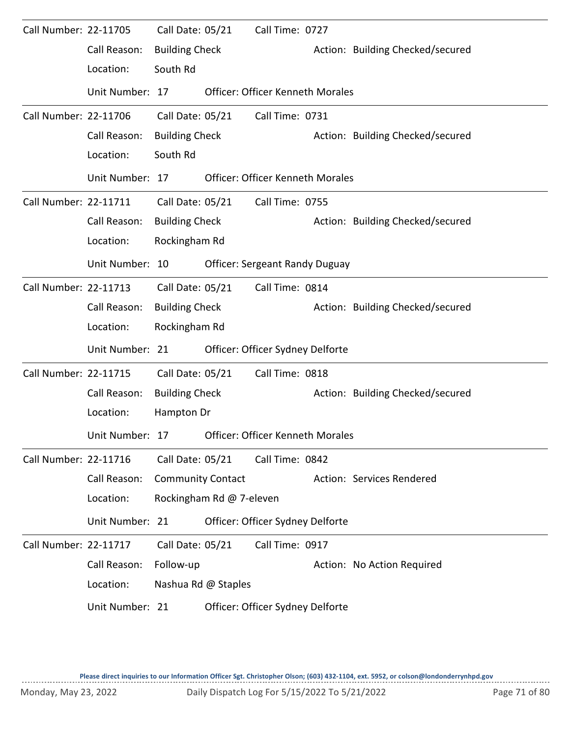| Call Number: 22-11705 |                 | Call Date: 05/21         |                          | Call Time: 0727                         |                                  |
|-----------------------|-----------------|--------------------------|--------------------------|-----------------------------------------|----------------------------------|
|                       | Call Reason:    | <b>Building Check</b>    |                          |                                         | Action: Building Checked/secured |
|                       | Location:       | South Rd                 |                          |                                         |                                  |
|                       | Unit Number: 17 |                          |                          | <b>Officer: Officer Kenneth Morales</b> |                                  |
| Call Number: 22-11706 |                 | Call Date: 05/21         |                          | Call Time: 0731                         |                                  |
|                       | Call Reason:    | <b>Building Check</b>    |                          |                                         | Action: Building Checked/secured |
|                       | Location:       | South Rd                 |                          |                                         |                                  |
|                       | Unit Number: 17 |                          |                          | <b>Officer: Officer Kenneth Morales</b> |                                  |
| Call Number: 22-11711 |                 | Call Date: 05/21         |                          | Call Time: 0755                         |                                  |
|                       | Call Reason:    | <b>Building Check</b>    |                          |                                         | Action: Building Checked/secured |
|                       | Location:       | Rockingham Rd            |                          |                                         |                                  |
|                       | Unit Number: 10 |                          |                          | <b>Officer: Sergeant Randy Duguay</b>   |                                  |
| Call Number: 22-11713 |                 | Call Date: 05/21         |                          | Call Time: 0814                         |                                  |
|                       | Call Reason:    | <b>Building Check</b>    |                          |                                         | Action: Building Checked/secured |
|                       | Location:       | Rockingham Rd            |                          |                                         |                                  |
|                       | Unit Number: 21 |                          |                          | Officer: Officer Sydney Delforte        |                                  |
| Call Number: 22-11715 |                 | Call Date: 05/21         |                          | Call Time: 0818                         |                                  |
|                       | Call Reason:    | <b>Building Check</b>    |                          |                                         | Action: Building Checked/secured |
|                       | Location:       | Hampton Dr               |                          |                                         |                                  |
|                       | Unit Number: 17 |                          |                          | Officer: Officer Kenneth Morales        |                                  |
| Call Number: 22-11716 |                 | Call Date: 05/21         |                          | Call Time: 0842                         |                                  |
|                       | Call Reason:    | <b>Community Contact</b> |                          |                                         | Action: Services Rendered        |
|                       | Location:       |                          | Rockingham Rd @ 7-eleven |                                         |                                  |
|                       | Unit Number: 21 |                          |                          | Officer: Officer Sydney Delforte        |                                  |
| Call Number: 22-11717 |                 | Call Date: 05/21         |                          | Call Time: 0917                         |                                  |
|                       | Call Reason:    | Follow-up                |                          |                                         | Action: No Action Required       |
|                       | Location:       |                          | Nashua Rd @ Staples      |                                         |                                  |
|                       | Unit Number: 21 |                          |                          | Officer: Officer Sydney Delforte        |                                  |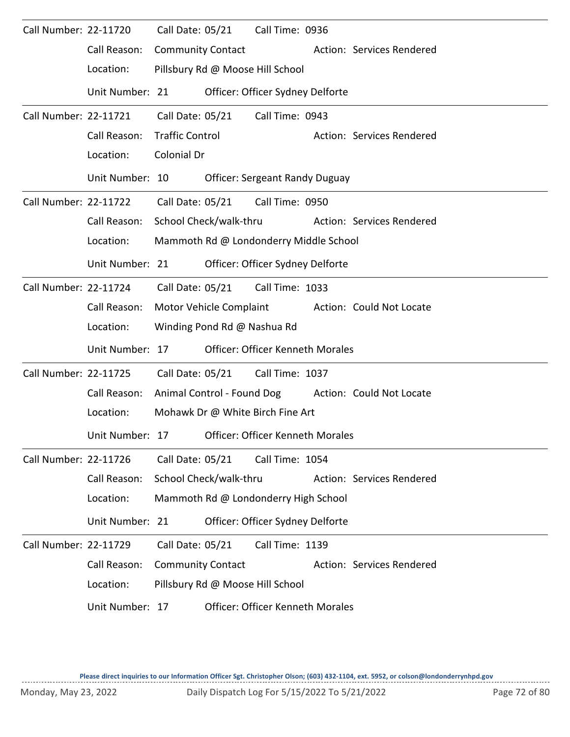| Call Number: 22-11720 |                 | Call Date: 05/21         |                             | Call Time: 0936                         |                           |
|-----------------------|-----------------|--------------------------|-----------------------------|-----------------------------------------|---------------------------|
|                       | Call Reason:    | <b>Community Contact</b> |                             |                                         | Action: Services Rendered |
|                       | Location:       |                          |                             | Pillsbury Rd @ Moose Hill School        |                           |
|                       | Unit Number: 21 |                          |                             | Officer: Officer Sydney Delforte        |                           |
| Call Number: 22-11721 |                 | Call Date: 05/21         |                             | Call Time: 0943                         |                           |
|                       | Call Reason:    | <b>Traffic Control</b>   |                             |                                         | Action: Services Rendered |
|                       | Location:       | Colonial Dr              |                             |                                         |                           |
|                       | Unit Number: 10 |                          |                             | <b>Officer: Sergeant Randy Duguay</b>   |                           |
| Call Number: 22-11722 |                 | Call Date: 05/21         |                             | Call Time: 0950                         |                           |
|                       | Call Reason:    | School Check/walk-thru   |                             |                                         | Action: Services Rendered |
|                       | Location:       |                          |                             | Mammoth Rd @ Londonderry Middle School  |                           |
|                       | Unit Number: 21 |                          |                             | Officer: Officer Sydney Delforte        |                           |
| Call Number: 22-11724 |                 | Call Date: 05/21         |                             | Call Time: 1033                         |                           |
|                       | Call Reason:    |                          | Motor Vehicle Complaint     |                                         | Action: Could Not Locate  |
|                       | Location:       |                          | Winding Pond Rd @ Nashua Rd |                                         |                           |
|                       | Unit Number: 17 |                          |                             | Officer: Officer Kenneth Morales        |                           |
| Call Number: 22-11725 |                 | Call Date: 05/21         |                             | Call Time: 1037                         |                           |
|                       | Call Reason:    |                          | Animal Control - Found Dog  |                                         | Action: Could Not Locate  |
|                       | Location:       |                          |                             | Mohawk Dr @ White Birch Fine Art        |                           |
|                       | Unit Number: 17 |                          |                             | Officer: Officer Kenneth Morales        |                           |
| Call Number: 22-11726 |                 | Call Date: 05/21         |                             | Call Time: 1054                         |                           |
|                       | Call Reason:    |                          | School Check/walk-thru      |                                         | Action: Services Rendered |
|                       | Location:       |                          |                             | Mammoth Rd @ Londonderry High School    |                           |
|                       | Unit Number: 21 |                          |                             | Officer: Officer Sydney Delforte        |                           |
| Call Number: 22-11729 |                 | Call Date: 05/21         |                             | Call Time: 1139                         |                           |
|                       | Call Reason:    | <b>Community Contact</b> |                             |                                         | Action: Services Rendered |
|                       | Location:       |                          |                             | Pillsbury Rd @ Moose Hill School        |                           |
|                       | Unit Number: 17 |                          |                             | <b>Officer: Officer Kenneth Morales</b> |                           |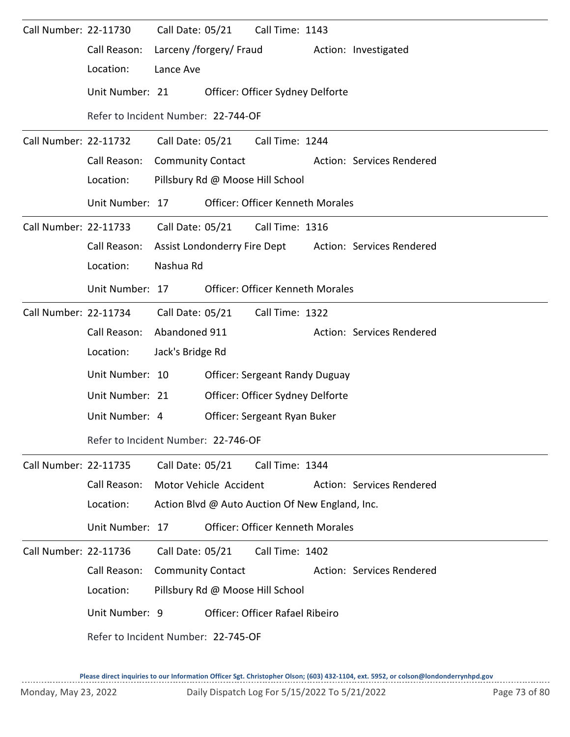| Call Number: 22-11730 |                 | Call Date: 05/21<br>Call Time: 1143                    |
|-----------------------|-----------------|--------------------------------------------------------|
|                       | Call Reason:    | Larceny /forgery/ Fraud<br>Action: Investigated        |
|                       | Location:       | Lance Ave                                              |
|                       | Unit Number: 21 | Officer: Officer Sydney Delforte                       |
|                       |                 | Refer to Incident Number: 22-744-OF                    |
| Call Number: 22-11732 |                 | Call Date: 05/21<br>Call Time: 1244                    |
|                       | Call Reason:    | <b>Community Contact</b><br>Action: Services Rendered  |
|                       | Location:       | Pillsbury Rd @ Moose Hill School                       |
|                       | Unit Number: 17 | <b>Officer: Officer Kenneth Morales</b>                |
| Call Number: 22-11733 |                 | Call Date: 05/21<br>Call Time: 1316                    |
|                       | Call Reason:    | Assist Londonderry Fire Dept Action: Services Rendered |
|                       | Location:       | Nashua Rd                                              |
|                       | Unit Number: 17 | <b>Officer: Officer Kenneth Morales</b>                |
| Call Number: 22-11734 |                 | Call Date: 05/21 Call Time: 1322                       |
|                       | Call Reason:    | Abandoned 911<br>Action: Services Rendered             |
|                       | Location:       | Jack's Bridge Rd                                       |
|                       | Unit Number: 10 | <b>Officer: Sergeant Randy Duguay</b>                  |
|                       | Unit Number: 21 | Officer: Officer Sydney Delforte                       |
|                       | Unit Number: 4  | Officer: Sergeant Ryan Buker                           |
|                       |                 | Refer to Incident Number: 22-746-OF                    |
| Call Number: 22-11735 |                 | Call Date: 05/21<br>Call Time: 1344                    |
|                       | Call Reason:    | Motor Vehicle Accident<br>Action: Services Rendered    |
|                       | Location:       | Action Blvd @ Auto Auction Of New England, Inc.        |
|                       | Unit Number: 17 | Officer: Officer Kenneth Morales                       |
| Call Number: 22-11736 |                 | Call Date: 05/21<br>Call Time: 1402                    |
|                       | Call Reason:    | <b>Community Contact</b><br>Action: Services Rendered  |
|                       | Location:       | Pillsbury Rd @ Moose Hill School                       |
|                       | Unit Number: 9  | <b>Officer: Officer Rafael Ribeiro</b>                 |
|                       |                 | Refer to Incident Number: 22-745-OF                    |
|                       |                 |                                                        |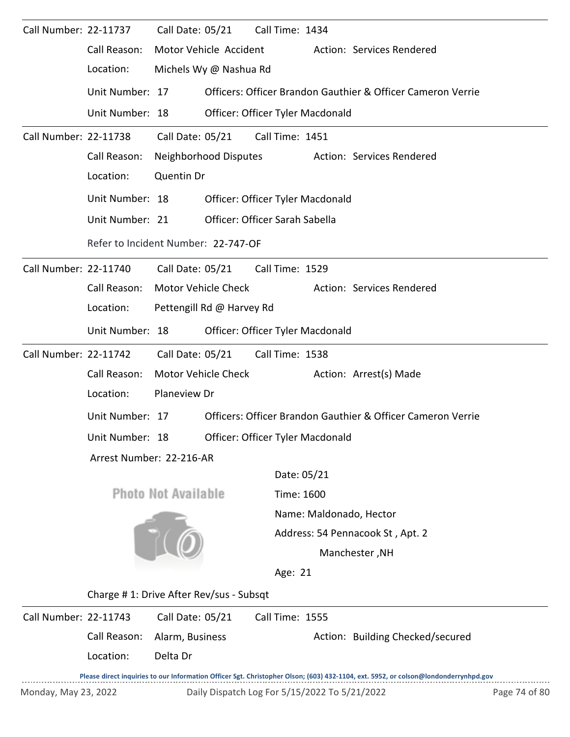| Call Number: 22-11737 |                                         | Call Date: 05/21           |                                | Call Time: 1434 |                                               |                                                                                                                                     |               |  |  |
|-----------------------|-----------------------------------------|----------------------------|--------------------------------|-----------------|-----------------------------------------------|-------------------------------------------------------------------------------------------------------------------------------------|---------------|--|--|
|                       | Call Reason:                            | Motor Vehicle Accident     |                                |                 |                                               | Action: Services Rendered                                                                                                           |               |  |  |
|                       | Location:                               |                            | Michels Wy @ Nashua Rd         |                 |                                               |                                                                                                                                     |               |  |  |
|                       | Unit Number: 17                         |                            |                                |                 |                                               | Officers: Officer Brandon Gauthier & Officer Cameron Verrie                                                                         |               |  |  |
|                       | Unit Number: 18                         |                            |                                |                 | Officer: Officer Tyler Macdonald              |                                                                                                                                     |               |  |  |
| Call Number: 22-11738 |                                         | Call Date: 05/21           |                                | Call Time: 1451 |                                               |                                                                                                                                     |               |  |  |
|                       | Call Reason:                            | Neighborhood Disputes      |                                |                 |                                               | Action: Services Rendered                                                                                                           |               |  |  |
|                       | Location:                               | Quentin Dr                 |                                |                 |                                               |                                                                                                                                     |               |  |  |
|                       | Unit Number: 18                         |                            |                                |                 | Officer: Officer Tyler Macdonald              |                                                                                                                                     |               |  |  |
|                       | Unit Number: 21                         |                            | Officer: Officer Sarah Sabella |                 |                                               |                                                                                                                                     |               |  |  |
|                       | Refer to Incident Number: 22-747-OF     |                            |                                |                 |                                               |                                                                                                                                     |               |  |  |
| Call Number: 22-11740 |                                         | Call Date: 05/21           |                                | Call Time: 1529 |                                               |                                                                                                                                     |               |  |  |
|                       | Call Reason:                            | Motor Vehicle Check        |                                |                 |                                               | Action: Services Rendered                                                                                                           |               |  |  |
|                       | Location:                               |                            | Pettengill Rd @ Harvey Rd      |                 |                                               |                                                                                                                                     |               |  |  |
|                       | Unit Number: 18                         |                            |                                |                 | Officer: Officer Tyler Macdonald              |                                                                                                                                     |               |  |  |
| Call Number: 22-11742 |                                         | Call Date: 05/21           |                                | Call Time: 1538 |                                               |                                                                                                                                     |               |  |  |
|                       | Call Reason:                            | Motor Vehicle Check        |                                |                 |                                               | Action: Arrest(s) Made                                                                                                              |               |  |  |
|                       | Location:                               | Planeview Dr               |                                |                 |                                               |                                                                                                                                     |               |  |  |
|                       | Unit Number: 17                         |                            |                                |                 |                                               | Officers: Officer Brandon Gauthier & Officer Cameron Verrie                                                                         |               |  |  |
|                       | Unit Number: 18                         |                            |                                |                 | Officer: Officer Tyler Macdonald              |                                                                                                                                     |               |  |  |
|                       | Arrest Number: 22-216-AR                |                            |                                |                 |                                               |                                                                                                                                     |               |  |  |
|                       |                                         |                            |                                |                 | Date: 05/21                                   |                                                                                                                                     |               |  |  |
|                       |                                         | <b>Photo Not Available</b> |                                |                 | Time: 1600                                    |                                                                                                                                     |               |  |  |
|                       |                                         |                            |                                |                 |                                               | Name: Maldonado, Hector                                                                                                             |               |  |  |
|                       |                                         |                            |                                |                 |                                               | Address: 54 Pennacook St, Apt. 2                                                                                                    |               |  |  |
|                       |                                         |                            |                                |                 |                                               | Manchester, NH                                                                                                                      |               |  |  |
|                       |                                         |                            |                                | Age: 21         |                                               |                                                                                                                                     |               |  |  |
|                       | Charge #1: Drive After Rev/sus - Subsqt |                            |                                |                 |                                               |                                                                                                                                     |               |  |  |
| Call Number: 22-11743 |                                         | Call Date: 05/21           |                                | Call Time: 1555 |                                               |                                                                                                                                     |               |  |  |
|                       | Call Reason:                            | Alarm, Business            |                                |                 |                                               | Action: Building Checked/secured                                                                                                    |               |  |  |
|                       | Location:                               | Delta Dr                   |                                |                 |                                               |                                                                                                                                     |               |  |  |
|                       |                                         |                            |                                |                 |                                               | Please direct inquiries to our Information Officer Sgt. Christopher Olson; (603) 432-1104, ext. 5952, or colson@londonderrynhpd.gov |               |  |  |
| Monday, May 23, 2022  |                                         |                            |                                |                 | Daily Dispatch Log For 5/15/2022 To 5/21/2022 |                                                                                                                                     | Page 74 of 80 |  |  |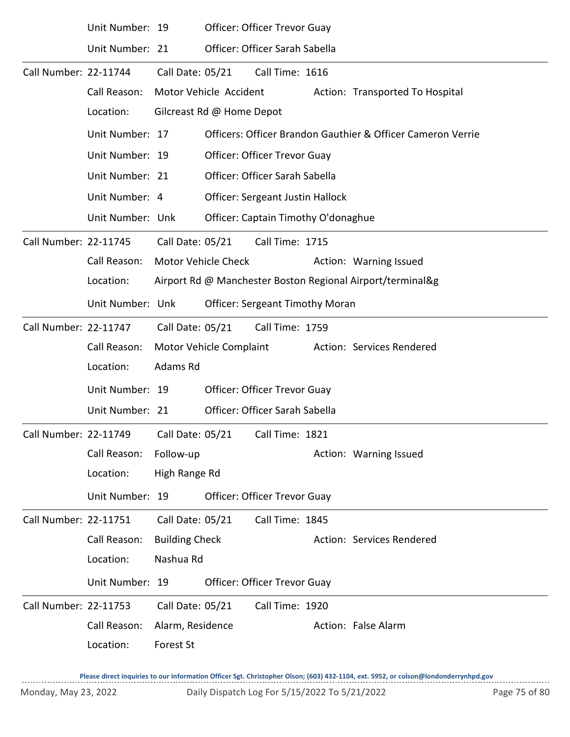|                       | Unit Number: 19  |                       | <b>Officer: Officer Trevor Guay</b> |                                         |  |                                                             |  |  |
|-----------------------|------------------|-----------------------|-------------------------------------|-----------------------------------------|--|-------------------------------------------------------------|--|--|
|                       | Unit Number: 21  |                       |                                     | Officer: Officer Sarah Sabella          |  |                                                             |  |  |
| Call Number: 22-11744 |                  | Call Date: 05/21      |                                     | Call Time: 1616                         |  |                                                             |  |  |
|                       | Call Reason:     |                       | Motor Vehicle Accident              |                                         |  | Action: Transported To Hospital                             |  |  |
|                       | Location:        |                       | Gilcreast Rd @ Home Depot           |                                         |  |                                                             |  |  |
|                       | Unit Number: 17  |                       |                                     |                                         |  | Officers: Officer Brandon Gauthier & Officer Cameron Verrie |  |  |
|                       | Unit Number: 19  |                       |                                     | Officer: Officer Trevor Guay            |  |                                                             |  |  |
|                       | Unit Number: 21  |                       |                                     | Officer: Officer Sarah Sabella          |  |                                                             |  |  |
|                       | Unit Number: 4   |                       |                                     | <b>Officer: Sergeant Justin Hallock</b> |  |                                                             |  |  |
|                       | Unit Number: Unk |                       |                                     | Officer: Captain Timothy O'donaghue     |  |                                                             |  |  |
| Call Number: 22-11745 |                  | Call Date: 05/21      |                                     | Call Time: 1715                         |  |                                                             |  |  |
|                       | Call Reason:     |                       | <b>Motor Vehicle Check</b>          |                                         |  | Action: Warning Issued                                      |  |  |
|                       | Location:        |                       |                                     |                                         |  | Airport Rd @ Manchester Boston Regional Airport/terminal&g  |  |  |
|                       | Unit Number: Unk |                       |                                     | <b>Officer: Sergeant Timothy Moran</b>  |  |                                                             |  |  |
| Call Number: 22-11747 |                  | Call Date: 05/21      |                                     | Call Time: 1759                         |  |                                                             |  |  |
|                       | Call Reason:     |                       | Motor Vehicle Complaint             |                                         |  | Action: Services Rendered                                   |  |  |
|                       | Location:        | Adams Rd              |                                     |                                         |  |                                                             |  |  |
|                       | Unit Number: 19  |                       |                                     | Officer: Officer Trevor Guay            |  |                                                             |  |  |
|                       | Unit Number: 21  |                       |                                     | Officer: Officer Sarah Sabella          |  |                                                             |  |  |
| Call Number: 22-11749 |                  | Call Date: 05/21      |                                     | Call Time: 1821                         |  |                                                             |  |  |
|                       | Call Reason:     | Follow-up             |                                     |                                         |  | Action: Warning Issued                                      |  |  |
|                       | Location:        | High Range Rd         |                                     |                                         |  |                                                             |  |  |
|                       | Unit Number: 19  |                       |                                     | Officer: Officer Trevor Guay            |  |                                                             |  |  |
| Call Number: 22-11751 |                  | Call Date: 05/21      |                                     | Call Time: 1845                         |  |                                                             |  |  |
|                       | Call Reason:     | <b>Building Check</b> |                                     |                                         |  | Action: Services Rendered                                   |  |  |
|                       | Location:        | Nashua Rd             |                                     |                                         |  |                                                             |  |  |
|                       | Unit Number: 19  |                       |                                     | <b>Officer: Officer Trevor Guay</b>     |  |                                                             |  |  |
| Call Number: 22-11753 |                  | Call Date: 05/21      |                                     | Call Time: 1920                         |  |                                                             |  |  |
|                       | Call Reason:     | Alarm, Residence      |                                     |                                         |  | Action: False Alarm                                         |  |  |
|                       | Location:        | Forest St             |                                     |                                         |  |                                                             |  |  |

**Please direct inquiries to our Information Officer Sgt. Christopher Olson; (603) 432-1104, ext. 5952, or colson@londonderrynhpd.gov**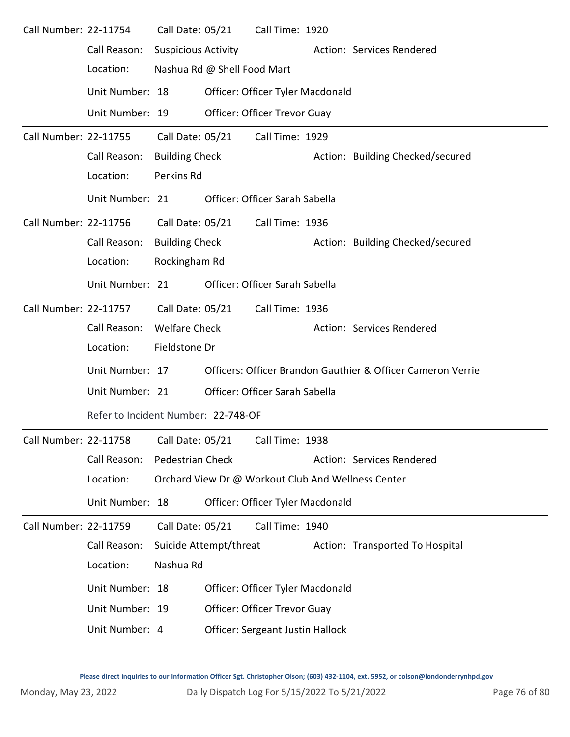| Call Number: 22-11754 |                                     | Call Date: 05/21           |                             | Call Time: 1920                         |                                                             |
|-----------------------|-------------------------------------|----------------------------|-----------------------------|-----------------------------------------|-------------------------------------------------------------|
|                       | Call Reason:                        | <b>Suspicious Activity</b> |                             |                                         | Action: Services Rendered                                   |
|                       | Location:                           |                            | Nashua Rd @ Shell Food Mart |                                         |                                                             |
|                       | Unit Number: 18                     |                            |                             | Officer: Officer Tyler Macdonald        |                                                             |
|                       | Unit Number: 19                     |                            |                             | Officer: Officer Trevor Guay            |                                                             |
| Call Number: 22-11755 |                                     | Call Date: 05/21           |                             | Call Time: 1929                         |                                                             |
|                       | Call Reason:                        | <b>Building Check</b>      |                             |                                         | Action: Building Checked/secured                            |
|                       | Location:                           | Perkins Rd                 |                             |                                         |                                                             |
|                       | Unit Number: 21                     |                            |                             | Officer: Officer Sarah Sabella          |                                                             |
| Call Number: 22-11756 |                                     | Call Date: 05/21           |                             | Call Time: 1936                         |                                                             |
|                       | Call Reason:                        | <b>Building Check</b>      |                             |                                         | Action: Building Checked/secured                            |
|                       | Location:                           | Rockingham Rd              |                             |                                         |                                                             |
|                       | Unit Number: 21                     |                            |                             | Officer: Officer Sarah Sabella          |                                                             |
| Call Number: 22-11757 |                                     |                            | Call Date: 05/21            | Call Time: 1936                         |                                                             |
|                       | Call Reason:                        | <b>Welfare Check</b>       |                             |                                         | Action: Services Rendered                                   |
|                       | Location:                           | Fieldstone Dr              |                             |                                         |                                                             |
|                       | Unit Number: 17                     |                            |                             |                                         | Officers: Officer Brandon Gauthier & Officer Cameron Verrie |
|                       | Unit Number: 21                     |                            |                             | Officer: Officer Sarah Sabella          |                                                             |
|                       | Refer to Incident Number: 22-748-OF |                            |                             |                                         |                                                             |
| Call Number: 22-11758 |                                     | Call Date: 05/21           |                             | Call Time: 1938                         |                                                             |
|                       | Call Reason:                        | Pedestrian Check           |                             |                                         | Action: Services Rendered                                   |
|                       | Location:                           |                            |                             |                                         | Orchard View Dr @ Workout Club And Wellness Center          |
|                       | Unit Number: 18                     |                            |                             | Officer: Officer Tyler Macdonald        |                                                             |
| Call Number: 22-11759 |                                     | Call Date: 05/21           |                             | Call Time: 1940                         |                                                             |
|                       | Call Reason:                        |                            | Suicide Attempt/threat      |                                         | Action: Transported To Hospital                             |
|                       | Location:                           | Nashua Rd                  |                             |                                         |                                                             |
|                       | Unit Number: 18                     |                            |                             | Officer: Officer Tyler Macdonald        |                                                             |
|                       | Unit Number: 19                     |                            |                             | Officer: Officer Trevor Guay            |                                                             |
|                       | Unit Number: 4                      |                            |                             | <b>Officer: Sergeant Justin Hallock</b> |                                                             |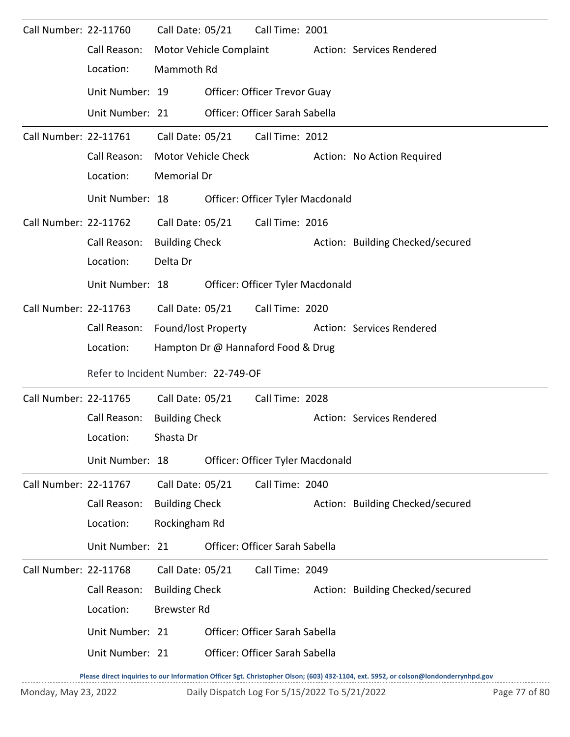| Call Number: 22-11760 |                                                                                                                                     | Call Date: 05/21      |                         | Call Time: 2001                     |  |                                  |  |
|-----------------------|-------------------------------------------------------------------------------------------------------------------------------------|-----------------------|-------------------------|-------------------------------------|--|----------------------------------|--|
|                       | Call Reason:                                                                                                                        |                       | Motor Vehicle Complaint |                                     |  | Action: Services Rendered        |  |
|                       | Location:                                                                                                                           | Mammoth Rd            |                         |                                     |  |                                  |  |
|                       | Unit Number: 19                                                                                                                     |                       |                         | <b>Officer: Officer Trevor Guay</b> |  |                                  |  |
|                       | Unit Number: 21                                                                                                                     |                       |                         | Officer: Officer Sarah Sabella      |  |                                  |  |
| Call Number: 22-11761 |                                                                                                                                     |                       |                         | Call Date: 05/21 Call Time: 2012    |  |                                  |  |
|                       | Call Reason:                                                                                                                        |                       | Motor Vehicle Check     |                                     |  | Action: No Action Required       |  |
|                       | Location:                                                                                                                           | Memorial Dr           |                         |                                     |  |                                  |  |
|                       | Unit Number: 18                                                                                                                     |                       |                         | Officer: Officer Tyler Macdonald    |  |                                  |  |
| Call Number: 22-11762 |                                                                                                                                     | Call Date: 05/21      |                         | Call Time: 2016                     |  |                                  |  |
|                       | Call Reason:                                                                                                                        | <b>Building Check</b> |                         |                                     |  | Action: Building Checked/secured |  |
|                       | Location:                                                                                                                           | Delta Dr              |                         |                                     |  |                                  |  |
|                       | Unit Number: 18                                                                                                                     |                       |                         | Officer: Officer Tyler Macdonald    |  |                                  |  |
| Call Number: 22-11763 |                                                                                                                                     | Call Date: 05/21      |                         | Call Time: 2020                     |  |                                  |  |
|                       | Call Reason:                                                                                                                        | Found/lost Property   |                         |                                     |  | Action: Services Rendered        |  |
|                       | Location:                                                                                                                           |                       |                         | Hampton Dr @ Hannaford Food & Drug  |  |                                  |  |
|                       | Refer to Incident Number: 22-749-OF                                                                                                 |                       |                         |                                     |  |                                  |  |
| Call Number: 22-11765 |                                                                                                                                     | Call Date: 05/21      |                         | Call Time: 2028                     |  |                                  |  |
|                       | Call Reason:                                                                                                                        | <b>Building Check</b> |                         |                                     |  | Action: Services Rendered        |  |
|                       | Location:                                                                                                                           | Shasta Dr             |                         |                                     |  |                                  |  |
|                       | Unit Number: 18                                                                                                                     |                       |                         | Officer: Officer Tyler Macdonald    |  |                                  |  |
| Call Number: 22-11767 |                                                                                                                                     | Call Date: 05/21      |                         | Call Time: 2040                     |  |                                  |  |
|                       | Call Reason:                                                                                                                        | <b>Building Check</b> |                         |                                     |  | Action: Building Checked/secured |  |
|                       | Location:                                                                                                                           | Rockingham Rd         |                         |                                     |  |                                  |  |
|                       | Unit Number: 21                                                                                                                     |                       |                         | Officer: Officer Sarah Sabella      |  |                                  |  |
| Call Number: 22-11768 |                                                                                                                                     | Call Date: 05/21      |                         | Call Time: 2049                     |  |                                  |  |
|                       | Call Reason:                                                                                                                        | <b>Building Check</b> |                         |                                     |  | Action: Building Checked/secured |  |
|                       | Location:                                                                                                                           | <b>Brewster Rd</b>    |                         |                                     |  |                                  |  |
|                       | Unit Number: 21                                                                                                                     |                       |                         | Officer: Officer Sarah Sabella      |  |                                  |  |
|                       | Unit Number: 21                                                                                                                     |                       |                         | Officer: Officer Sarah Sabella      |  |                                  |  |
|                       | Please direct inquiries to our Information Officer Sgt. Christopher Olson; (603) 432-1104, ext. 5952, or colson@londonderrynhpd.gov |                       |                         |                                     |  |                                  |  |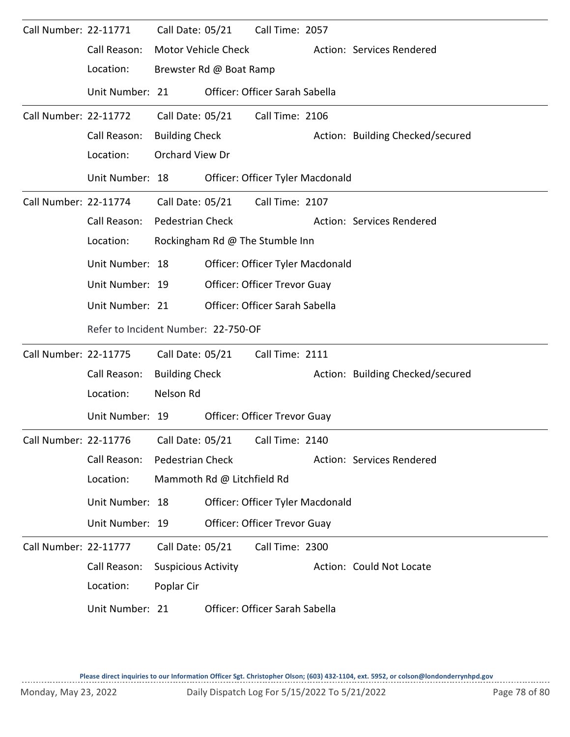| Call Number: 22-11771        |                                     | Call Date: 05/21           |                            | Call Time: 2057                     |                                  |
|------------------------------|-------------------------------------|----------------------------|----------------------------|-------------------------------------|----------------------------------|
|                              | Call Reason:                        | Motor Vehicle Check        |                            |                                     | Action: Services Rendered        |
|                              | Location:                           | Brewster Rd @ Boat Ramp    |                            |                                     |                                  |
|                              | Unit Number: 21                     |                            |                            | Officer: Officer Sarah Sabella      |                                  |
| <b>Call Number: 22-11772</b> |                                     | Call Date: 05/21           |                            | Call Time: 2106                     |                                  |
|                              | Call Reason:                        | <b>Building Check</b>      |                            |                                     | Action: Building Checked/secured |
|                              | Location:                           | <b>Orchard View Dr</b>     |                            |                                     |                                  |
|                              | Unit Number: 18                     |                            |                            | Officer: Officer Tyler Macdonald    |                                  |
| Call Number: 22-11774        |                                     |                            | Call Date: 05/21           | Call Time: 2107                     |                                  |
|                              | Call Reason:                        | <b>Pedestrian Check</b>    |                            |                                     | Action: Services Rendered        |
|                              | Location:                           |                            |                            | Rockingham Rd @ The Stumble Inn     |                                  |
|                              | Unit Number: 18                     |                            |                            | Officer: Officer Tyler Macdonald    |                                  |
|                              | Unit Number: 19                     |                            |                            | Officer: Officer Trevor Guay        |                                  |
|                              | Unit Number: 21                     |                            |                            | Officer: Officer Sarah Sabella      |                                  |
|                              | Refer to Incident Number: 22-750-OF |                            |                            |                                     |                                  |
|                              |                                     |                            |                            |                                     |                                  |
| <b>Call Number: 22-11775</b> |                                     | Call Date: 05/21           |                            | Call Time: 2111                     |                                  |
|                              | Call Reason:                        | <b>Building Check</b>      |                            |                                     | Action: Building Checked/secured |
|                              | Location:                           | Nelson Rd                  |                            |                                     |                                  |
|                              | Unit Number: 19                     |                            |                            | <b>Officer: Officer Trevor Guay</b> |                                  |
| Call Number: 22-11776        |                                     | Call Date: 05/21           |                            | Call Time: 2140                     |                                  |
|                              | Call Reason:                        | Pedestrian Check           |                            |                                     | Action: Services Rendered        |
|                              | Location:                           |                            | Mammoth Rd @ Litchfield Rd |                                     |                                  |
|                              | Unit Number: 18                     |                            |                            | Officer: Officer Tyler Macdonald    |                                  |
|                              | Unit Number: 19                     |                            |                            | <b>Officer: Officer Trevor Guay</b> |                                  |
| <b>Call Number: 22-11777</b> |                                     | Call Date: 05/21           |                            | Call Time: 2300                     |                                  |
|                              | Call Reason:                        | <b>Suspicious Activity</b> |                            |                                     | Action: Could Not Locate         |
|                              | Location:                           | Poplar Cir                 |                            |                                     |                                  |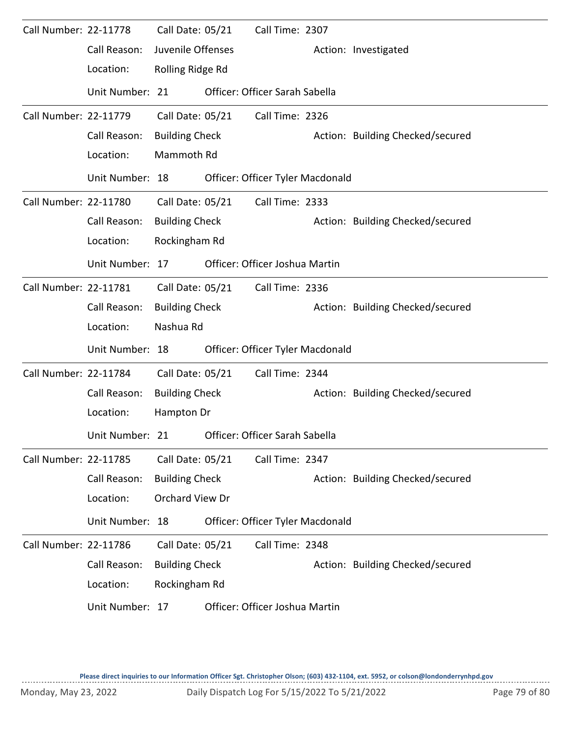| Call Number: 22-11778 |                 | Call Date: 05/21      | Call Time: 2307                  |                                  |
|-----------------------|-----------------|-----------------------|----------------------------------|----------------------------------|
|                       | Call Reason:    | Juvenile Offenses     |                                  | Action: Investigated             |
|                       | Location:       | Rolling Ridge Rd      |                                  |                                  |
|                       | Unit Number: 21 |                       | Officer: Officer Sarah Sabella   |                                  |
| Call Number: 22-11779 |                 | Call Date: 05/21      | Call Time: 2326                  |                                  |
|                       | Call Reason:    | <b>Building Check</b> |                                  | Action: Building Checked/secured |
|                       | Location:       | Mammoth Rd            |                                  |                                  |
|                       | Unit Number: 18 |                       | Officer: Officer Tyler Macdonald |                                  |
| Call Number: 22-11780 |                 | Call Date: 05/21      | Call Time: 2333                  |                                  |
|                       | Call Reason:    | <b>Building Check</b> |                                  | Action: Building Checked/secured |
|                       | Location:       | Rockingham Rd         |                                  |                                  |
|                       | Unit Number: 17 |                       | Officer: Officer Joshua Martin   |                                  |
| Call Number: 22-11781 |                 | Call Date: 05/21      | Call Time: 2336                  |                                  |
|                       | Call Reason:    | <b>Building Check</b> |                                  | Action: Building Checked/secured |
|                       | Location:       | Nashua Rd             |                                  |                                  |
|                       | Unit Number: 18 |                       | Officer: Officer Tyler Macdonald |                                  |
| Call Number: 22-11784 |                 | Call Date: 05/21      | Call Time: 2344                  |                                  |
|                       | Call Reason:    | <b>Building Check</b> |                                  | Action: Building Checked/secured |
|                       | Location:       | Hampton Dr            |                                  |                                  |
|                       | Unit Number: 21 |                       | Officer: Officer Sarah Sabella   |                                  |
| Call Number: 22-11785 |                 | Call Date: 05/21      | Call Time: 2347                  |                                  |
|                       | Call Reason:    | <b>Building Check</b> |                                  | Action: Building Checked/secured |
|                       | Location:       | Orchard View Dr       |                                  |                                  |
|                       | Unit Number: 18 |                       | Officer: Officer Tyler Macdonald |                                  |
| Call Number: 22-11786 |                 | Call Date: 05/21      | Call Time: 2348                  |                                  |
|                       | Call Reason:    | <b>Building Check</b> |                                  | Action: Building Checked/secured |
|                       | Location:       | Rockingham Rd         |                                  |                                  |
|                       | Unit Number: 17 |                       | Officer: Officer Joshua Martin   |                                  |